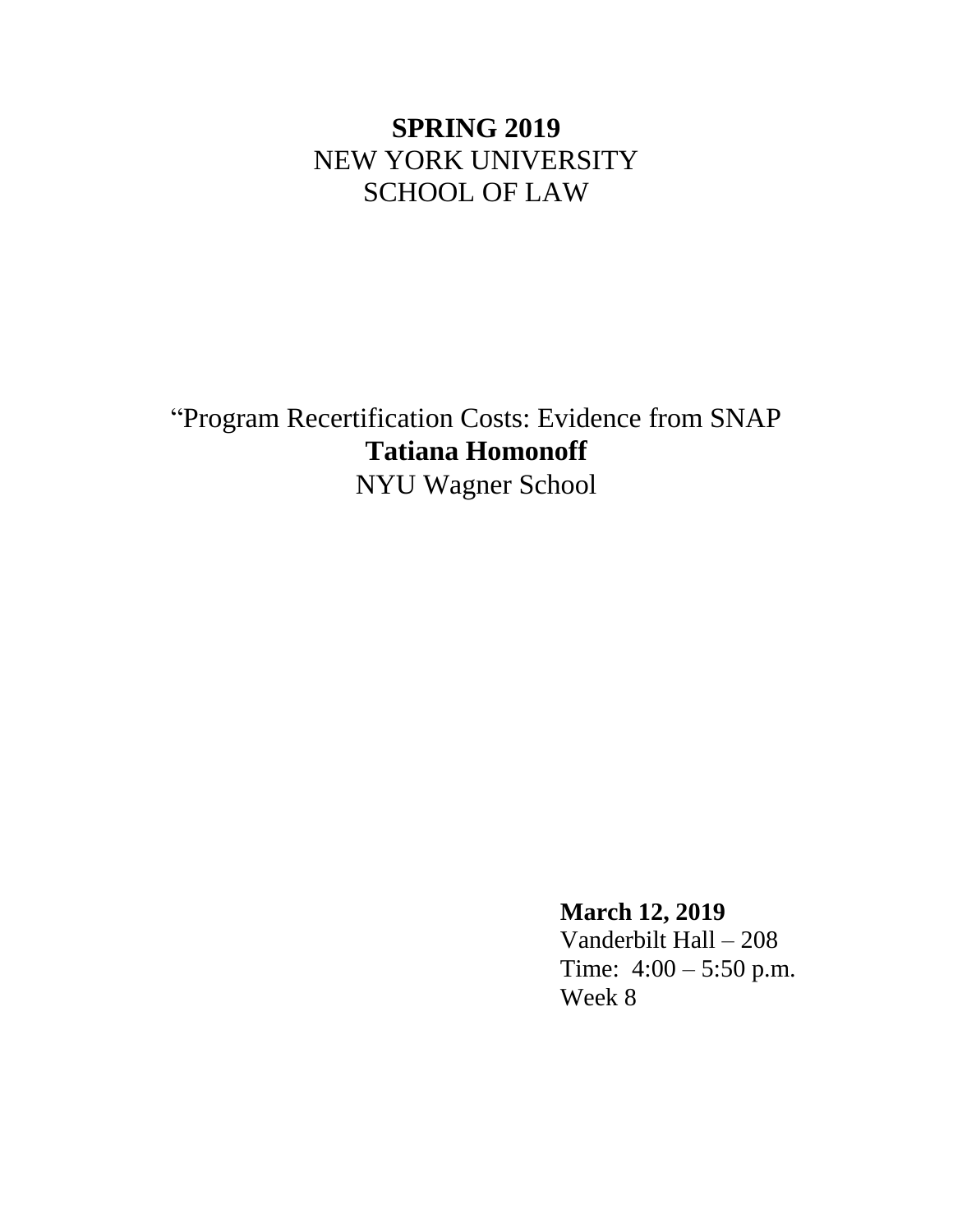# **SPRING 2019** NEW YORK UNIVERSITY SCHOOL OF LAW

"Program Recertification Costs: Evidence from SNAP **Tatiana Homonoff** NYU Wagner School

> **March 12, 2019** Vanderbilt Hall – 208 Time: 4:00 – 5:50 p.m. Week 8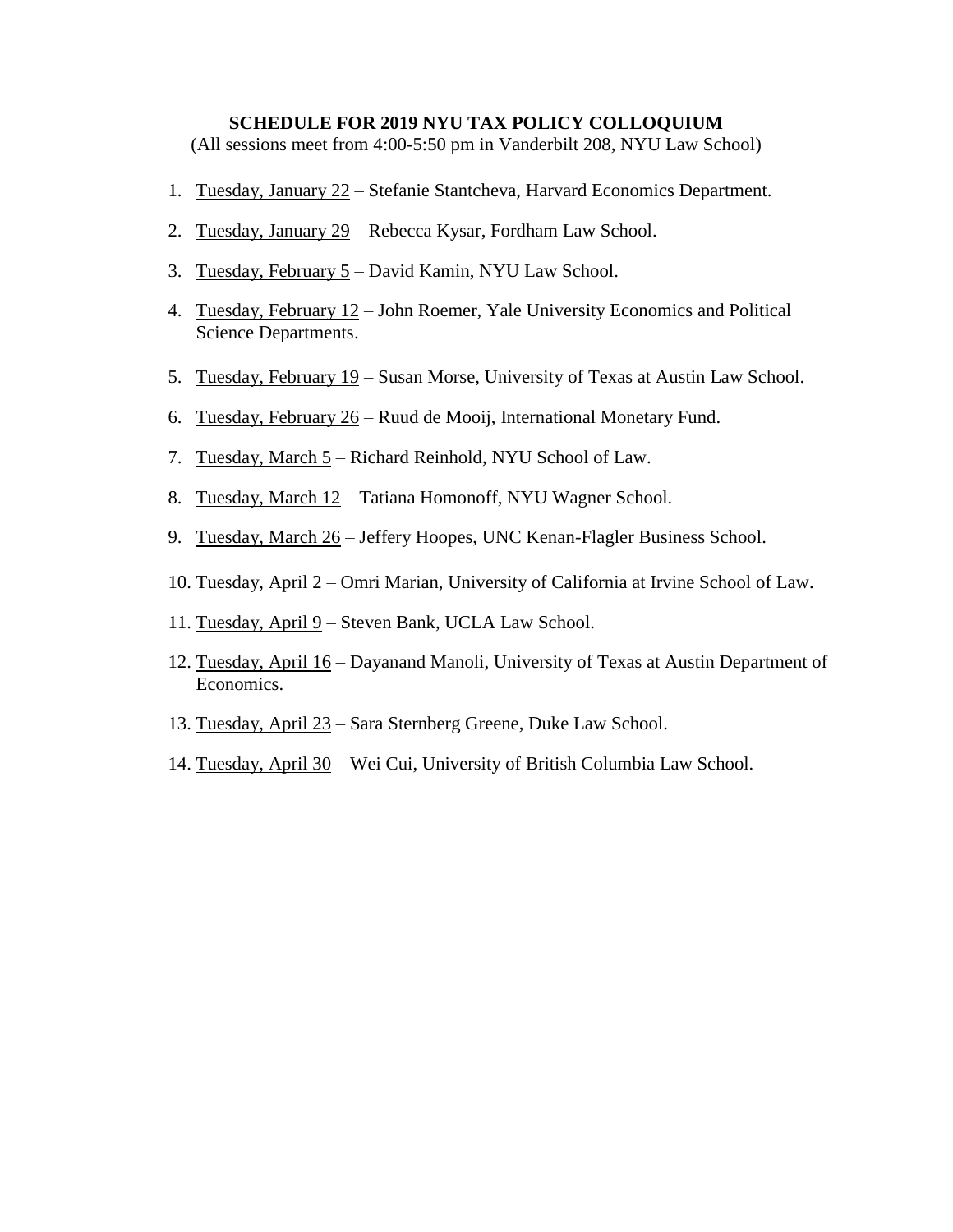#### **SCHEDULE FOR 2019 NYU TAX POLICY COLLOQUIUM**

(All sessions meet from 4:00-5:50 pm in Vanderbilt 208, NYU Law School)

- 1. Tuesday, January 22 Stefanie Stantcheva, Harvard Economics Department.
- 2. Tuesday, January 29 Rebecca Kysar, Fordham Law School.
- 3. Tuesday, February 5 David Kamin, NYU Law School.
- 4. Tuesday, February 12 John Roemer, Yale University Economics and Political Science Departments.
- 5. Tuesday, February 19 Susan Morse, University of Texas at Austin Law School.
- 6. Tuesday, February 26 Ruud de Mooij, International Monetary Fund.
- 7. Tuesday, March 5 Richard Reinhold, NYU School of Law.
- 8. Tuesday, March 12 Tatiana Homonoff, NYU Wagner School.
- 9. Tuesday, March 26 Jeffery Hoopes, UNC Kenan-Flagler Business School.
- 10. Tuesday, April 2 Omri Marian, University of California at Irvine School of Law.
- 11. Tuesday, April 9 Steven Bank, UCLA Law School.
- 12. Tuesday, April 16 Dayanand Manoli, University of Texas at Austin Department of Economics.
- 13. Tuesday, April 23 Sara Sternberg Greene, Duke Law School.
- 14. Tuesday, April 30 Wei Cui, University of British Columbia Law School.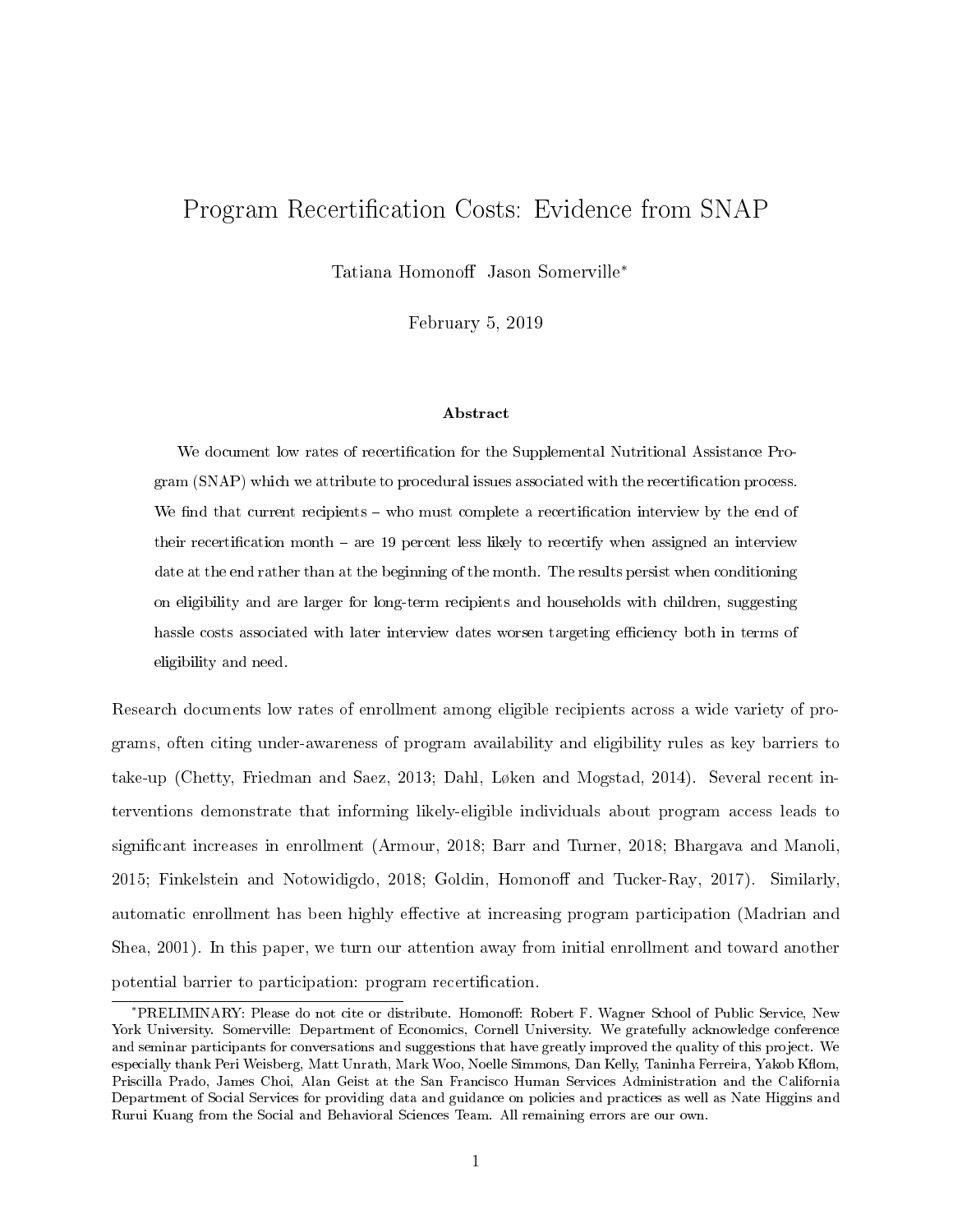# Program Recertification Costs: Evidence from SNAP

Tatiana Homonoff Jason Somerville<sup>∗</sup>

February 5, 2019

#### Abstract

We document low rates of recertification for the Supplemental Nutritional Assistance Program (SNAP) which we attribute to procedural issues associated with the recertification process. We find that current recipients – who must complete a recertification interview by the end of their recertification month  $-$  are 19 percent less likely to recertify when assigned an interview date at the end rather than at the beginning of the month. The results persist when conditioning on eligibility and are larger for long-term recipients and households with children, suggesting hassle costs associated with later interview dates worsen targeting efficiency both in terms of eligibility and need.

Research documents low rates of enrollment among eligible recipients across a wide variety of programs, often citing under-awareness of program availability and eligibility rules as key barriers to take-up (Chetty, Friedman and Saez, 2013; Dahl, Løken and Mogstad, 2014). Several recent interventions demonstrate that informing likely-eligible individuals about program access leads to significant increases in enrollment (Armour, 2018; Barr and Turner, 2018; Bhargava and Manoli, 2015; Finkelstein and Notowidigdo, 2018; Goldin, Homonoff and Tucker-Ray, 2017). Similarly, automatic enrollment has been highly effective at increasing program participation (Madrian and Shea, 2001). In this paper, we turn our attention away from initial enrollment and toward another potential barrier to participation: program recertification.

<sup>\*</sup>PRELIMINARY: Please do not cite or distribute. Homonoff: Robert F. Wagner School of Public Service, New York University. Somerville: Department of Economics, Cornell University. We gratefully acknowledge conference and seminar participants for conversations and suggestions that have greatly improved the quality of this project. We especially thank Peri Weisberg, Matt Unrath, Mark Woo, Noelle Simmons, Dan Kelly, Taninha Ferreira, Yakob Kflom, Priscilla Prado, James Choi, Alan Geist at the San Francisco Human Services Administration and the California Department of Social Services for providing data and guidance on policies and practices as well as Nate Higgins and Rurui Kuang from the Social and Behavioral Sciences Team. All remaining errors are our own.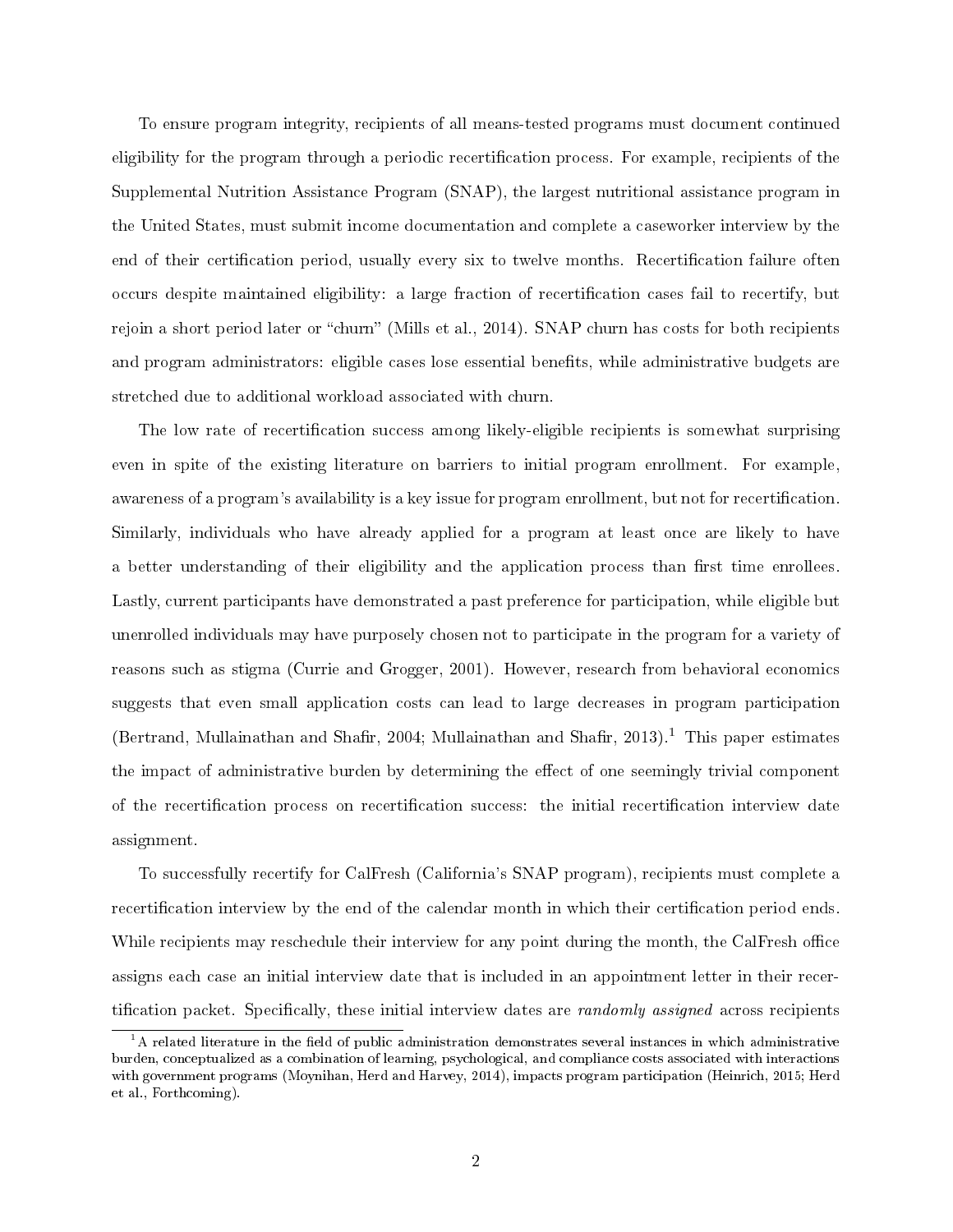To ensure program integrity, recipients of all means-tested programs must document continued eligibility for the program through a periodic recertification process. For example, recipients of the Supplemental Nutrition Assistance Program (SNAP), the largest nutritional assistance program in the United States, must submit income documentation and complete a caseworker interview by the end of their certification period, usually every six to twelve months. Recertification failure often occurs despite maintained eligibility: a large fraction of recertification cases fail to recertify, but rejoin a short period later or "churn" (Mills et al., 2014). SNAP churn has costs for both recipients and program administrators: eligible cases lose essential benefits, while administrative budgets are stretched due to additional workload associated with churn.

The low rate of recertification success among likely-eligible recipients is somewhat surprising even in spite of the existing literature on barriers to initial program enrollment. For example, awareness of a program's availability is a key issue for program enrollment, but not for recertification. Similarly, individuals who have already applied for a program at least once are likely to have a better understanding of their eligibility and the application process than first time enrollees. Lastly, current participants have demonstrated a past preference for participation, while eligible but unenrolled individuals may have purposely chosen not to participate in the program for a variety of reasons such as stigma (Currie and Grogger, 2001). However, research from behavioral economics suggests that even small application costs can lead to large decreases in program participation (Bertrand, Mullainathan and Shafir, 2004; Mullainathan and Shafir, 2013).<sup>1</sup> This paper estimates the impact of administrative burden by determining the effect of one seemingly trivial component of the recertification process on recertification success: the initial recertification interview date assignment.

To successfully recertify for CalFresh (California's SNAP program), recipients must complete a recertification interview by the end of the calendar month in which their certification period ends. While recipients may reschedule their interview for any point during the month, the CalFresh office assigns each case an initial interview date that is included in an appointment letter in their recertification packet. Specifically, these initial interview dates are *randomly assigned* across recipients

 $1$ <sup>1</sup>A related literature in the field of public administration demonstrates several instances in which administrative burden, conceptualized as a combination of learning, psychological, and compliance costs associated with interactions with government programs (Moynihan, Herd and Harvey, 2014), impacts program participation (Heinrich, 2015; Herd et al., Forthcoming).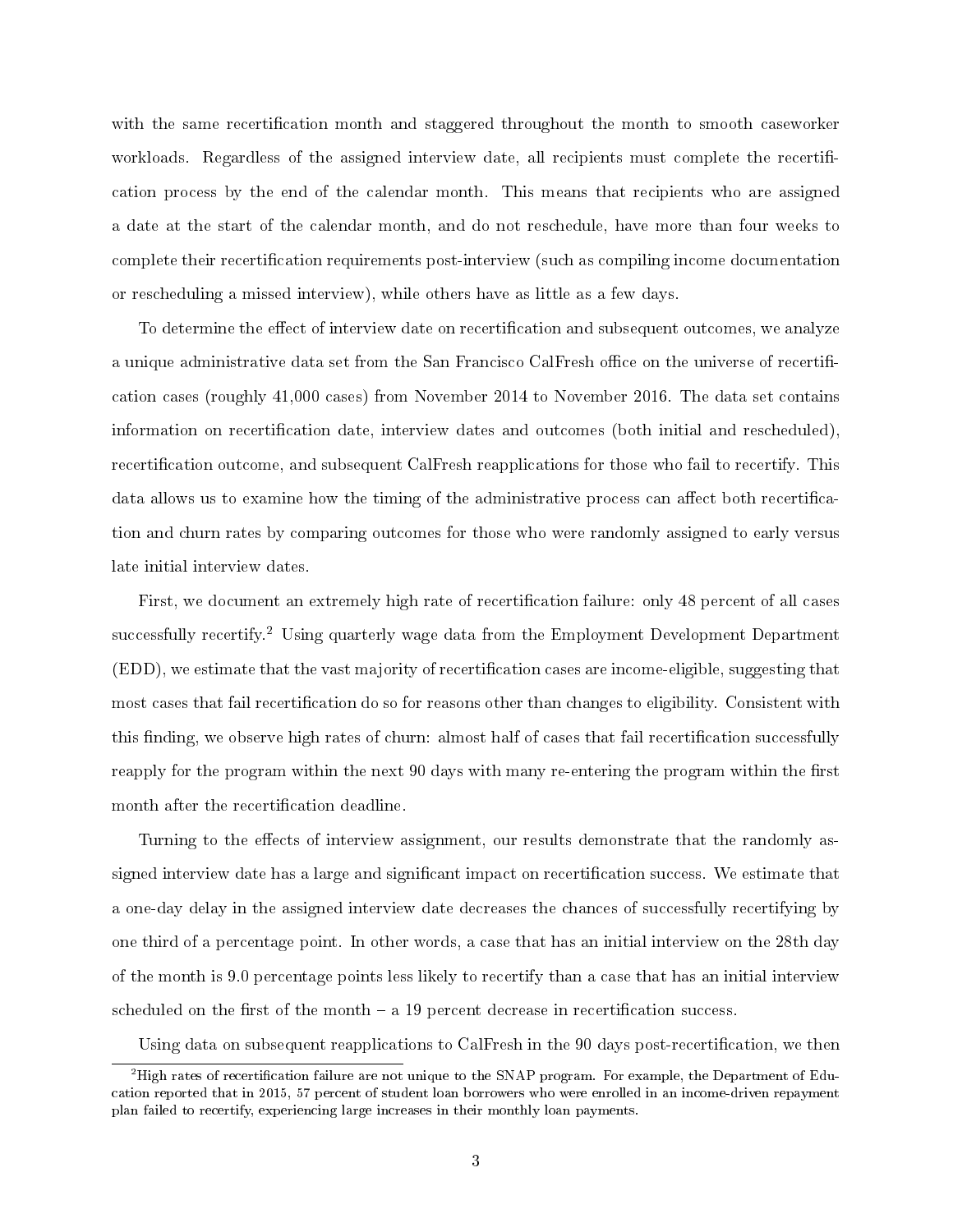with the same recertification month and staggered throughout the month to smooth caseworker workloads. Regardless of the assigned interview date, all recipients must complete the recertification process by the end of the calendar month. This means that recipients who are assigned a date at the start of the calendar month, and do not reschedule, have more than four weeks to complete their recertification requirements post-interview (such as compiling income documentation or rescheduling a missed interview), while others have as little as a few days.

To determine the effect of interview date on recertification and subsequent outcomes, we analyze a unique administrative data set from the San Francisco CalFresh office on the universe of recertification cases (roughly 41,000 cases) from November 2014 to November 2016. The data set contains information on recertification date, interview dates and outcomes (both initial and rescheduled), recertification outcome, and subsequent CalFresh reapplications for those who fail to recertify. This data allows us to examine how the timing of the administrative process can affect both recertification and churn rates by comparing outcomes for those who were randomly assigned to early versus late initial interview dates.

First, we document an extremely high rate of recertification failure: only 48 percent of all cases successfully recertify.<sup>2</sup> Using quarterly wage data from the Employment Development Department  $(EDD)$ , we estimate that the vast majority of recertification cases are income-eligible, suggesting that most cases that fail recertification do so for reasons other than changes to eligibility. Consistent with this finding, we observe high rates of churn: almost half of cases that fail recertification successfully reapply for the program within the next 90 days with many re-entering the program within the first month after the recertification deadline.

Turning to the effects of interview assignment, our results demonstrate that the randomly assigned interview date has a large and significant impact on recertification success. We estimate that a one-day delay in the assigned interview date decreases the chances of successfully recertifying by one third of a percentage point. In other words, a case that has an initial interview on the 28th day of the month is 9.0 percentage points less likely to recertify than a case that has an initial interview scheduled on the first of the month  $- a 19$  percent decrease in recertification success.

Using data on subsequent reapplications to CalFresh in the 90 days post-recertification, we then

 $^{2}$ High rates of recertification failure are not unique to the SNAP program. For example, the Department of Education reported that in 2015, 57 percent of student loan borrowers who were enrolled in an income-driven repayment plan failed to recertify, experiencing large increases in their monthly loan payments.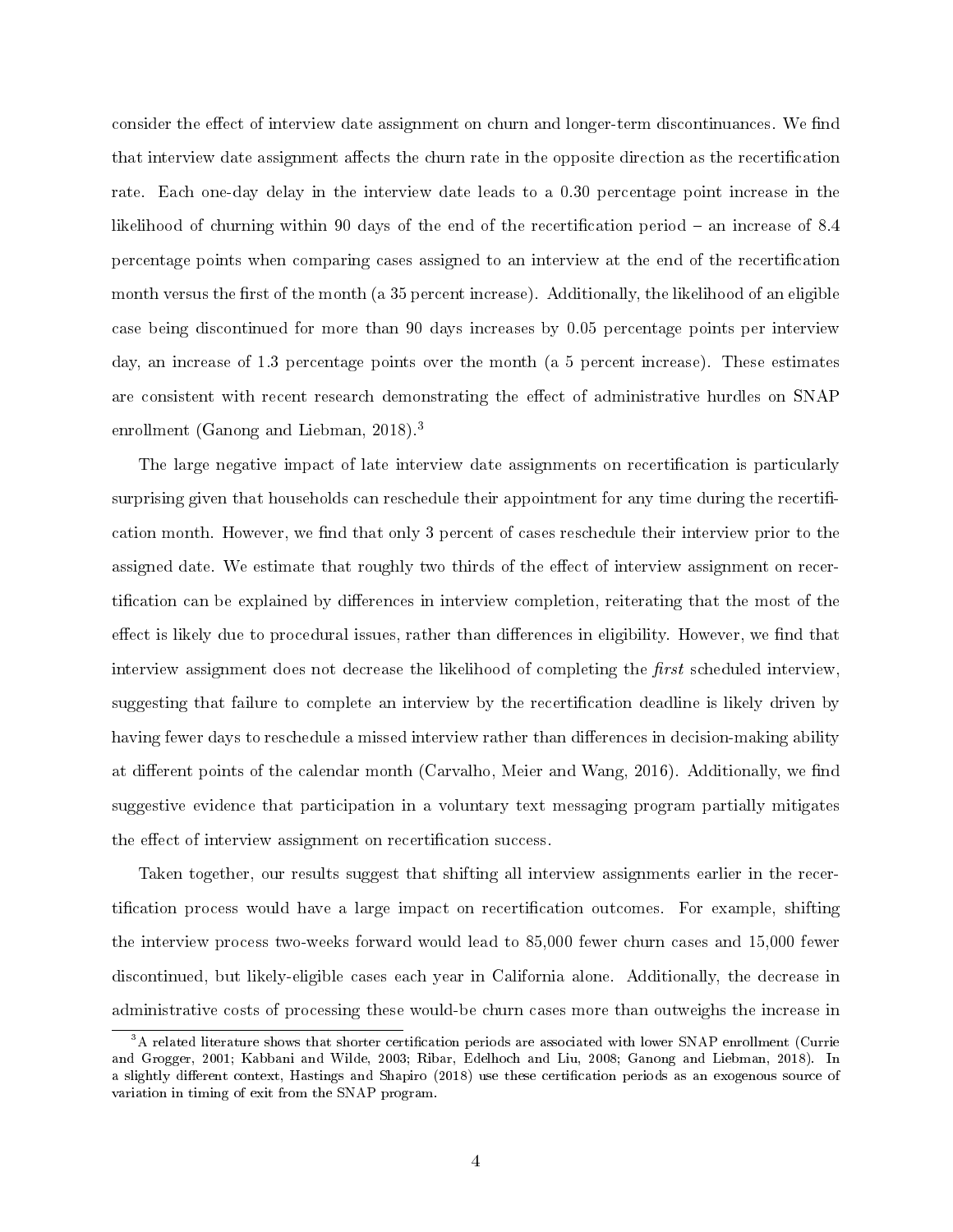consider the effect of interview date assignment on churn and longer-term discontinuances. We find that interview date assignment affects the churn rate in the opposite direction as the recertification rate. Each one-day delay in the interview date leads to a 0.30 percentage point increase in the likelihood of churning within 90 days of the end of the recertification period  $-$  an increase of 8.4 percentage points when comparing cases assigned to an interview at the end of the recertication month versus the first of the month (a 35 percent increase). Additionally, the likelihood of an eligible case being discontinued for more than 90 days increases by 0.05 percentage points per interview day, an increase of 1.3 percentage points over the month (a 5 percent increase). These estimates are consistent with recent research demonstrating the effect of administrative hurdles on SNAP enrollment (Ganong and Liebman, 2018).<sup>3</sup>

The large negative impact of late interview date assignments on recertification is particularly surprising given that households can reschedule their appointment for any time during the recertification month. However, we find that only 3 percent of cases reschedule their interview prior to the assigned date. We estimate that roughly two thirds of the effect of interview assignment on recertification can be explained by differences in interview completion, reiterating that the most of the effect is likely due to procedural issues, rather than differences in eligibility. However, we find that interview assignment does not decrease the likelihood of completing the  $first$  scheduled interview, suggesting that failure to complete an interview by the recertication deadline is likely driven by having fewer days to reschedule a missed interview rather than differences in decision-making ability at different points of the calendar month (Carvalho, Meier and Wang, 2016). Additionally, we find suggestive evidence that participation in a voluntary text messaging program partially mitigates the effect of interview assignment on recertification success.

Taken together, our results suggest that shifting all interview assignments earlier in the recertification process would have a large impact on recertification outcomes. For example, shifting the interview process two-weeks forward would lead to 85,000 fewer churn cases and 15,000 fewer discontinued, but likely-eligible cases each year in California alone. Additionally, the decrease in administrative costs of processing these would-be churn cases more than outweighs the increase in

<sup>&</sup>lt;sup>3</sup>A related literature shows that shorter certification periods are associated with lower SNAP enrollment (Currie and Grogger, 2001; Kabbani and Wilde, 2003; Ribar, Edelhoch and Liu, 2008; Ganong and Liebman, 2018). In a slightly different context, Hastings and Shapiro (2018) use these certification periods as an exogenous source of variation in timing of exit from the SNAP program.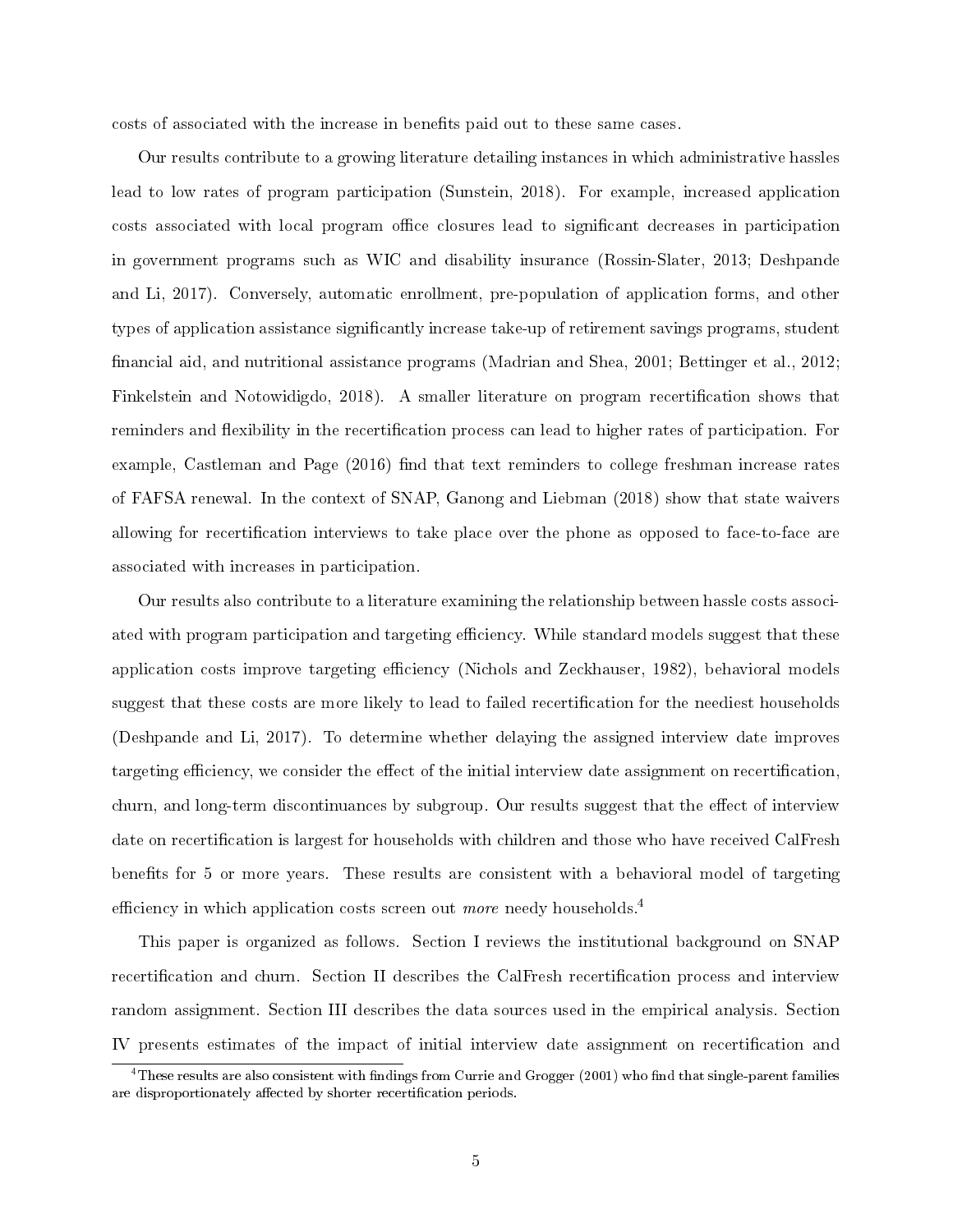costs of associated with the increase in benefits paid out to these same cases.

Our results contribute to a growing literature detailing instances in which administrative hassles lead to low rates of program participation (Sunstein, 2018). For example, increased application costs associated with local program office closures lead to significant decreases in participation in government programs such as WIC and disability insurance (Rossin-Slater, 2013; Deshpande and Li, 2017). Conversely, automatic enrollment, pre-population of application forms, and other types of application assistance signicantly increase take-up of retirement savings programs, student financial aid, and nutritional assistance programs (Madrian and Shea, 2001; Bettinger et al., 2012; Finkelstein and Notowidigdo, 2018). A smaller literature on program recertification shows that reminders and flexibility in the recertification process can lead to higher rates of participation. For example, Castleman and Page  $(2016)$  find that text reminders to college freshman increase rates of FAFSA renewal. In the context of SNAP, Ganong and Liebman (2018) show that state waivers allowing for recertication interviews to take place over the phone as opposed to face-to-face are associated with increases in participation.

Our results also contribute to a literature examining the relationship between hassle costs associated with program participation and targeting efficiency. While standard models suggest that these application costs improve targeting efficiency (Nichols and Zeckhauser, 1982), behavioral models suggest that these costs are more likely to lead to failed recertication for the neediest households (Deshpande and Li, 2017). To determine whether delaying the assigned interview date improves targeting efficiency, we consider the effect of the initial interview date assignment on recertification, churn, and long-term discontinuances by subgroup. Our results suggest that the effect of interview date on recertification is largest for households with children and those who have received CalFresh benefits for 5 or more years. These results are consistent with a behavioral model of targeting efficiency in which application costs screen out *more* needy households.<sup>4</sup>

This paper is organized as follows. Section I reviews the institutional background on SNAP recertification and churn. Section II describes the CalFresh recertification process and interview random assignment. Section III describes the data sources used in the empirical analysis. Section IV presents estimates of the impact of initial interview date assignment on recertification and

 $^4\rm{T}$ hese results are also consistent with findings from Currie and Grogger (2001) who find that single-parent families are disproportionately affected by shorter recertification periods.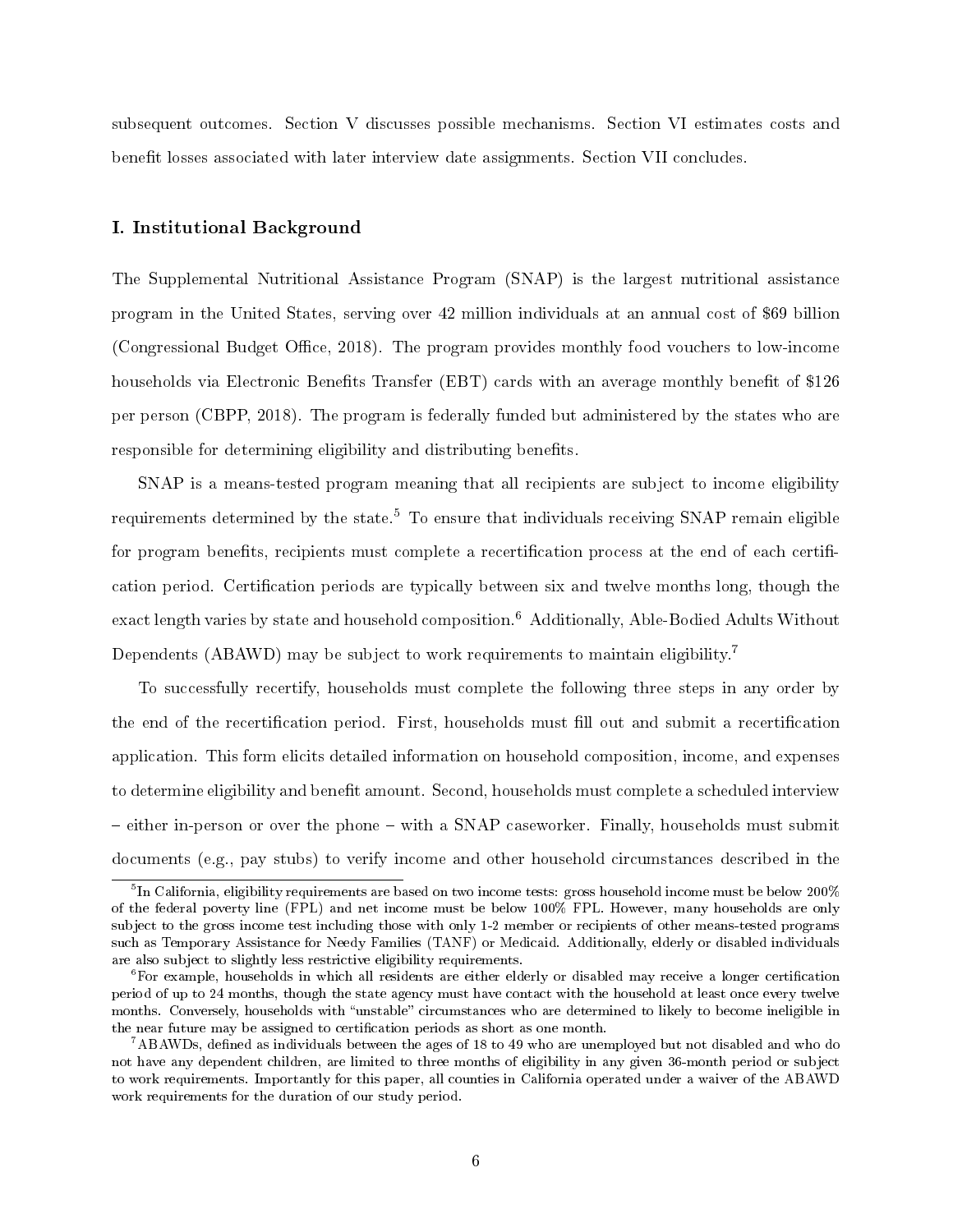subsequent outcomes. Section V discusses possible mechanisms. Section VI estimates costs and benefit losses associated with later interview date assignments. Section VII concludes.

#### I. Institutional Background

The Supplemental Nutritional Assistance Program (SNAP) is the largest nutritional assistance program in the United States, serving over 42 million individuals at an annual cost of \$69 billion (Congressional Budget Office, 2018). The program provides monthly food vouchers to low-income households via Electronic Benefits Transfer (EBT) cards with an average monthly benefit of \$126 per person (CBPP, 2018). The program is federally funded but administered by the states who are responsible for determining eligibility and distributing benefits.

SNAP is a means-tested program meaning that all recipients are subject to income eligibility requirements determined by the state.<sup>5</sup> To ensure that individuals receiving SNAP remain eligible for program benefits, recipients must complete a recertification process at the end of each certification period. Certification periods are typically between six and twelve months long, though the exact length varies by state and household composition.<sup>6</sup> Additionally, Able-Bodied Adults Without Dependents (ABAWD) may be subject to work requirements to maintain eligibility.<sup>7</sup>

To successfully recertify, households must complete the following three steps in any order by the end of the recertification period. First, households must fill out and submit a recertification application. This form elicits detailed information on household composition, income, and expenses to determine eligibility and benefit amount. Second, households must complete a scheduled interview – either in-person or over the phone – with a SNAP caseworker. Finally, households must submit documents (e.g., pay stubs) to verify income and other household circumstances described in the

 $^5$ In California, eligibility requirements are based on two income tests: gross household income must be below 200 $\%$ of the federal poverty line (FPL) and net income must be below 100% FPL. However, many households are only subject to the gross income test including those with only 1-2 member or recipients of other means-tested programs such as Temporary Assistance for Needy Families (TANF) or Medicaid. Additionally, elderly or disabled individuals are also subject to slightly less restrictive eligibility requirements.

 $6$ For example, households in which all residents are either elderly or disabled may receive a longer certification period of up to 24 months, though the state agency must have contact with the household at least once every twelve months. Conversely, households with "unstable" circumstances who are determined to likely to become ineligible in the near future may be assigned to certification periods as short as one month.

 $^7\rm{ABAWDs},$  defined as individuals between the ages of 18 to 49 who are unemployed but not disabled and who do not have any dependent children, are limited to three months of eligibility in any given 36-month period or subject to work requirements. Importantly for this paper, all counties in California operated under a waiver of the ABAWD work requirements for the duration of our study period.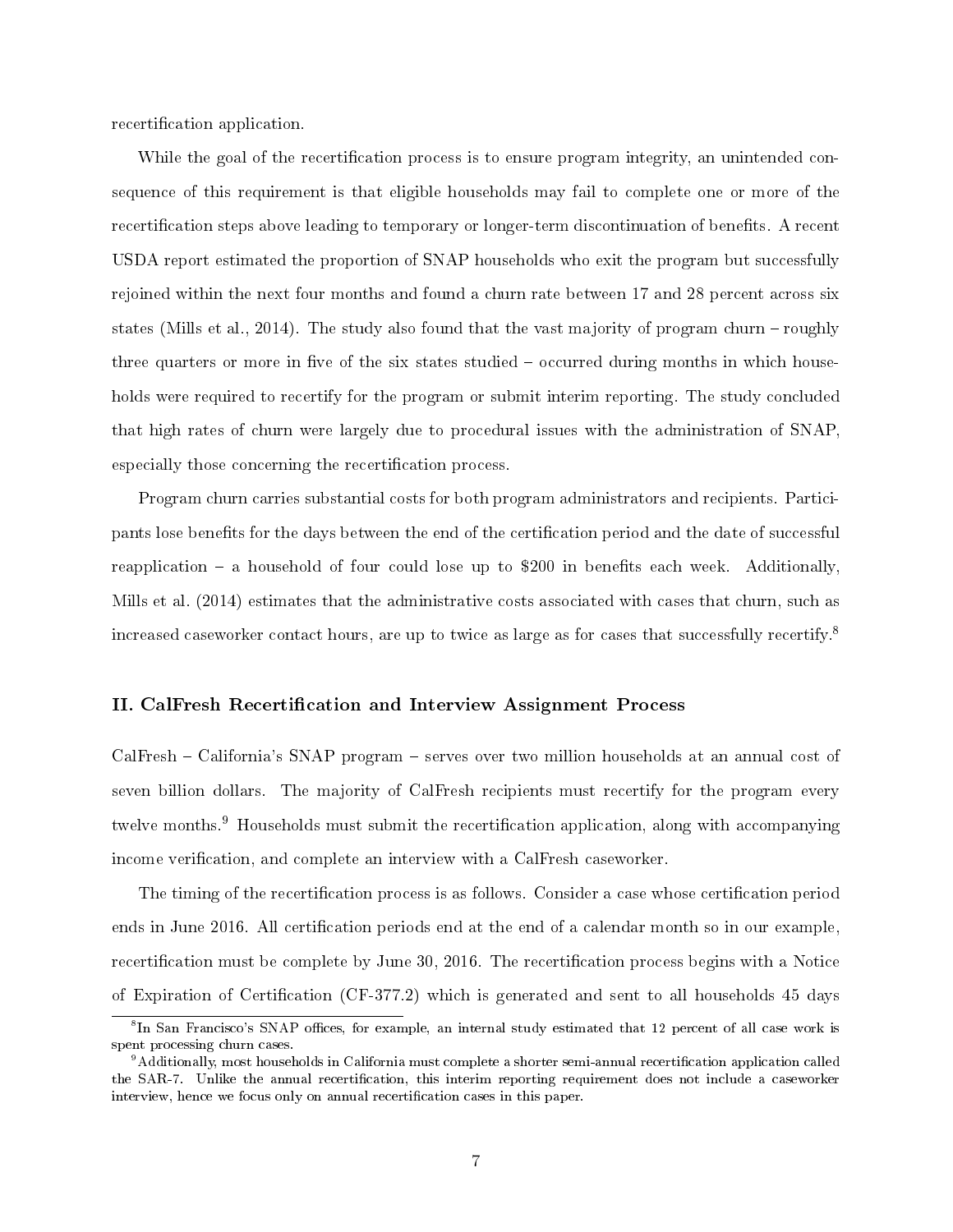recertification application.

While the goal of the recertification process is to ensure program integrity, an unintended consequence of this requirement is that eligible households may fail to complete one or more of the recertification steps above leading to temporary or longer-term discontinuation of benefits. A recent USDA report estimated the proportion of SNAP households who exit the program but successfully rejoined within the next four months and found a churn rate between 17 and 28 percent across six states (Mills et al., 2014). The study also found that the vast majority of program churn – roughly three quarters or more in five of the six states studied  $-$  occurred during months in which households were required to recertify for the program or submit interim reporting. The study concluded that high rates of churn were largely due to procedural issues with the administration of SNAP, especially those concerning the recertification process.

Program churn carries substantial costs for both program administrators and recipients. Participants lose benets for the days between the end of the certication period and the date of successful reapplication  $-$  a household of four could lose up to \$200 in benefits each week. Additionally, Mills et al. (2014) estimates that the administrative costs associated with cases that churn, such as increased caseworker contact hours, are up to twice as large as for cases that successfully recertify.<sup>8</sup>

#### II. CalFresh Recertification and Interview Assignment Process

CalFresh – California's SNAP program – serves over two million households at an annual cost of seven billion dollars. The majority of CalFresh recipients must recertify for the program every twelve months.<sup>9</sup> Households must submit the recertification application, along with accompanying income verification, and complete an interview with a CalFresh caseworker.

The timing of the recertification process is as follows. Consider a case whose certification period ends in June 2016. All certification periods end at the end of a calendar month so in our example, recertification must be complete by June 30, 2016. The recertification process begins with a Notice of Expiration of Certification (CF-377.2) which is generated and sent to all households  $45$  days

<sup>&</sup>lt;sup>8</sup>In San Francisco's SNAP offices, for example, an internal study estimated that 12 percent of all case work is spent processing churn cases.

 $9$ Additionally, most households in California must complete a shorter semi-annual recertification application called the SAR-7. Unlike the annual recertification, this interim reporting requirement does not include a caseworker interview, hence we focus only on annual recertification cases in this paper.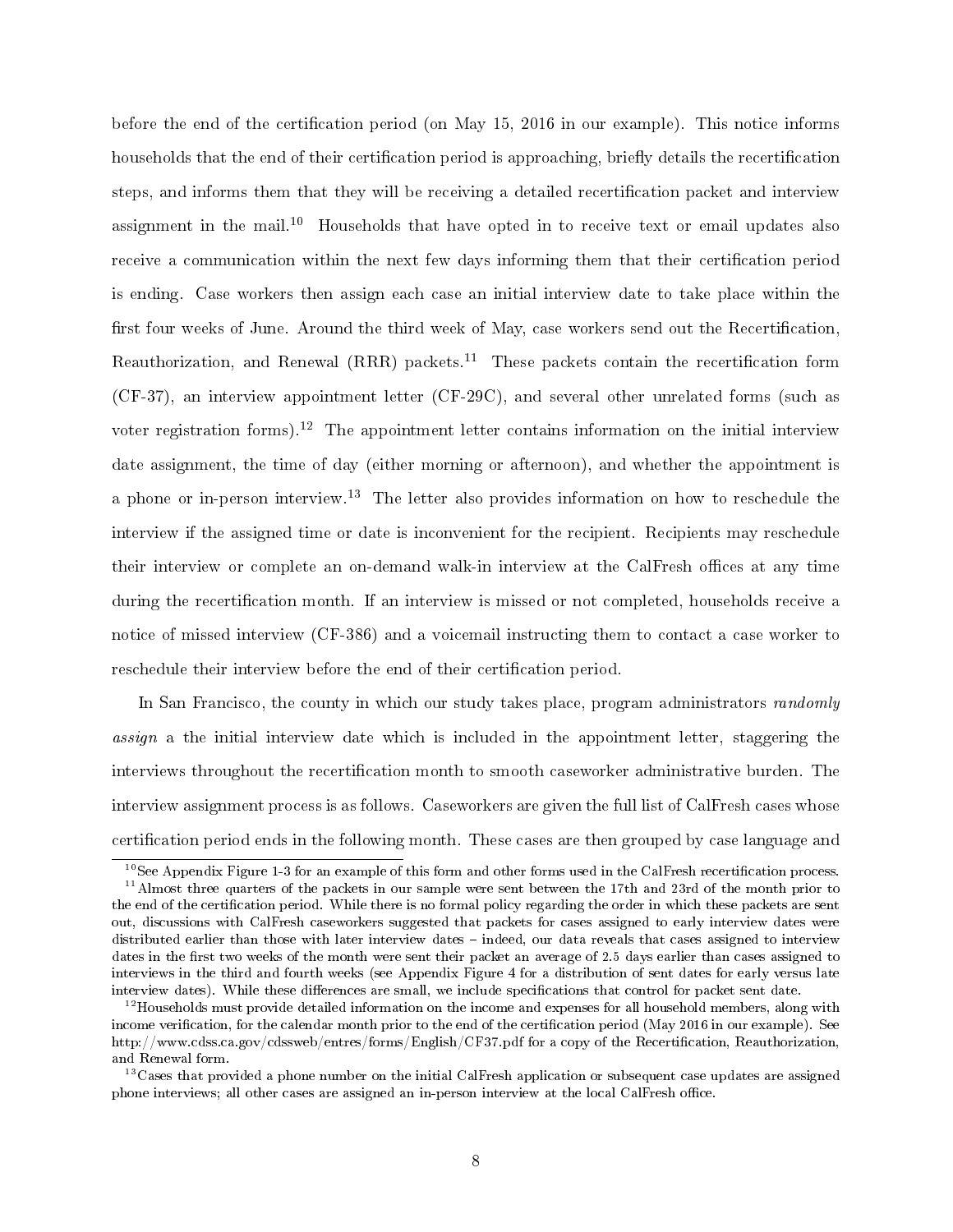before the end of the certification period (on May 15, 2016 in our example). This notice informs households that the end of their certification period is approaching, briefly details the recertification steps, and informs them that they will be receiving a detailed recertification packet and interview assignment in the mail.<sup>10</sup> Households that have opted in to receive text or email updates also receive a communication within the next few days informing them that their certification period is ending. Case workers then assign each case an initial interview date to take place within the first four weeks of June. Around the third week of May, case workers send out the Recertification, Reauthorization, and Renewal  $(RRR)$  packets.<sup>11</sup> These packets contain the recertification form (CF-37), an interview appointment letter (CF-29C), and several other unrelated forms (such as voter registration forms).<sup>12</sup> The appointment letter contains information on the initial interview date assignment, the time of day (either morning or afternoon), and whether the appointment is a phone or in-person interview.<sup>13</sup> The letter also provides information on how to reschedule the interview if the assigned time or date is inconvenient for the recipient. Recipients may reschedule their interview or complete an on-demand walk-in interview at the CalFresh offices at any time during the recertification month. If an interview is missed or not completed, households receive a notice of missed interview (CF-386) and a voicemail instructing them to contact a case worker to reschedule their interview before the end of their certification period.

In San Francisco, the county in which our study takes place, program administrators *randomly* assign a the initial interview date which is included in the appointment letter, staggering the interviews throughout the recertification month to smooth caseworker administrative burden. The interview assignment process is as follows. Caseworkers are given the full list of CalFresh cases whose certification period ends in the following month. These cases are then grouped by case language and

 $10$ See Appendix Figure 1-3 for an example of this form and other forms used in the CalFresh recertification process.

<sup>&</sup>lt;sup>11</sup>Almost three quarters of the packets in our sample were sent between the 17th and 23rd of the month prior to the end of the certification period. While there is no formal policy regarding the order in which these packets are sent out, discussions with CalFresh caseworkers suggested that packets for cases assigned to early interview dates were distributed earlier than those with later interview dates - indeed, our data reveals that cases assigned to interview dates in the first two weeks of the month were sent their packet an average of 2.5 days earlier than cases assigned to interviews in the third and fourth weeks (see Appendix Figure 4 for a distribution of sent dates for early versus late interview dates). While these differences are small, we include specifications that control for packet sent date.

 $^{12}$ Households must provide detailed information on the income and expenses for all household members, along with income verification, for the calendar month prior to the end of the certification period (May 2016 in our example). See http://www.cdss.ca.gov/cdssweb/entres/forms/English/CF37.pdf for a copy of the Recertification, Reauthorization, and Renewal form.

 $13C$ ases that provided a phone number on the initial CalFresh application or subsequent case updates are assigned phone interviews; all other cases are assigned an in-person interview at the local CalFresh office.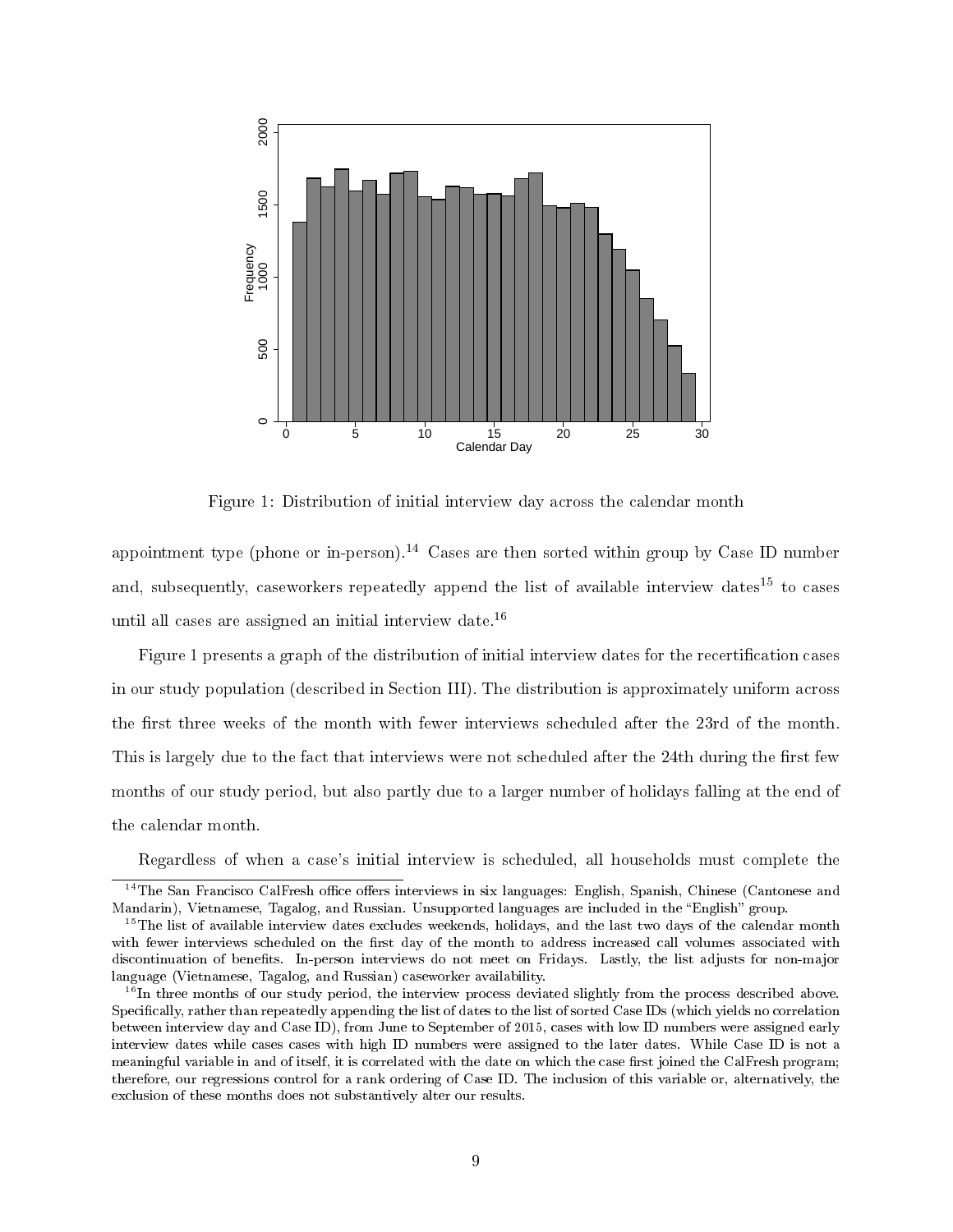

Figure 1: Distribution of initial interview day across the calendar month

appointment type (phone or in-person).<sup>14</sup> Cases are then sorted within group by Case ID number and, subsequently, caseworkers repeatedly append the list of available interview dates<sup>15</sup> to cases until all cases are assigned an initial interview date.<sup>16</sup>

Figure 1 presents a graph of the distribution of initial interview dates for the recertification cases in our study population (described in Section III). The distribution is approximately uniform across the first three weeks of the month with fewer interviews scheduled after the 23rd of the month. This is largely due to the fact that interviews were not scheduled after the 24th during the first few months of our study period, but also partly due to a larger number of holidays falling at the end of the calendar month.

Regardless of when a case's initial interview is scheduled, all households must complete the

 $14$ The San Francisco CalFresh office offers interviews in six languages: English, Spanish, Chinese (Cantonese and Mandarin), Vietnamese, Tagalog, and Russian. Unsupported languages are included in the "English" group.

 $^{15}$ The list of available interview dates excludes weekends, holidays, and the last two days of the calendar month with fewer interviews scheduled on the first day of the month to address increased call volumes associated with discontinuation of benets. In-person interviews do not meet on Fridays. Lastly, the list adjusts for non-major language (Vietnamese, Tagalog, and Russian) caseworker availability.

 $16$ In three months of our study period, the interview process deviated slightly from the process described above. Specifically, rather than repeatedly appending the list of dates to the list of sorted Case IDs (which yields no correlation between interview day and Case ID), from June to September of 2015, cases with low ID numbers were assigned early interview dates while cases cases with high ID numbers were assigned to the later dates. While Case ID is not a meaningful variable in and of itself, it is correlated with the date on which the case first joined the CalFresh program; therefore, our regressions control for a rank ordering of Case ID. The inclusion of this variable or, alternatively, the exclusion of these months does not substantively alter our results.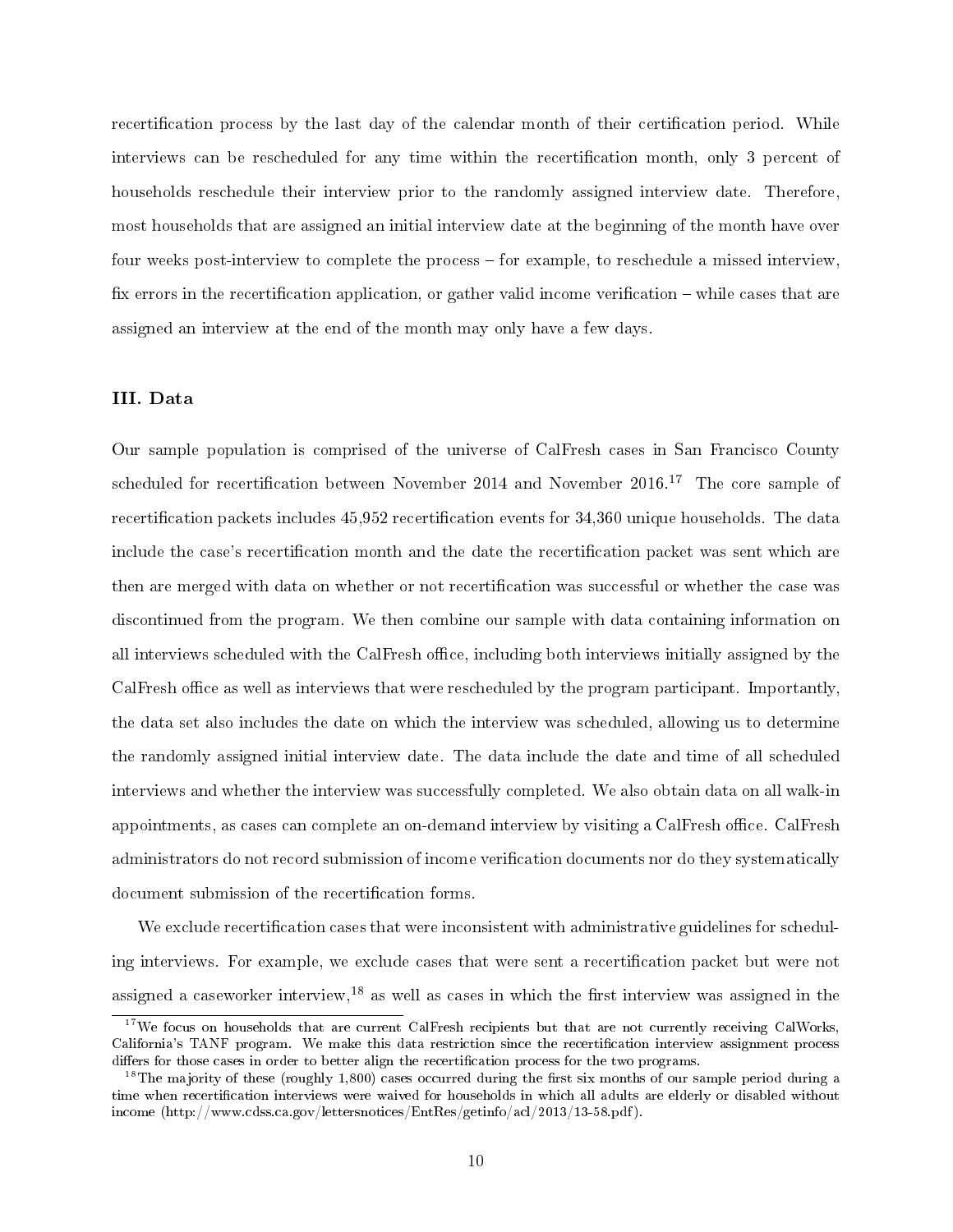recertification process by the last day of the calendar month of their certification period. While interviews can be rescheduled for any time within the recertification month, only 3 percent of households reschedule their interview prior to the randomly assigned interview date. Therefore, most households that are assigned an initial interview date at the beginning of the month have over four weeks post-interview to complete the process for example, to reschedule a missed interview, fix errors in the recertification application, or gather valid income verification  $-\omega$  while cases that are assigned an interview at the end of the month may only have a few days.

#### III. Data

Our sample population is comprised of the universe of CalFresh cases in San Francisco County scheduled for recertification between November 2014 and November  $2016$ .<sup>17</sup> The core sample of recertification packets includes 45,952 recertification events for 34,360 unique households. The data include the case's recertification month and the date the recertification packet was sent which are then are merged with data on whether or not recertification was successful or whether the case was discontinued from the program. We then combine our sample with data containing information on all interviews scheduled with the CalFresh office, including both interviews initially assigned by the CalFresh office as well as interviews that were rescheduled by the program participant. Importantly, the data set also includes the date on which the interview was scheduled, allowing us to determine the randomly assigned initial interview date. The data include the date and time of all scheduled interviews and whether the interview was successfully completed. We also obtain data on all walk-in appointments, as cases can complete an on-demand interview by visiting a CalFresh office. CalFresh administrators do not record submission of income verification documents nor do they systematically document submission of the recertification forms.

We exclude recertification cases that were inconsistent with administrative guidelines for scheduling interviews. For example, we exclude cases that were sent a recertification packet but were not assigned a caseworker interview,  $^{18}$  as well as cases in which the first interview was assigned in the

<sup>&</sup>lt;sup>17</sup>We focus on households that are current CalFresh recipients but that are not currently receiving CalWorks, California's TANF program. We make this data restriction since the recertication interview assignment process differs for those cases in order to better align the recertification process for the two programs.

 $^{18}$ The majority of these (roughly 1,800) cases occurred during the first six months of our sample period during a time when recertification interviews were waived for households in which all adults are elderly or disabled without income (http://www.cdss.ca.gov/lettersnotices/EntRes/getinfo/acl/2013/13-58.pdf).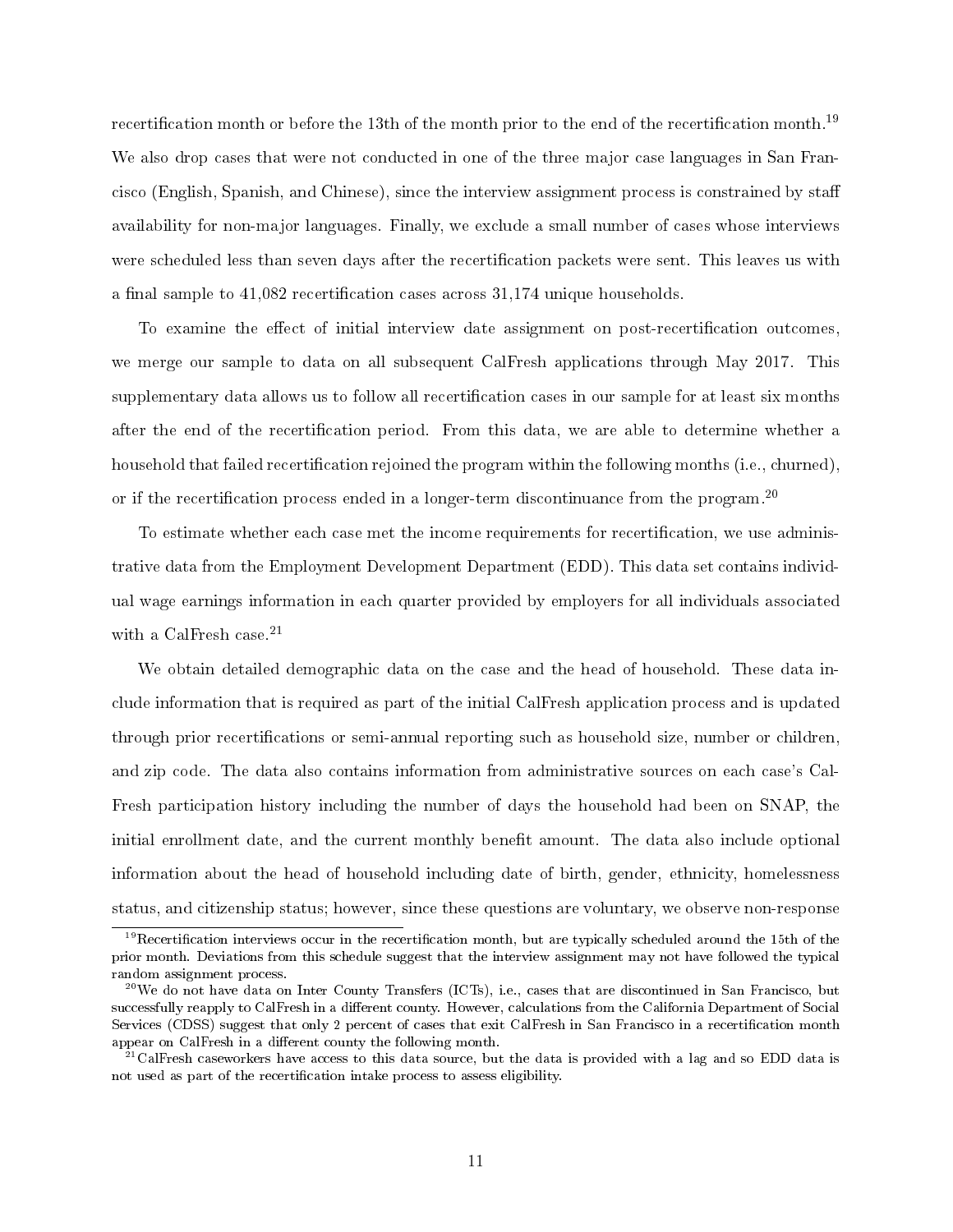recertification month or before the 13th of the month prior to the end of the recertification month.<sup>19</sup> We also drop cases that were not conducted in one of the three major case languages in San Francisco (English, Spanish, and Chinese), since the interview assignment process is constrained by sta availability for non-major languages. Finally, we exclude a small number of cases whose interviews were scheduled less than seven days after the recertification packets were sent. This leaves us with a final sample to  $41,082$  recertification cases across  $31,174$  unique households.

To examine the effect of initial interview date assignment on post-recertification outcomes, we merge our sample to data on all subsequent CalFresh applications through May 2017. This supplementary data allows us to follow all recertification cases in our sample for at least six months after the end of the recertication period. From this data, we are able to determine whether a household that failed recertification rejoined the program within the following months (i.e., churned), or if the recertification process ended in a longer-term discontinuance from the program.<sup>20</sup>

To estimate whether each case met the income requirements for recertification, we use administrative data from the Employment Development Department (EDD). This data set contains individual wage earnings information in each quarter provided by employers for all individuals associated with a CalFresh case.<sup>21</sup>

We obtain detailed demographic data on the case and the head of household. These data include information that is required as part of the initial CalFresh application process and is updated through prior recertifications or semi-annual reporting such as household size, number or children, and zip code. The data also contains information from administrative sources on each case's Cal-Fresh participation history including the number of days the household had been on SNAP, the initial enrollment date, and the current monthly benefit amount. The data also include optional information about the head of household including date of birth, gender, ethnicity, homelessness status, and citizenship status; however, since these questions are voluntary, we observe non-response

 $19$ Recertification interviews occur in the recertification month, but are typically scheduled around the 15th of the prior month. Deviations from this schedule suggest that the interview assignment may not have followed the typical random assignment process.

 $^{20}\text{We do not have data on Inter County Transfers (ICTs), i.e., cases that are discontinued in San Francisco, but}$ successfully reapply to CalFresh in a different county. However, calculations from the California Department of Social Services (CDSS) suggest that only 2 percent of cases that exit CalFresh in San Francisco in a recertification month appear on CalFresh in a different county the following month.

 $^{21}$ CalFresh caseworkers have access to this data source, but the data is provided with a lag and so EDD data is not used as part of the recertification intake process to assess eligibility.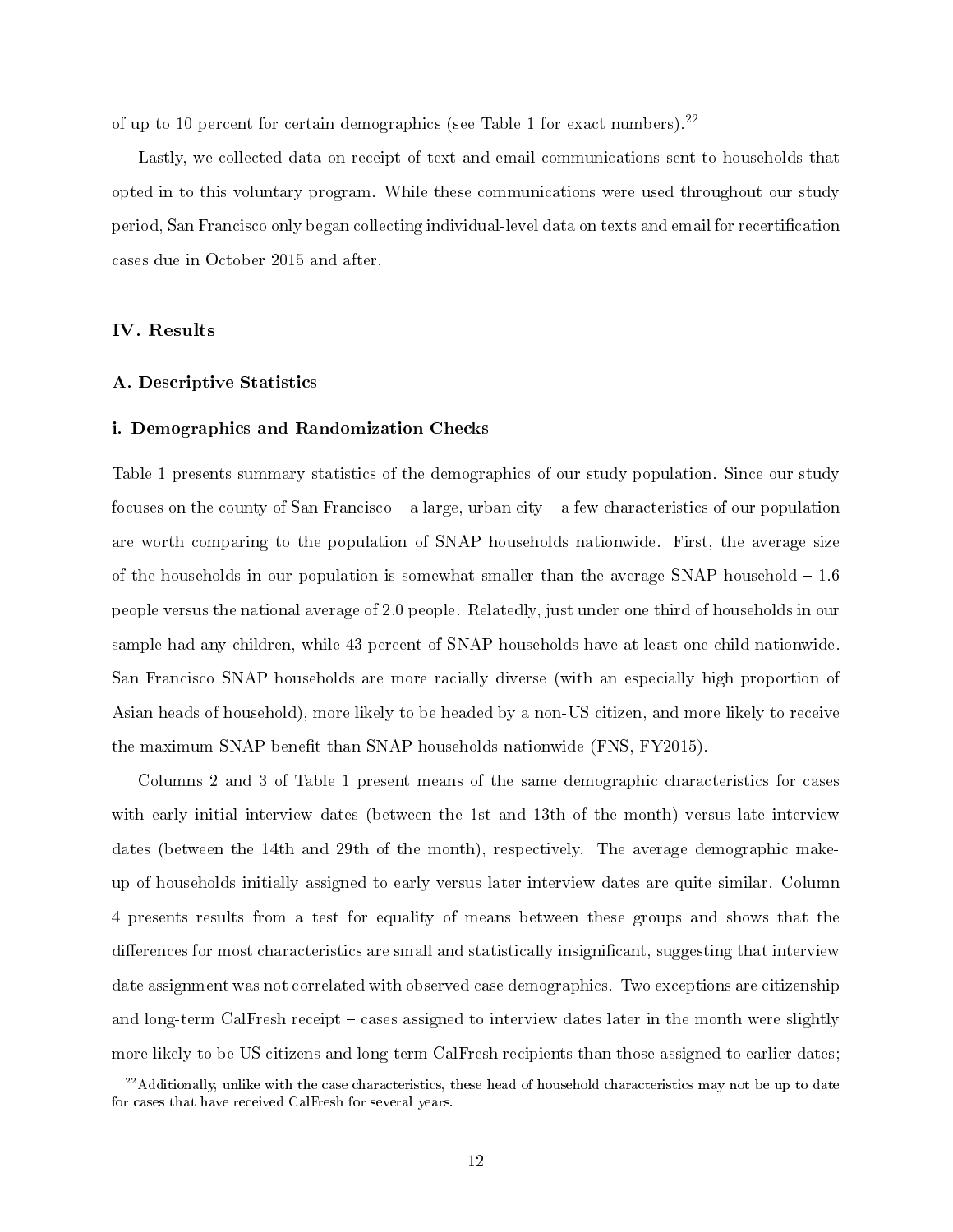of up to 10 percent for certain demographics (see Table 1 for exact numbers).<sup>22</sup>

Lastly, we collected data on receipt of text and email communications sent to households that opted in to this voluntary program. While these communications were used throughout our study period, San Francisco only began collecting individual-level data on texts and email for recertication cases due in October 2015 and after.

IV. Results

#### A. Descriptive Statistics

#### i. Demographics and Randomization Checks

Table 1 presents summary statistics of the demographics of our study population. Since our study focuses on the county of San Francisco  $-$  a large, urban city  $-$  a few characteristics of our population are worth comparing to the population of SNAP households nationwide. First, the average size of the households in our population is somewhat smaller than the average SNAP household  $-1.6$ people versus the national average of 2.0 people. Relatedly, just under one third of households in our sample had any children, while 43 percent of SNAP households have at least one child nationwide. San Francisco SNAP households are more racially diverse (with an especially high proportion of Asian heads of household), more likely to be headed by a non-US citizen, and more likely to receive the maximum SNAP benefit than SNAP households nationwide  $(FNS, FY2015)$ .

Columns 2 and 3 of Table 1 present means of the same demographic characteristics for cases with early initial interview dates (between the 1st and 13th of the month) versus late interview dates (between the 14th and 29th of the month), respectively. The average demographic makeup of households initially assigned to early versus later interview dates are quite similar. Column 4 presents results from a test for equality of means between these groups and shows that the differences for most characteristics are small and statistically insignificant, suggesting that interview date assignment was not correlated with observed case demographics. Two exceptions are citizenship and long-term CalFresh receipt - cases assigned to interview dates later in the month were slightly more likely to be US citizens and long-term CalFresh recipients than those assigned to earlier dates;

 $^{22}$ Additionally, unlike with the case characteristics, these head of household characteristics may not be up to date for cases that have received CalFresh for several years.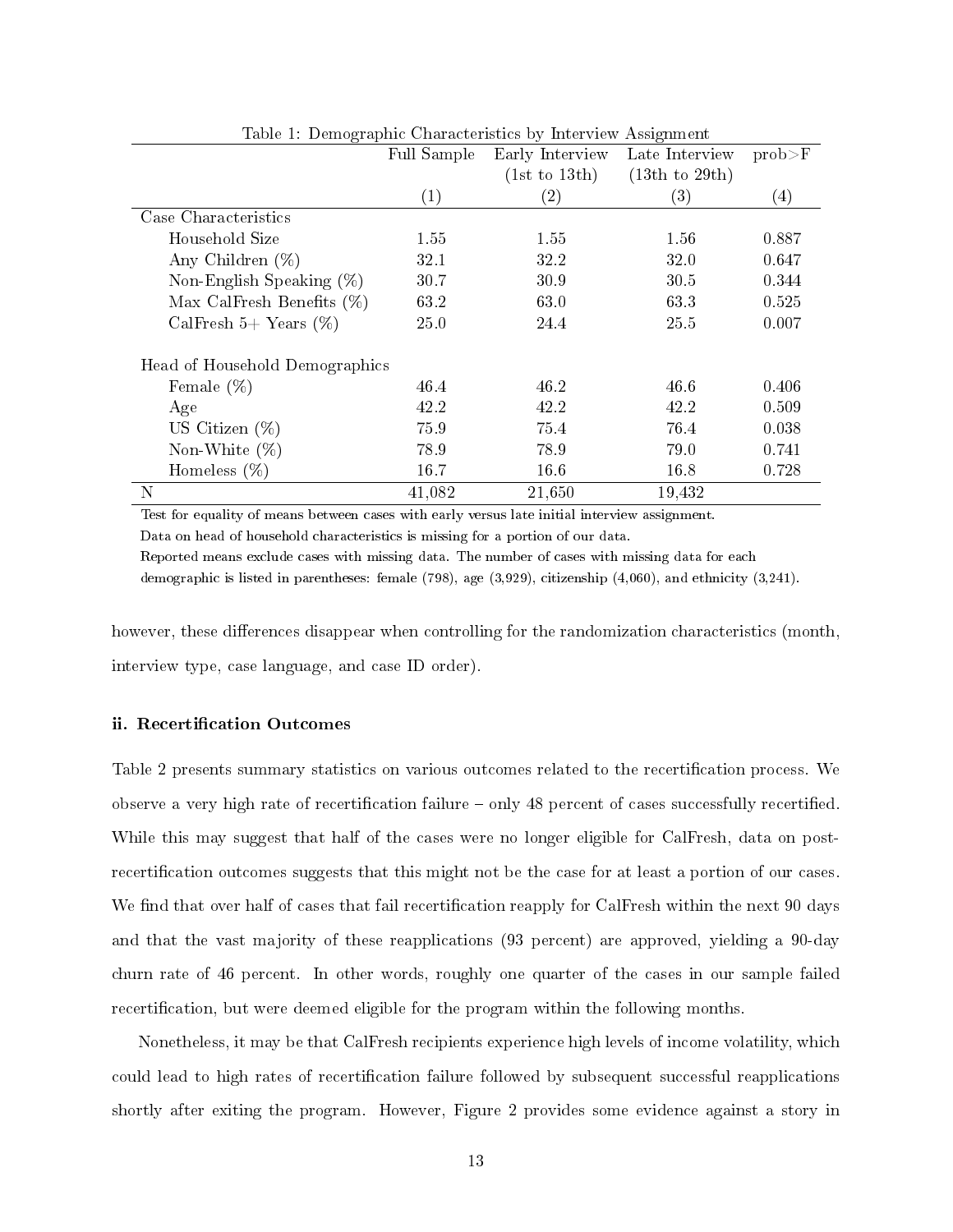|                                | Full Sample | Early Interview | Late Interview | $prob$ $\geq$ $F$ |
|--------------------------------|-------------|-----------------|----------------|-------------------|
|                                |             | (1st to 13th)   | (13th to 29th) |                   |
|                                | (1)         | (2)             | (3)            | (4)               |
| Case Characteristics           |             |                 |                |                   |
| Household Size                 | 1.55        | 1.55            | 1.56           | 0.887             |
| Any Children $(\%)$            | 32.1        | 32.2            | 32.0           | 0.647             |
| Non-English Speaking $(\%)$    | 30.7        | 30.9            | 30.5           | 0.344             |
| Max CalFresh Benefits $(\%)$   | 63.2        | 63.0            | 63.3           | 0.525             |
| CalFresh 5+ Years $(\%)$       | 25.0        | 24.4            | 25.5           | 0.007             |
| Head of Household Demographics |             |                 |                |                   |
| Female $(\%)$                  | 46.4        | 46.2            | 46.6           | 0.406             |
| Age                            | 42.2        | 42.2            | 42.2           | 0.509             |
| US Citizen $(\%)$              | 75.9        | 75.4            | 76.4           | 0.038             |
| Non-White $(\%)$               | 78.9        | 78.9            | 79.0           | 0.741             |
| Homeless $(\%)$                | 16.7        | 16.6            | 16.8           | 0.728             |
| $\mathbf N$                    | 41,082      | 21,650          | 19,432         |                   |

Table 1: Demographic Characteristics by Interview Assignment

Test for equality of means between cases with early versus late initial interview assignment.

Data on head of household characteristics is missing for a portion of our data.

Reported means exclude cases with missing data. The number of cases with missing data for each

demographic is listed in parentheses: female (798), age (3,929), citizenship (4,060), and ethnicity (3,241).

however, these differences disappear when controlling for the randomization characteristics (month, interview type, case language, and case ID order).

#### ii. Recertification Outcomes

Table 2 presents summary statistics on various outcomes related to the recertification process. We observe a very high rate of recertification failure – only 48 percent of cases successfully recertified. While this may suggest that half of the cases were no longer eligible for CalFresh, data on postrecertification outcomes suggests that this might not be the case for at least a portion of our cases. We find that over half of cases that fail recertification reapply for CalFresh within the next 90 days and that the vast majority of these reapplications (93 percent) are approved, yielding a 90-day churn rate of 46 percent. In other words, roughly one quarter of the cases in our sample failed recertification, but were deemed eligible for the program within the following months.

Nonetheless, it may be that CalFresh recipients experience high levels of income volatility, which could lead to high rates of recertification failure followed by subsequent successful reapplications shortly after exiting the program. However, Figure 2 provides some evidence against a story in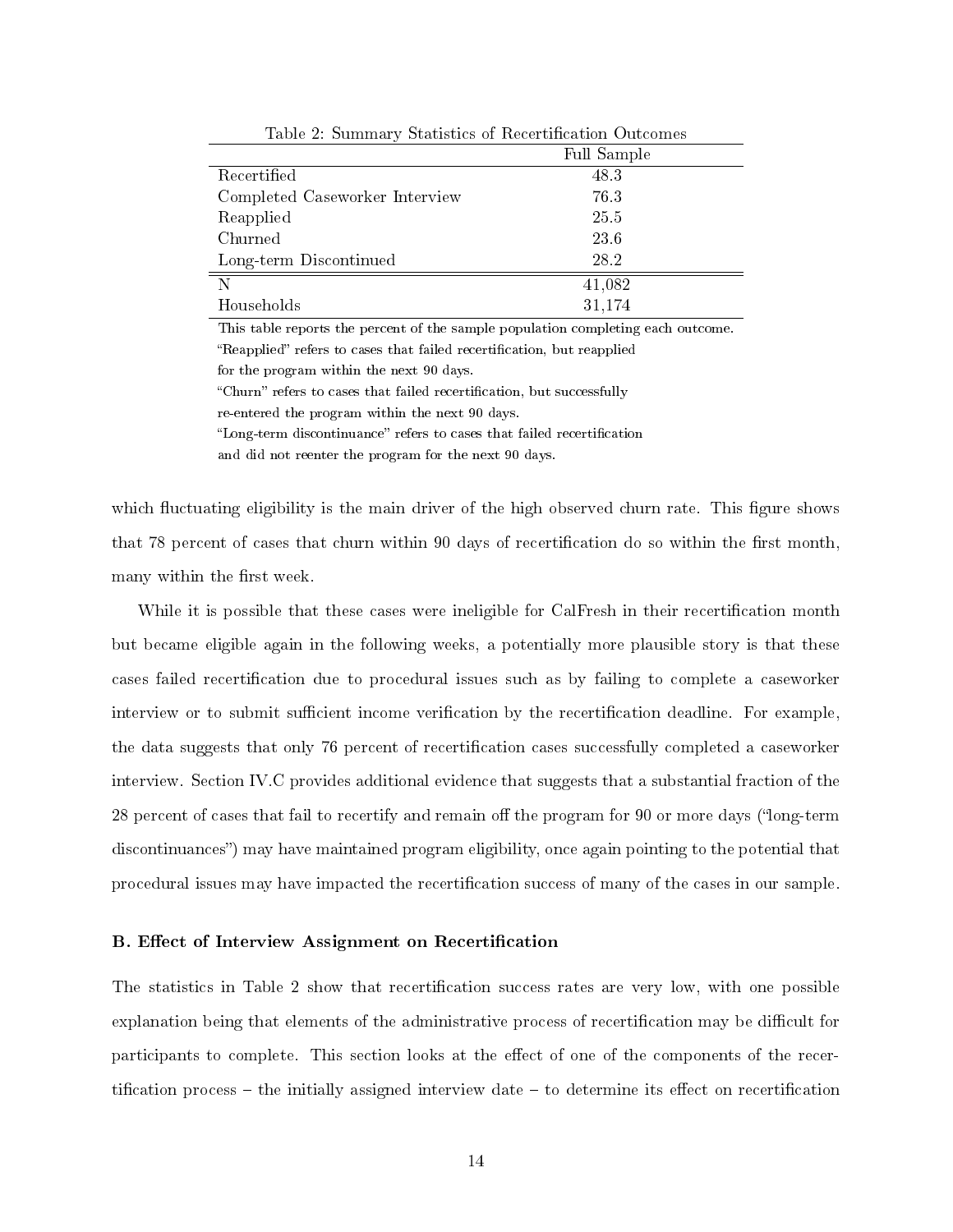|                                | Full Sample |
|--------------------------------|-------------|
| Recertified                    | 48.3        |
| Completed Caseworker Interview | 76.3        |
| Reapplied                      | 25.5        |
| Churned                        | 23.6        |
| Long-term Discontinued         | 28.2        |
| N                              | 41,082      |
| Households                     | 31,174      |
|                                |             |

Table 2: Summary Statistics of Recertification Outcomes

This table reports the percent of the sample population completing each outcome. "Reapplied" refers to cases that failed recertification, but reapplied for the program within the next 90 days.

"Churn" refers to cases that failed recertification, but successfully re-entered the program within the next 90 days.

"Long-term discontinuance" refers to cases that failed recertification

and did not reenter the program for the next 90 days.

which fluctuating eligibility is the main driver of the high observed churn rate. This figure shows that 78 percent of cases that churn within 90 days of recertification do so within the first month, many within the first week.

While it is possible that these cases were ineligible for CalFresh in their recertification month but became eligible again in the following weeks, a potentially more plausible story is that these cases failed recertification due to procedural issues such as by failing to complete a caseworker interview or to submit sufficient income verification by the recertification deadline. For example, the data suggests that only 76 percent of recertification cases successfully completed a caseworker interview. Section IV.C provides additional evidence that suggests that a substantial fraction of the 28 percent of cases that fail to recertify and remain off the program for 90 or more days ("long-term") discontinuances") may have maintained program eligibility, once again pointing to the potential that procedural issues may have impacted the recertication success of many of the cases in our sample.

#### B. Effect of Interview Assignment on Recertification

The statistics in Table 2 show that recertification success rates are very low, with one possible explanation being that elements of the administrative process of recertification may be difficult for participants to complete. This section looks at the effect of one of the components of the recertification process  $-$  the initially assigned interview date  $-$  to determine its effect on recertification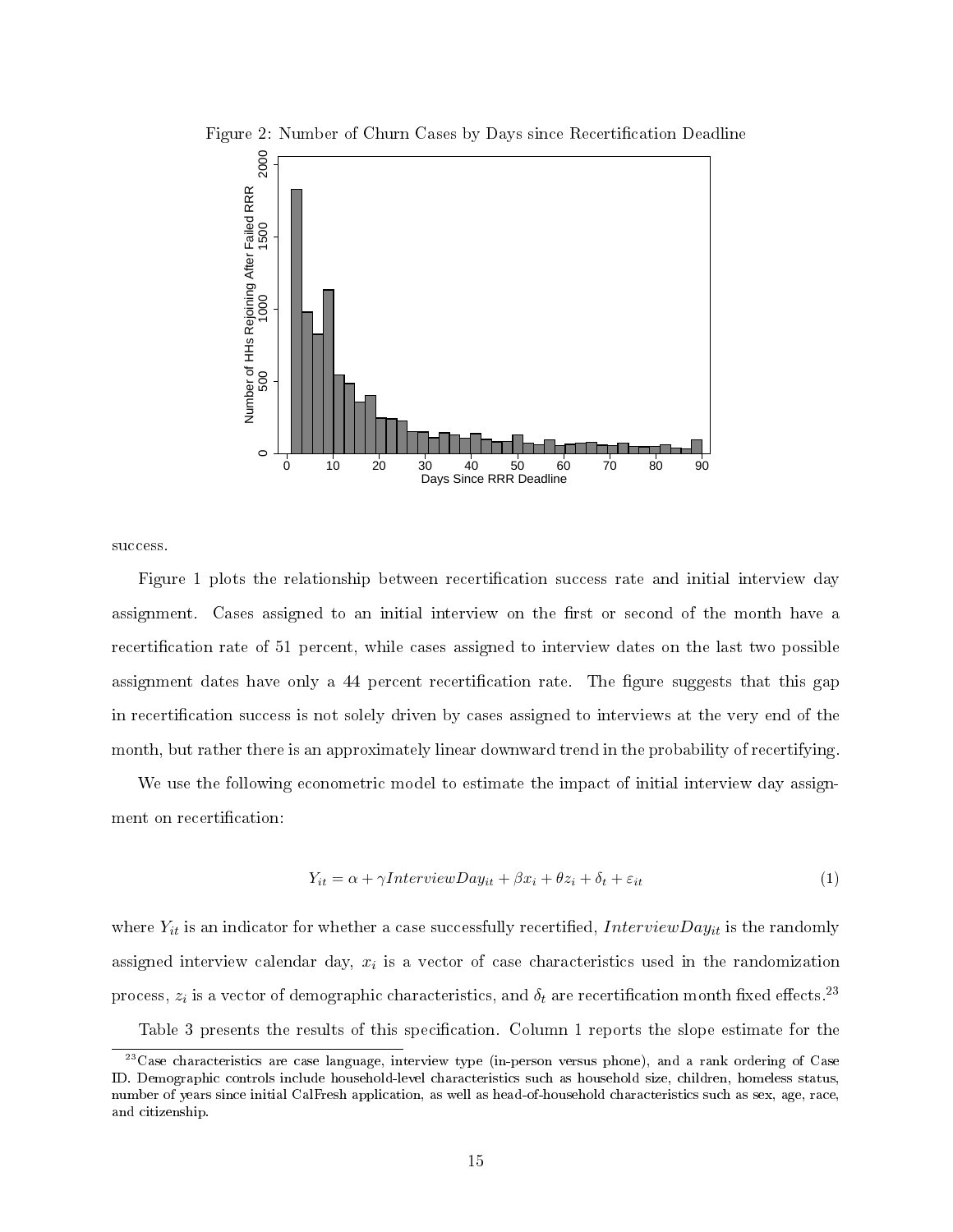

Figure 2: Number of Churn Cases by Days since Recertification Deadline

success.

Figure 1 plots the relationship between recertification success rate and initial interview day assignment. Cases assigned to an initial interview on the first or second of the month have a recertification rate of 51 percent, while cases assigned to interview dates on the last two possible assignment dates have only a 44 percent recertification rate. The figure suggests that this gap in recertification success is not solely driven by cases assigned to interviews at the very end of the month, but rather there is an approximately linear downward trend in the probability of recertifying.

We use the following econometric model to estimate the impact of initial interview day assignment on recertification:

$$
Y_{it} = \alpha + \gamma InterviewDay_{it} + \beta x_i + \theta z_i + \delta_t + \varepsilon_{it}
$$
\n<sup>(1)</sup>

where  $Y_{it}$  is an indicator for whether a case successfully recertified, InterviewDay<sub>it</sub> is the randomly assigned interview calendar day,  $x_i$  is a vector of case characteristics used in the randomization process,  $z_i$  is a vector of demographic characteristics, and  $\delta_t$  are recertification month fixed effects. $^{23}$ Table 3 presents the results of this specification. Column 1 reports the slope estimate for the

 $^{23}$ Case characteristics are case language, interview type (in-person versus phone), and a rank ordering of Case ID. Demographic controls include household-level characteristics such as household size, children, homeless status, number of years since initial CalFresh application, as well as head-of-household characteristics such as sex, age, race, and citizenship.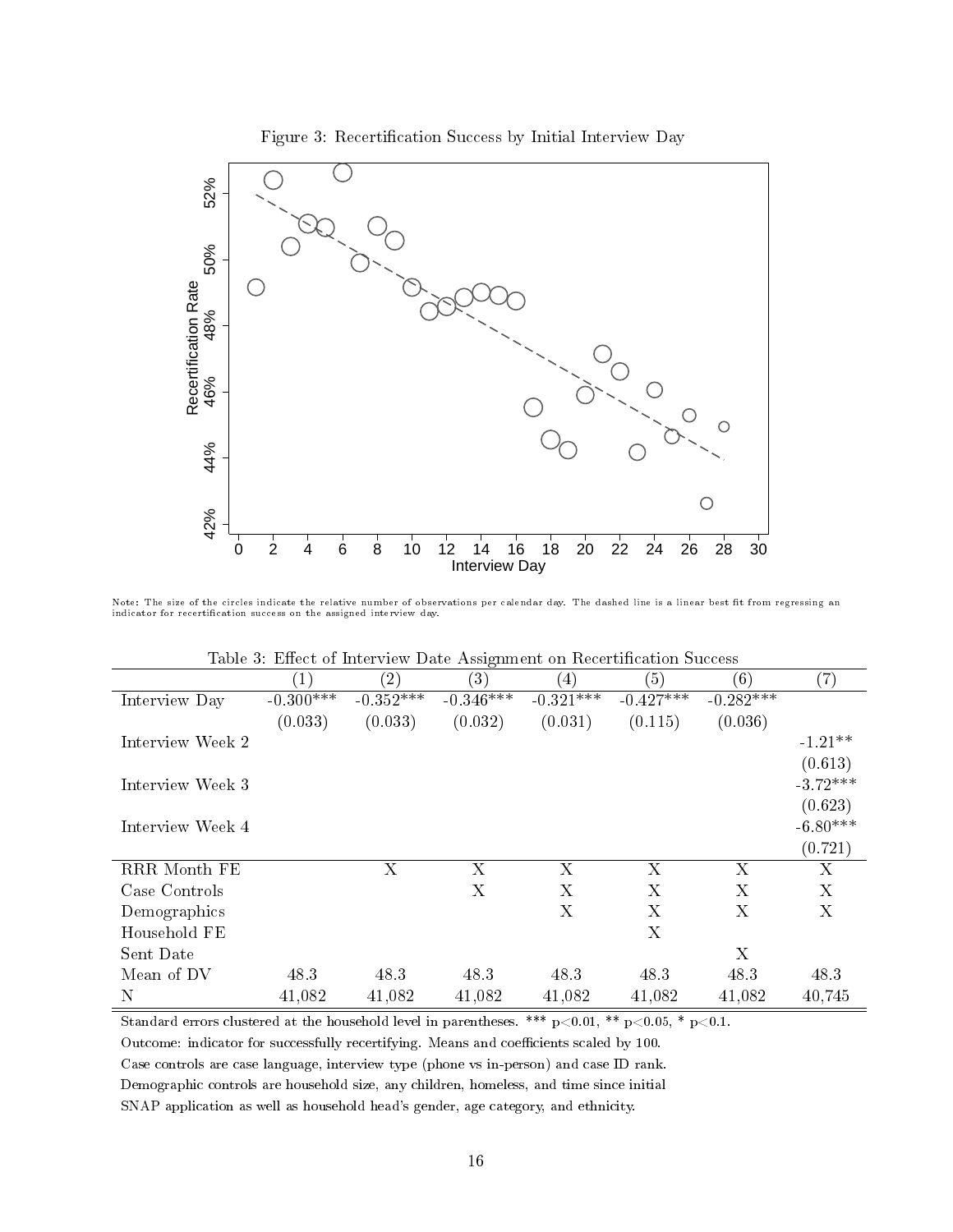

Figure 3: Recertification Success by Initial Interview Day

Note: The size of the circles indicate the relative number of observations per calendar day. The dashed line is a linear best fit from regressing an

indicator for recertification success on the assigned interview day.

| Table 3: Effect of Interview Date Assignment on Recertification Success |  |
|-------------------------------------------------------------------------|--|
|-------------------------------------------------------------------------|--|

|                  | $\left( 1\right)$ | (2)            | (3)         | $\left(4\right)$ | (5)                       | (6)         | $\left( 7\right)$ |
|------------------|-------------------|----------------|-------------|------------------|---------------------------|-------------|-------------------|
| Interview Day    | $-0.300***$       | $-0.352***$    | $-0.346***$ | $-0.321***$      | $-0.427***$               | $-0.282***$ |                   |
|                  | (0.033)           | (0.033)        | (0.032)     | (0.031)          | (0.115)                   | (0.036)     |                   |
| Interview Week 2 |                   |                |             |                  |                           |             | $-1.21**$         |
|                  |                   |                |             |                  |                           |             | (0.613)           |
| Interview Week 3 |                   |                |             |                  |                           |             | $-3.72***$        |
|                  |                   |                |             |                  |                           |             | (0.623)           |
| Interview Week 4 |                   |                |             |                  |                           |             | $-6.80***$        |
|                  |                   |                |             |                  |                           |             | (0.721)           |
| RRR Month FE     |                   | $\overline{X}$ | Χ           | X                | $\boldsymbol{\mathrm{X}}$ | X           | X                 |
| Case Controls    |                   |                | X           | X                | X                         | X           | X                 |
| Demographics     |                   |                |             | Χ                | $\boldsymbol{\mathrm{X}}$ | X           | X                 |
| Household FE     |                   |                |             |                  | $\boldsymbol{\mathrm{X}}$ |             |                   |
| Sent Date        |                   |                |             |                  |                           | X           |                   |
| Mean of DV       | 48.3              | 48.3           | 48.3        | 48.3             | 48.3                      | 48.3        | 48.3              |
| N                | 41,082            | 41,082         | 41,082      | 41,082           | 41,082                    | 41,082      | 40,745            |

Standard errors clustered at the household level in parentheses. \*\*\*  $p<0.01$ , \*\*  $p<0.05$ , \*  $p<0.1$ .

Outcome: indicator for successfully recertifying. Means and coefficients scaled by 100.

Case controls are case language, interview type (phone vs in-person) and case ID rank.

Demographic controls are household size, any children, homeless, and time since initial

SNAP application as well as household head's gender, age category, and ethnicity.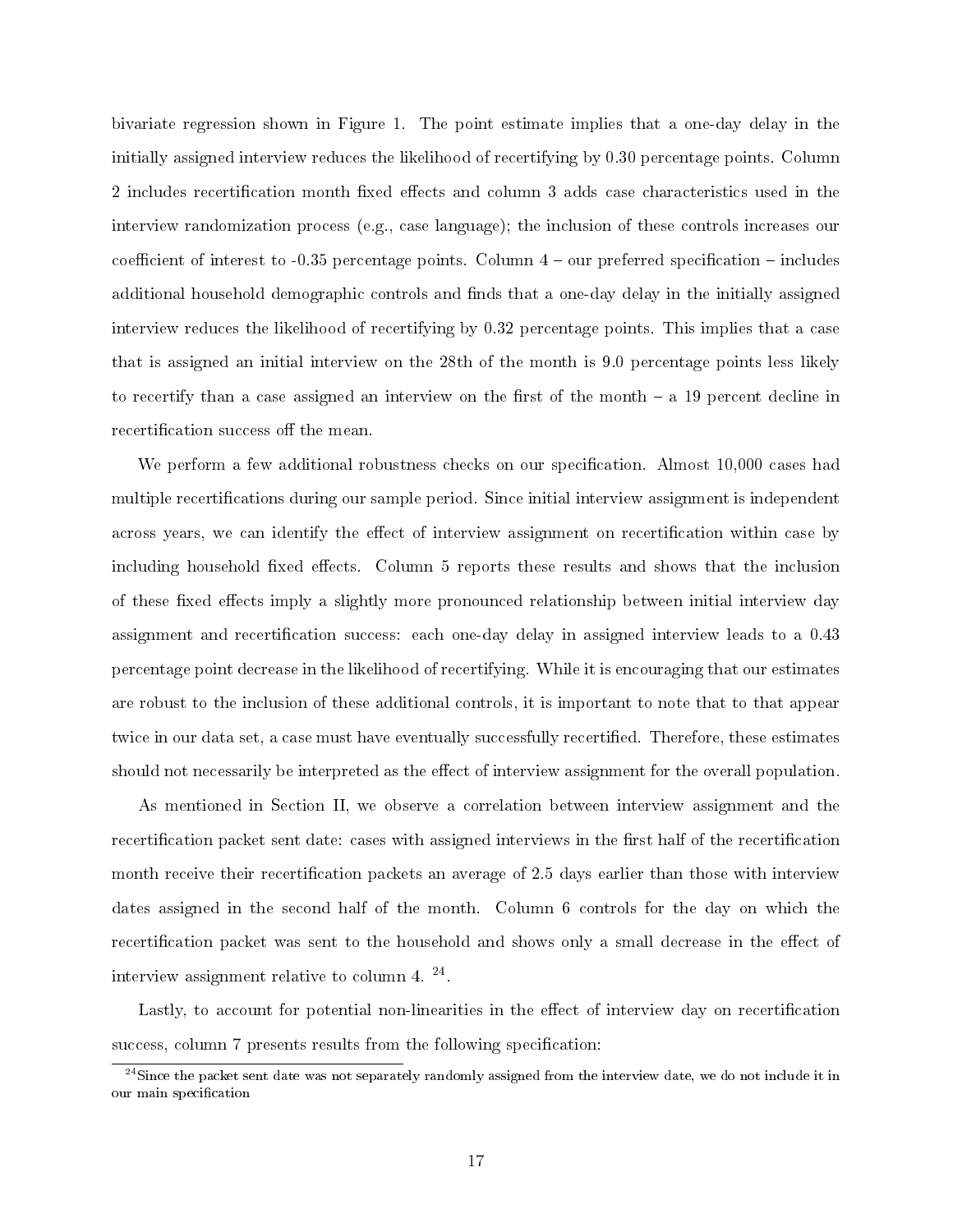bivariate regression shown in Figure 1. The point estimate implies that a one-day delay in the initially assigned interview reduces the likelihood of recertifying by 0.30 percentage points. Column 2 includes recertification month fixed effects and column 3 adds case characteristics used in the interview randomization process (e.g., case language); the inclusion of these controls increases our coefficient of interest to  $-0.35$  percentage points. Column  $4$  – our preferred specification – includes additional household demographic controls and finds that a one-day delay in the initially assigned interview reduces the likelihood of recertifying by 0.32 percentage points. This implies that a case that is assigned an initial interview on the 28th of the month is 9.0 percentage points less likely to recertify than a case assigned an interview on the first of the month  $-$  a 19 percent decline in recertification success of the mean.

We perform a few additional robustness checks on our specification. Almost 10,000 cases had multiple recertifications during our sample period. Since initial interview assignment is independent across years, we can identify the effect of interview assignment on recertification within case by including household fixed effects. Column 5 reports these results and shows that the inclusion of these fixed effects imply a slightly more pronounced relationship between initial interview day assignment and recertification success: each one-day delay in assigned interview leads to a 0.43 percentage point decrease in the likelihood of recertifying. While it is encouraging that our estimates are robust to the inclusion of these additional controls, it is important to note that to that appear twice in our data set, a case must have eventually successfully recertified. Therefore, these estimates should not necessarily be interpreted as the effect of interview assignment for the overall population.

As mentioned in Section II, we observe a correlation between interview assignment and the recertification packet sent date: cases with assigned interviews in the first half of the recertification month receive their recertification packets an average of 2.5 days earlier than those with interview dates assigned in the second half of the month. Column 6 controls for the day on which the recertification packet was sent to the household and shows only a small decrease in the effect of interview assignment relative to column 4.  $^{24}$ .

Lastly, to account for potential non-linearities in the effect of interview day on recertification success, column 7 presents results from the following specification:

 $^{24}$ Since the packet sent date was not separately randomly assigned from the interview date, we do not include it in our main specification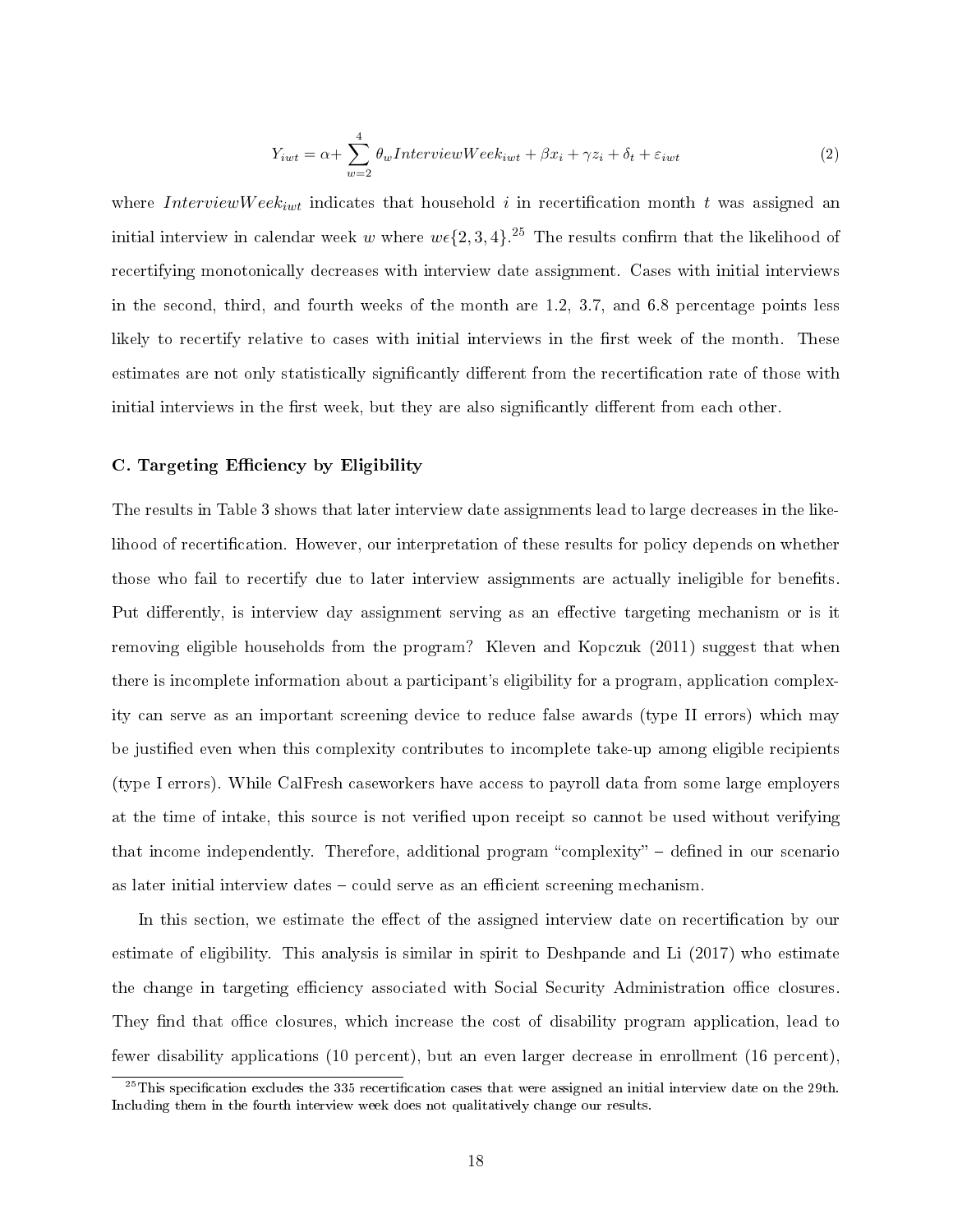$$
Y_{iwt} = \alpha + \sum_{w=2}^{4} \theta_w \text{InterviewWeek}_{iwt} + \beta x_i + \gamma z_i + \delta_t + \varepsilon_{iwt} \tag{2}
$$

where InterviewWeek<sub>iwt</sub> indicates that household i in recertification month t was assigned an initial interview in calendar week  $w$  where  $w\epsilon\{2,3,4\}$ .<sup>25</sup> The results confirm that the likelihood of recertifying monotonically decreases with interview date assignment. Cases with initial interviews in the second, third, and fourth weeks of the month are 1.2, 3.7, and 6.8 percentage points less likely to recertify relative to cases with initial interviews in the first week of the month. These estimates are not only statistically significantly different from the recertification rate of those with initial interviews in the first week, but they are also significantly different from each other.

#### C. Targeting Efficiency by Eligibility

The results in Table 3 shows that later interview date assignments lead to large decreases in the likelihood of recertification. However, our interpretation of these results for policy depends on whether those who fail to recertify due to later interview assignments are actually ineligible for benets. Put differently, is interview day assignment serving as an effective targeting mechanism or is it removing eligible households from the program? Kleven and Kopczuk (2011) suggest that when there is incomplete information about a participant's eligibility for a program, application complexity can serve as an important screening device to reduce false awards (type II errors) which may be justified even when this complexity contributes to incomplete take-up among eligible recipients (type I errors). While CalFresh caseworkers have access to payroll data from some large employers at the time of intake, this source is not verified upon receipt so cannot be used without verifying that income independently. Therefore, additional program "complexity"  $-$  defined in our scenario as later initial interview dates – could serve as an efficient screening mechanism.

In this section, we estimate the effect of the assigned interview date on recertification by our estimate of eligibility. This analysis is similar in spirit to Deshpande and Li (2017) who estimate the change in targeting efficiency associated with Social Security Administration office closures. They find that office closures, which increase the cost of disability program application, lead to fewer disability applications (10 percent), but an even larger decrease in enrollment (16 percent),

 $^{25}$ This specification excludes the 335 recertification cases that were assigned an initial interview date on the 29th. Including them in the fourth interview week does not qualitatively change our results.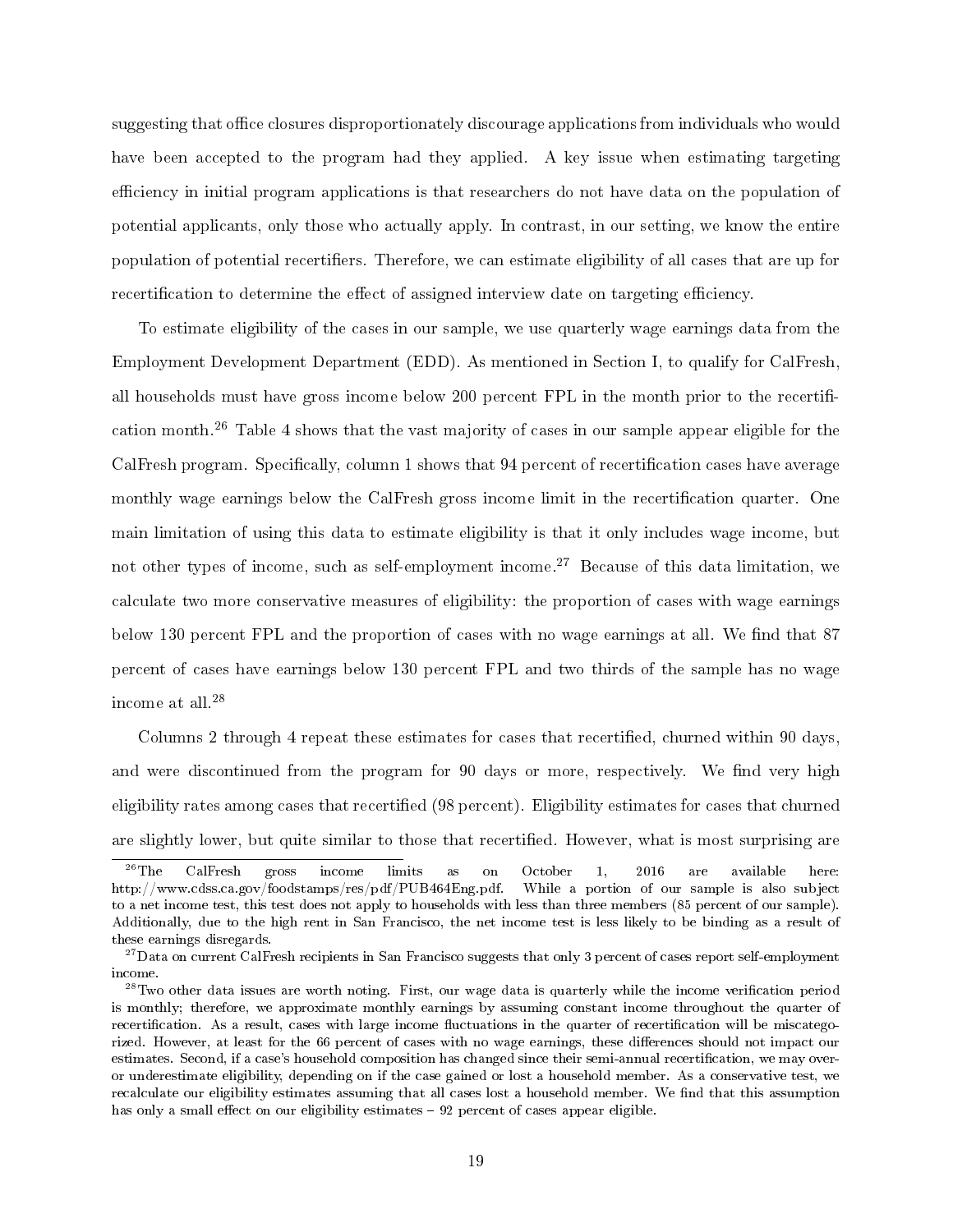suggesting that office closures disproportionately discourage applications from individuals who would have been accepted to the program had they applied. A key issue when estimating targeting efficiency in initial program applications is that researchers do not have data on the population of potential applicants, only those who actually apply. In contrast, in our setting, we know the entire population of potential recertifiers. Therefore, we can estimate eligibility of all cases that are up for recertification to determine the effect of assigned interview date on targeting efficiency.

To estimate eligibility of the cases in our sample, we use quarterly wage earnings data from the Employment Development Department (EDD). As mentioned in Section I, to qualify for CalFresh, all households must have gross income below 200 percent FPL in the month prior to the recertification month.<sup>26</sup> Table 4 shows that the vast majority of cases in our sample appear eligible for the CalFresh program. Specifically, column 1 shows that 94 percent of recertification cases have average monthly wage earnings below the CalFresh gross income limit in the recertification quarter. One main limitation of using this data to estimate eligibility is that it only includes wage income, but not other types of income, such as self-employment income.<sup>27</sup> Because of this data limitation, we calculate two more conservative measures of eligibility: the proportion of cases with wage earnings below 130 percent FPL and the proportion of cases with no wage earnings at all. We find that 87 percent of cases have earnings below 130 percent FPL and two thirds of the sample has no wage income at all. $^{28}$ 

Columns 2 through 4 repeat these estimates for cases that recertified, churned within 90 days, and were discontinued from the program for 90 days or more, respectively. We find very high eligibility rates among cases that recertied (98 percent). Eligibility estimates for cases that churned are slightly lower, but quite similar to those that recertified. However, what is most surprising are

 $^{26}\mathrm{The}$  CalFresh gross income limits as on October 1, 2016 are available here: http://www.cdss.ca.gov/foodstamps/res/pdf/PUB464Eng.pdf. While a portion of our sample is also subject to a net income test, this test does not apply to households with less than three members (85 percent of our sample). Additionally, due to the high rent in San Francisco, the net income test is less likely to be binding as a result of these earnings disregards.

 $27$ Data on current CalFresh recipients in San Francisco suggests that only 3 percent of cases report self-employment income.

 $^{28}$ Two other data issues are worth noting. First, our wage data is quarterly while the income verification period is monthly; therefore, we approximate monthly earnings by assuming constant income throughout the quarter of recertification. As a result, cases with large income fluctuations in the quarter of recertification will be miscategorized. However, at least for the 66 percent of cases with no wage earnings, these differences should not impact our estimates. Second, if a case's household composition has changed since their semi-annual recertification, we may overor underestimate eligibility, depending on if the case gained or lost a household member. As a conservative test, we recalculate our eligibility estimates assuming that all cases lost a household member. We find that this assumption has only a small effect on our eligibility estimates  $-92$  percent of cases appear eligible.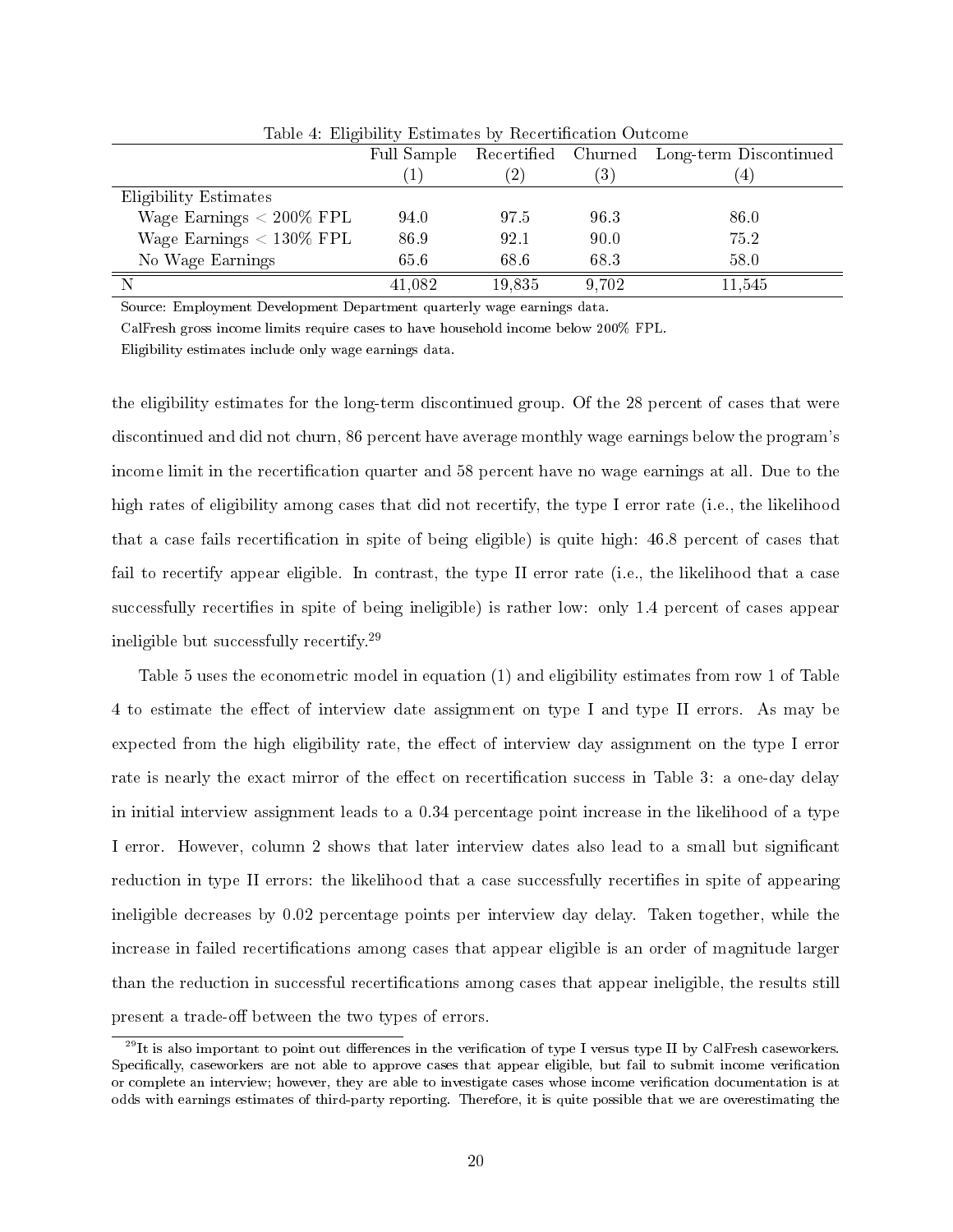|                             | Full Sample | Recertified Churned |                  | Long-term Discontinued |
|-----------------------------|-------------|---------------------|------------------|------------------------|
|                             |             |                     | $\left(3\right)$ | 4                      |
| Eligibility Estimates       |             |                     |                  |                        |
| Wage Earnings $< 200\%$ FPL | 94.0        | 97.5                | 96 3             | 86.0                   |
| Wage Earnings $< 130\%$ FPL | 86.9        | 92.1                | 90.0             | 75.2                   |
| No Wage Earnings            | 65.6        | 68.6                | 68.3             | 58.0                   |
|                             | 41,082      | 19,835              | 9.702            | 11,545                 |

Table 4: Eligibility Estimates by Recertification Outcome

Source: Employment Development Department quarterly wage earnings data.

CalFresh gross income limits require cases to have household income below 200% FPL.

Eligibility estimates include only wage earnings data.

the eligibility estimates for the long-term discontinued group. Of the 28 percent of cases that were discontinued and did not churn, 86 percent have average monthly wage earnings below the program's income limit in the recertification quarter and 58 percent have no wage earnings at all. Due to the high rates of eligibility among cases that did not recertify, the type I error rate (i.e., the likelihood that a case fails recertification in spite of being eligible) is quite high: 46.8 percent of cases that fail to recertify appear eligible. In contrast, the type II error rate (i.e., the likelihood that a case successfully recertifies in spite of being ineligible) is rather low: only 1.4 percent of cases appear ineligible but successfully recertify.<sup>29</sup>

Table 5 uses the econometric model in equation (1) and eligibility estimates from row 1 of Table 4 to estimate the effect of interview date assignment on type I and type II errors. As may be expected from the high eligibility rate, the effect of interview day assignment on the type I error rate is nearly the exact mirror of the effect on recertification success in Table 3: a one-day delay in initial interview assignment leads to a 0.34 percentage point increase in the likelihood of a type I error. However, column 2 shows that later interview dates also lead to a small but signicant reduction in type II errors: the likelihood that a case successfully recertifies in spite of appearing ineligible decreases by 0.02 percentage points per interview day delay. Taken together, while the increase in failed recertifications among cases that appear eligible is an order of magnitude larger than the reduction in successful recertifications among cases that appear ineligible, the results still present a trade-off between the two types of errors.

 $^{29}$ It is also important to point out differences in the verification of type I versus type II by CalFresh caseworkers. Specifically, caseworkers are not able to approve cases that appear eligible, but fail to submit income verification or complete an interview; however, they are able to investigate cases whose income verication documentation is at odds with earnings estimates of third-party reporting. Therefore, it is quite possible that we are overestimating the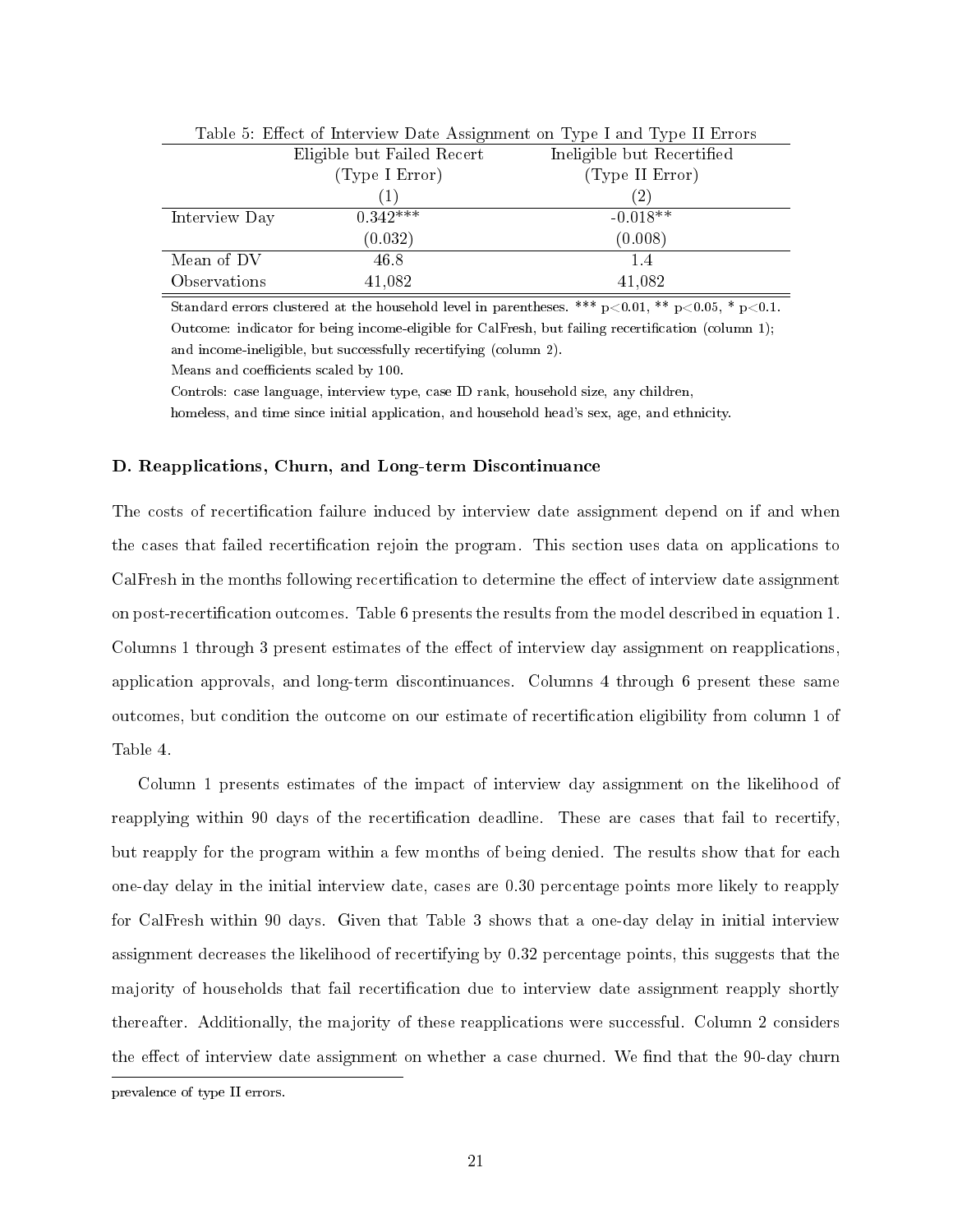| Table 5: Effect of Interview Date Assignment on Type I and Type II Errors |                            |                            |  |  |  |
|---------------------------------------------------------------------------|----------------------------|----------------------------|--|--|--|
|                                                                           | Eligible but Failed Recert | Ineligible but Recertified |  |  |  |
|                                                                           | (Type I Error)             | (Type II Error)            |  |  |  |
|                                                                           |                            | (2)                        |  |  |  |
| Interview Day                                                             | $0.342***$                 | $-0.018**$                 |  |  |  |
|                                                                           | (0.032)                    | (0.008)                    |  |  |  |
| Mean of DV                                                                | 46.8                       | 1.4                        |  |  |  |
| Observations                                                              | 41,082                     | 41,082                     |  |  |  |

Standard errors clustered at the household level in parentheses. \*\*\*  $p<0.01$ , \*\*  $p<0.05$ , \*  $p<0.1$ . Outcome: indicator for being income-eligible for CalFresh, but failing recertification (column 1); and income-ineligible, but successfully recertifying (column 2).

Means and coefficients scaled by 100.

Controls: case language, interview type, case ID rank, household size, any children,

homeless, and time since initial application, and household head's sex, age, and ethnicity.

#### D. Reapplications, Churn, and Long-term Discontinuance

The costs of recertification failure induced by interview date assignment depend on if and when the cases that failed recertication rejoin the program. This section uses data on applications to CalFresh in the months following recertification to determine the effect of interview date assignment on post-recertication outcomes. Table 6 presents the results from the model described in equation 1. Columns 1 through 3 present estimates of the effect of interview day assignment on reapplications, application approvals, and long-term discontinuances. Columns 4 through 6 present these same outcomes, but condition the outcome on our estimate of recertication eligibility from column 1 of Table 4.

Column 1 presents estimates of the impact of interview day assignment on the likelihood of reapplying within 90 days of the recertification deadline. These are cases that fail to recertify, but reapply for the program within a few months of being denied. The results show that for each one-day delay in the initial interview date, cases are 0.30 percentage points more likely to reapply for CalFresh within 90 days. Given that Table 3 shows that a one-day delay in initial interview assignment decreases the likelihood of recertifying by 0.32 percentage points, this suggests that the majority of households that fail recertification due to interview date assignment reapply shortly thereafter. Additionally, the majority of these reapplications were successful. Column 2 considers the effect of interview date assignment on whether a case churned. We find that the 90-day churn prevalence of type II errors.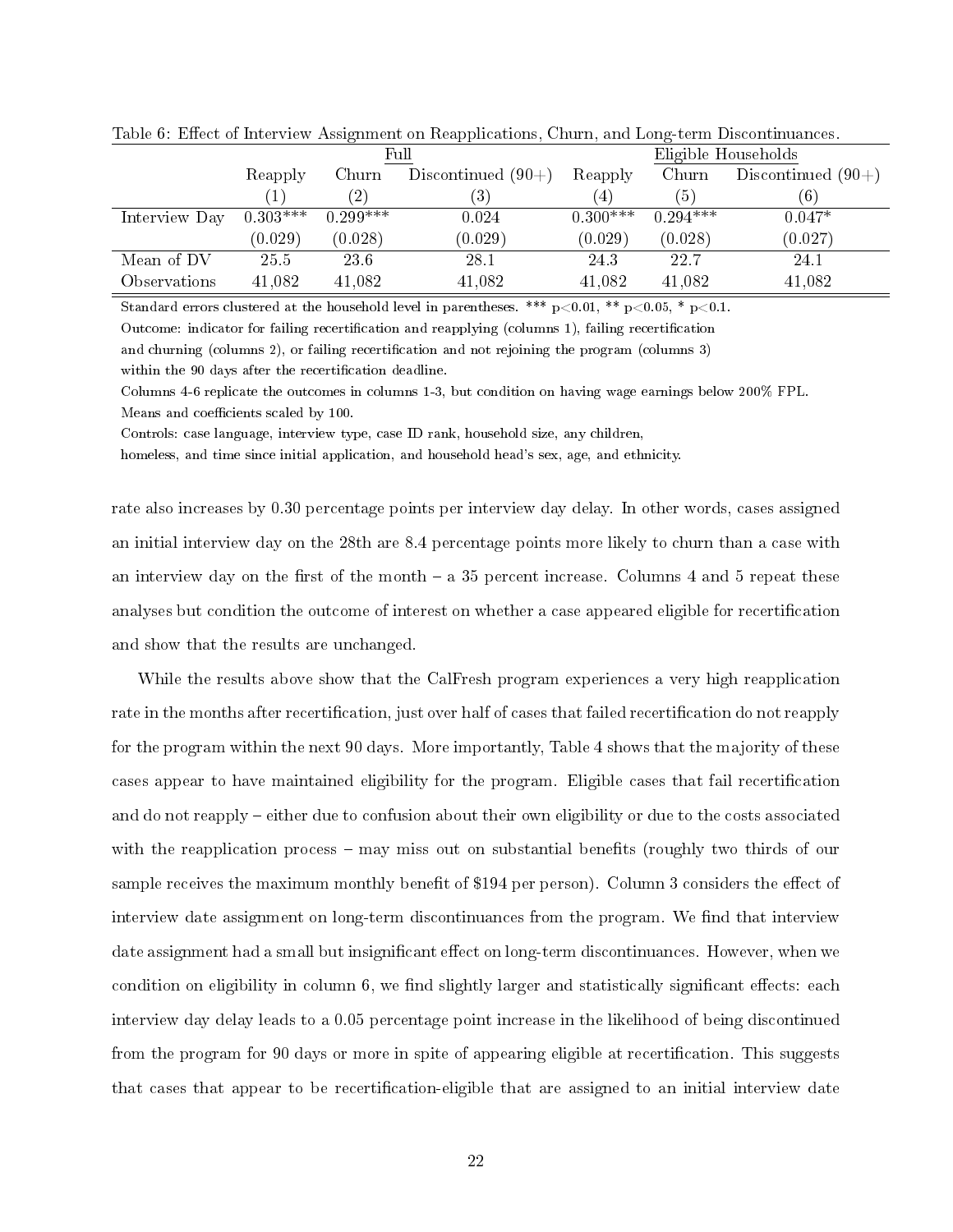|               | Full       |                   |                      |                   |            | Eligible Households  |
|---------------|------------|-------------------|----------------------|-------------------|------------|----------------------|
|               | Reapply    | Churn             | Discontinued $(90+)$ | Reapply           | Churn      | Discontinued $(90+)$ |
|               |            | $\left( 2\right)$ | (3)                  | $\left( 4\right)$ | (5)        | (6)                  |
| Interview Day | $0.303***$ | $0.299***$        | 0.024                | $0.300***$        | $0.294***$ | $0.047*$             |
|               | (0.029)    | (0.028)           | (0.029)              | (0.029)           | (0.028)    | (0.027)              |
| Mean of DV    | 25.5       | 23.6              | 28.1                 | 24 3              | 22.7       | 24.1                 |
| Observations  | 41,082     | 41,082            | 41,082               | 41,082            | 41,082     | 41,082               |

Table 6: Effect of Interview Assignment on Reapplications, Churn, and Long-term Discontinuances.

Standard errors clustered at the household level in parentheses. \*\*\*  $p<0.01$ , \*\*  $p<0.05$ , \*  $p<0.1$ .

Outcome: indicator for failing recertification and reapplying (columns 1), failing recertification

and churning (columns 2), or failing recertification and not rejoining the program (columns 3)

within the 90 days after the recertification deadline.

Columns 4-6 replicate the outcomes in columns 1-3, but condition on having wage earnings below 200% FPL. Means and coefficients scaled by 100.

Controls: case language, interview type, case ID rank, household size, any children,

homeless, and time since initial application, and household head's sex, age, and ethnicity.

rate also increases by 0.30 percentage points per interview day delay. In other words, cases assigned an initial interview day on the 28th are 8.4 percentage points more likely to churn than a case with an interview day on the first of the month  $-$  a 35 percent increase. Columns 4 and 5 repeat these analyses but condition the outcome of interest on whether a case appeared eligible for recertication and show that the results are unchanged.

While the results above show that the CalFresh program experiences a very high reapplication rate in the months after recertification, just over half of cases that failed recertification do not reapply for the program within the next 90 days. More importantly, Table 4 shows that the majority of these cases appear to have maintained eligibility for the program. Eligible cases that fail recertication and do not reapply – either due to confusion about their own eligibility or due to the costs associated with the reapplication process  $-$  may miss out on substantial benefits (roughly two thirds of our sample receives the maximum monthly benefit of \$194 per person). Column 3 considers the effect of interview date assignment on long-term discontinuances from the program. We find that interview date assignment had a small but insignificant effect on long-term discontinuances. However, when we condition on eligibility in column  $6$ , we find slightly larger and statistically significant effects: each interview day delay leads to a 0.05 percentage point increase in the likelihood of being discontinued from the program for 90 days or more in spite of appearing eligible at recertification. This suggests that cases that appear to be recertification-eligible that are assigned to an initial interview date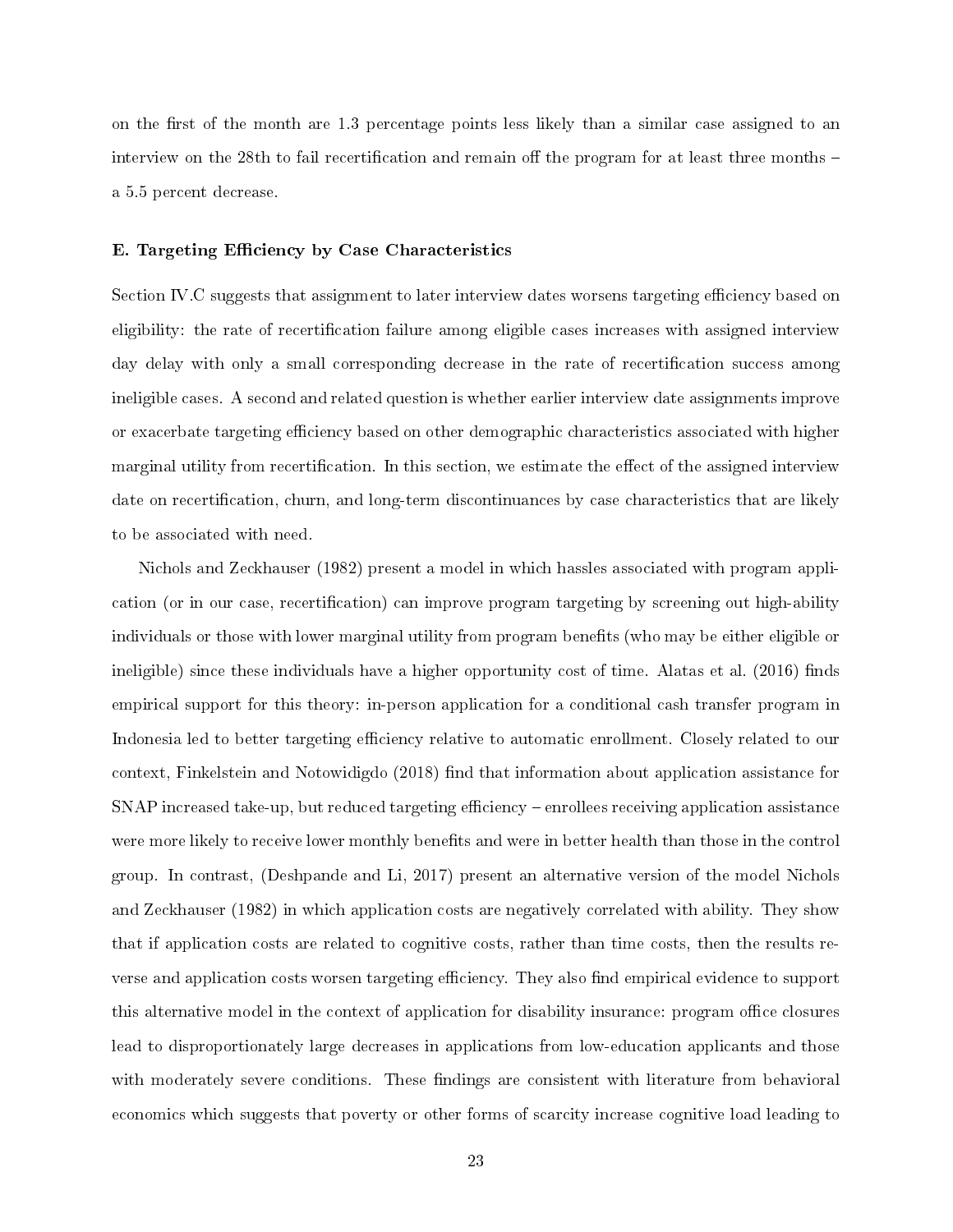on the first of the month are 1.3 percentage points less likely than a similar case assigned to an interview on the 28th to fail recertification and remain off the program for at least three months  $$ a 5.5 percent decrease.

#### E. Targeting Efficiency by Case Characteristics

Section IV.C suggests that assignment to later interview dates worsens targeting efficiency based on eligibility: the rate of recertification failure among eligible cases increases with assigned interview day delay with only a small corresponding decrease in the rate of recertification success among ineligible cases. A second and related question is whether earlier interview date assignments improve or exacerbate targeting efficiency based on other demographic characteristics associated with higher marginal utility from recertification. In this section, we estimate the effect of the assigned interview date on recertification, churn, and long-term discontinuances by case characteristics that are likely to be associated with need.

Nichols and Zeckhauser (1982) present a model in which hassles associated with program application (or in our case, recertification) can improve program targeting by screening out high-ability individuals or those with lower marginal utility from program benefits (who may be either eligible or ineligible) since these individuals have a higher opportunity cost of time. Alatas et al. (2016) finds empirical support for this theory: in-person application for a conditional cash transfer program in Indonesia led to better targeting efficiency relative to automatic enrollment. Closely related to our context, Finkelstein and Notowidigdo (2018) find that information about application assistance for  $SNAP$  increased take-up, but reduced targeting efficiency – enrollees receiving application assistance were more likely to receive lower monthly benefits and were in better health than those in the control group. In contrast, (Deshpande and Li, 2017) present an alternative version of the model Nichols and Zeckhauser (1982) in which application costs are negatively correlated with ability. They show that if application costs are related to cognitive costs, rather than time costs, then the results reverse and application costs worsen targeting efficiency. They also find empirical evidence to support this alternative model in the context of application for disability insurance: program office closures lead to disproportionately large decreases in applications from low-education applicants and those with moderately severe conditions. These findings are consistent with literature from behavioral economics which suggests that poverty or other forms of scarcity increase cognitive load leading to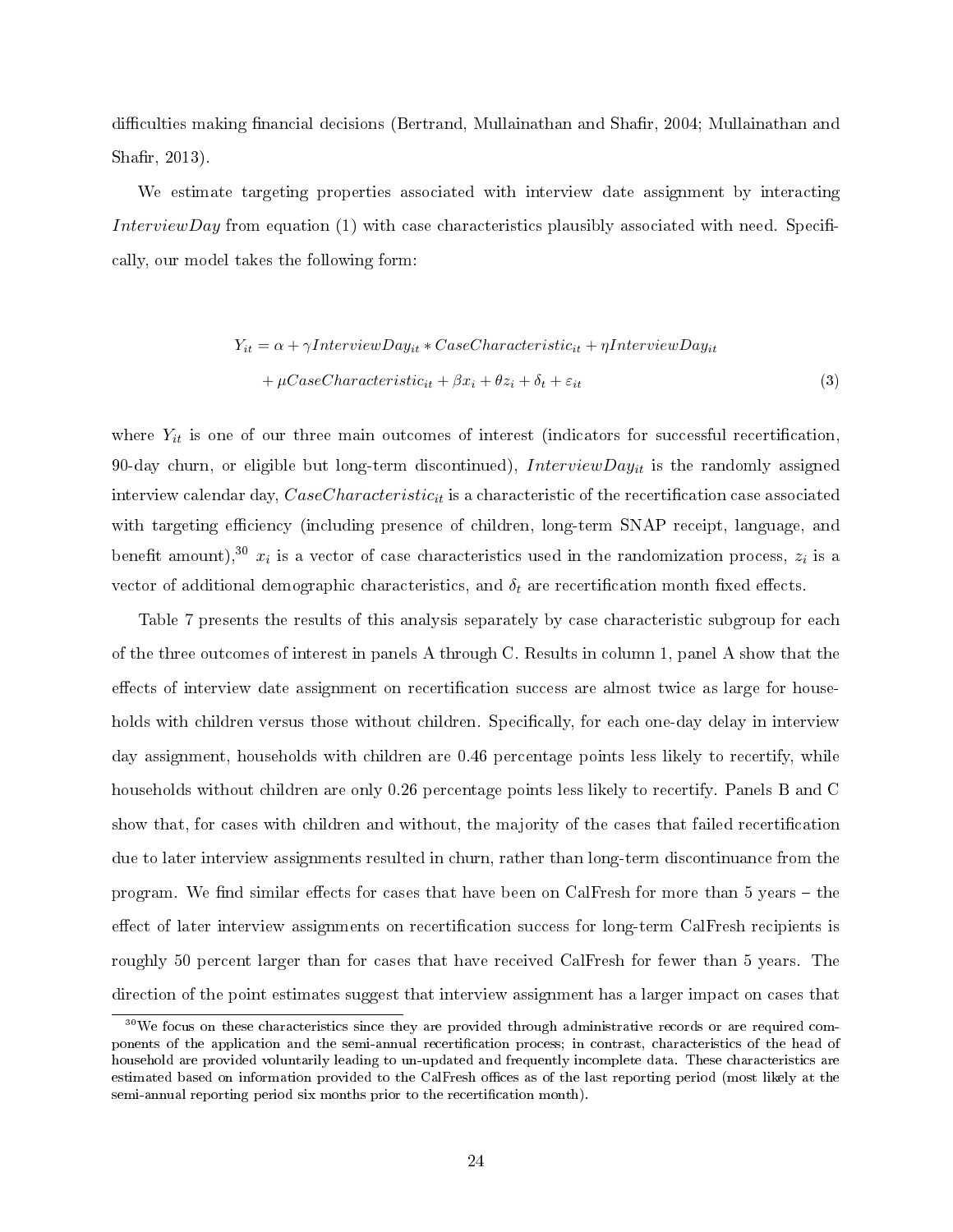difficulties making financial decisions (Bertrand, Mullainathan and Shafir, 2004; Mullainathan and Shafir, 2013).

We estimate targeting properties associated with interview date assignment by interacting InterviewDay from equation (1) with case characteristics plausibly associated with need. Specifically, our model takes the following form:

$$
Y_{it} = \alpha + \gamma InterviewDay_{it} * CaseCharacteristic_{it} + \eta InterviewDay_{it}
$$

$$
+ \mu CaseCharacteristic_{it} + \beta x_i + \theta z_i + \delta_t + \varepsilon_{it}
$$
(3)

where  $Y_{it}$  is one of our three main outcomes of interest (indicators for successful recertification, 90-day churn, or eligible but long-term discontinued), InterviewDay<sub>it</sub> is the randomly assigned interview calendar day,  $Case Characteristic_{it}$  is a characteristic of the recertification case associated with targeting efficiency (including presence of children, long-term SNAP receipt, language, and benefit amount),<sup>30</sup>  $x_i$  is a vector of case characteristics used in the randomization process,  $z_i$  is a vector of additional demographic characteristics, and  $\delta_t$  are recertification month fixed effects.

Table 7 presents the results of this analysis separately by case characteristic subgroup for each of the three outcomes of interest in panels A through C. Results in column 1, panel A show that the effects of interview date assignment on recertification success are almost twice as large for households with children versus those without children. Specifically, for each one-day delay in interview day assignment, households with children are 0.46 percentage points less likely to recertify, while households without children are only 0.26 percentage points less likely to recertify. Panels B and C show that, for cases with children and without, the majority of the cases that failed recertication due to later interview assignments resulted in churn, rather than long-term discontinuance from the program. We find similar effects for cases that have been on CalFresh for more than 5 years – the effect of later interview assignments on recertification success for long-term CalFresh recipients is roughly 50 percent larger than for cases that have received CalFresh for fewer than 5 years. The direction of the point estimates suggest that interview assignment has a larger impact on cases that

<sup>&</sup>lt;sup>30</sup>We focus on these characteristics since they are provided through administrative records or are required components of the application and the semi-annual recertication process; in contrast, characteristics of the head of household are provided voluntarily leading to un-updated and frequently incomplete data. These characteristics are estimated based on information provided to the CalFresh offices as of the last reporting period (most likely at the semi-annual reporting period six months prior to the recertification month).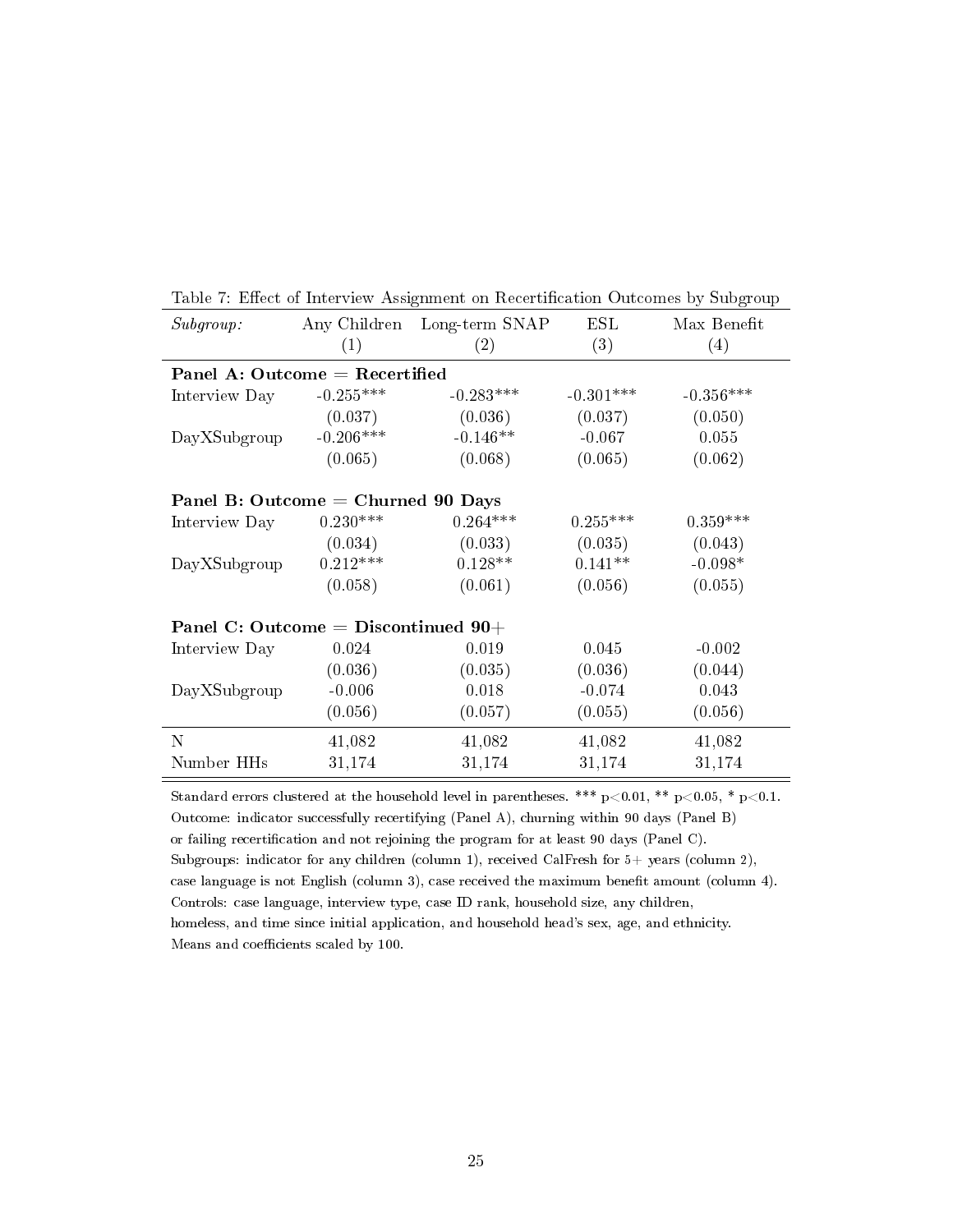| Subgroup:                             |                                  | Any Children Long-term SNAP | $\operatorname{ESL}$ | Max Benefit |  |  |  |
|---------------------------------------|----------------------------------|-----------------------------|----------------------|-------------|--|--|--|
|                                       | (1)                              | (2)                         | (3)                  | (4)         |  |  |  |
|                                       | Panel A: Outcome $=$ Recertified |                             |                      |             |  |  |  |
| Interview Day                         | $-0.255***$                      | $-0.283***$                 | $-0.301***$          | $-0.356***$ |  |  |  |
|                                       | (0.037)                          | (0.036)                     | (0.037)              | (0.050)     |  |  |  |
| DayXSubgroup                          | $-0.206***$                      | $-0.146**$                  | $-0.067$             | 0.055       |  |  |  |
|                                       | (0.065)                          | (0.068)                     | (0.065)              | (0.062)     |  |  |  |
| Panel B: Outcome = Churned 90 Days    |                                  |                             |                      |             |  |  |  |
| Interview Day                         | $0.230***$                       | $0.264***$                  | $0.255***$           | $0.359***$  |  |  |  |
|                                       | (0.034)                          | (0.033)                     | (0.035)              | (0.043)     |  |  |  |
| DayXSubgroup                          | $0.212***$                       | $0.128**$                   | $0.141**$            | $-0.098*$   |  |  |  |
|                                       | (0.058)                          | (0.061)                     | (0.056)              | (0.055)     |  |  |  |
| Panel C: Outcome = Discontinued $90+$ |                                  |                             |                      |             |  |  |  |
| Interview Day                         | 0.024                            | 0.019                       | 0.045                | $-0.002$    |  |  |  |
|                                       | (0.036)                          | (0.035)                     | (0.036)              | (0.044)     |  |  |  |
| DayXSubgroup                          | $-0.006$                         | 0.018                       | $-0.074$             | 0.043       |  |  |  |
|                                       | (0.056)                          | (0.057)                     | (0.055)              | (0.056)     |  |  |  |
| N                                     | 41,082                           | 41,082                      | 41,082               | 41,082      |  |  |  |
| Number HHs                            | 31,174                           | 31,174                      | 31,174               | 31,174      |  |  |  |

Table 7: Effect of Interview Assignment on Recertification Outcomes by Subgroup

Standard errors clustered at the household level in parentheses. \*\*\*  $p<0.01$ , \*\*  $p<0.05$ , \*  $p<0.1$ . Outcome: indicator successfully recertifying (Panel A), churning within 90 days (Panel B) or failing recertification and not rejoining the program for at least 90 days (Panel C). Subgroups: indicator for any children (column 1), received CalFresh for  $5+$  years (column 2), case language is not English (column 3), case received the maximum benefit amount (column 4). Controls: case language, interview type, case ID rank, household size, any children, homeless, and time since initial application, and household head's sex, age, and ethnicity. Means and coefficients scaled by 100.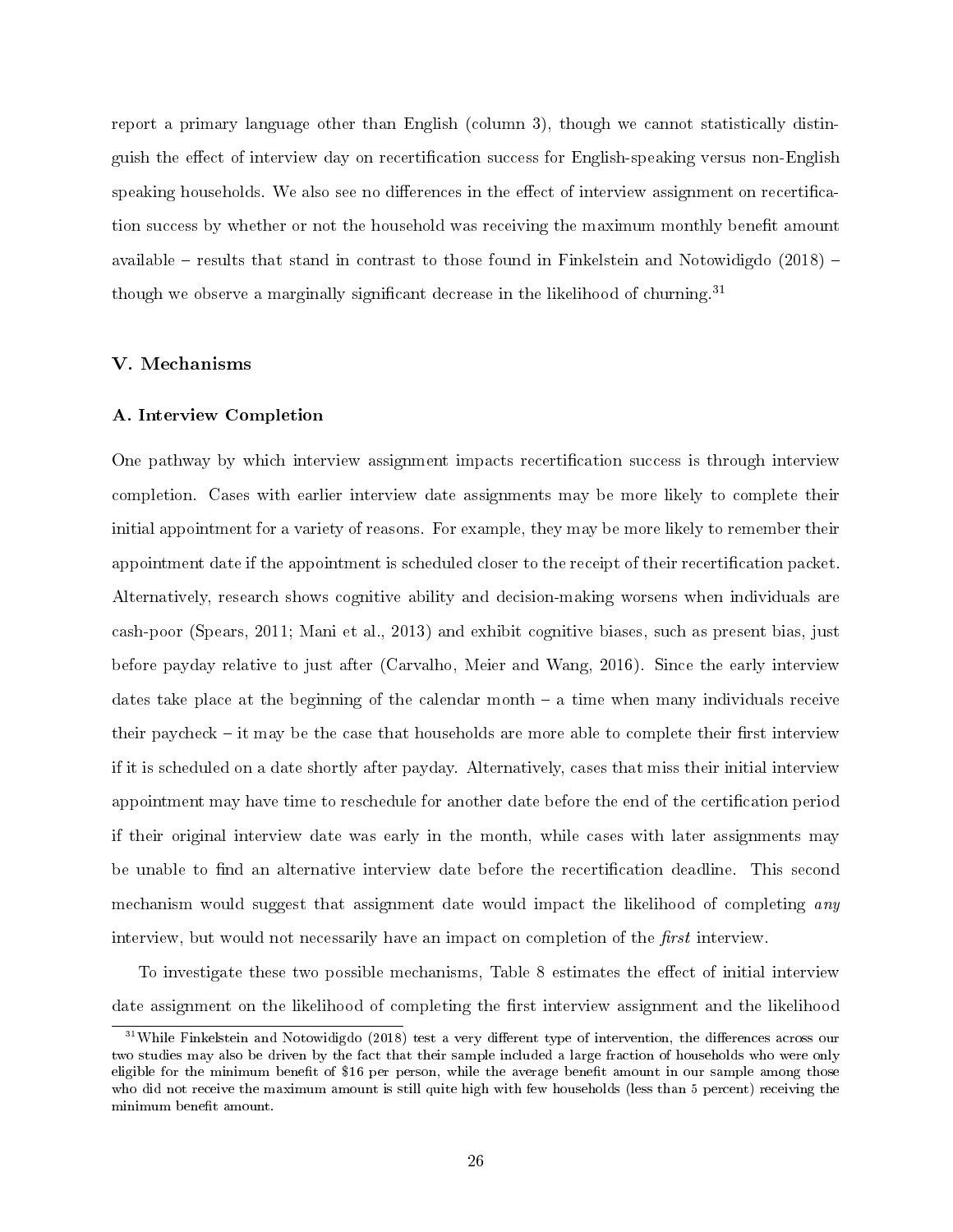report a primary language other than English (column 3), though we cannot statistically distinguish the effect of interview day on recertification success for English-speaking versus non-English speaking households. We also see no differences in the effect of interview assignment on recertification success by whether or not the household was receiving the maximum monthly benefit amount available  $-$  results that stand in contrast to those found in Finkelstein and Notowidigdo (2018)  $$ though we observe a marginally significant decrease in the likelihood of churning.<sup>31</sup>

#### V. Mechanisms

#### A. Interview Completion

One pathway by which interview assignment impacts recertification success is through interview completion. Cases with earlier interview date assignments may be more likely to complete their initial appointment for a variety of reasons. For example, they may be more likely to remember their appointment date if the appointment is scheduled closer to the receipt of their recertification packet. Alternatively, research shows cognitive ability and decision-making worsens when individuals are cash-poor (Spears, 2011; Mani et al., 2013) and exhibit cognitive biases, such as present bias, just before payday relative to just after (Carvalho, Meier and Wang, 2016). Since the early interview dates take place at the beginning of the calendar month  $-$  a time when many individuals receive their paycheck  $-$  it may be the case that households are more able to complete their first interview if it is scheduled on a date shortly after payday. Alternatively, cases that miss their initial interview appointment may have time to reschedule for another date before the end of the certification period if their original interview date was early in the month, while cases with later assignments may be unable to find an alternative interview date before the recertification deadline. This second mechanism would suggest that assignment date would impact the likelihood of completing any interview, but would not necessarily have an impact on completion of the  $first$  interview.

To investigate these two possible mechanisms, Table 8 estimates the effect of initial interview date assignment on the likelihood of completing the first interview assignment and the likelihood

 $31$ While Finkelstein and Notowidigdo (2018) test a very different type of intervention, the differences across our two studies may also be driven by the fact that their sample included a large fraction of households who were only eligible for the minimum benefit of \$16 per person, while the average benefit amount in our sample among those who did not receive the maximum amount is still quite high with few households (less than 5 percent) receiving the minimum benefit amount.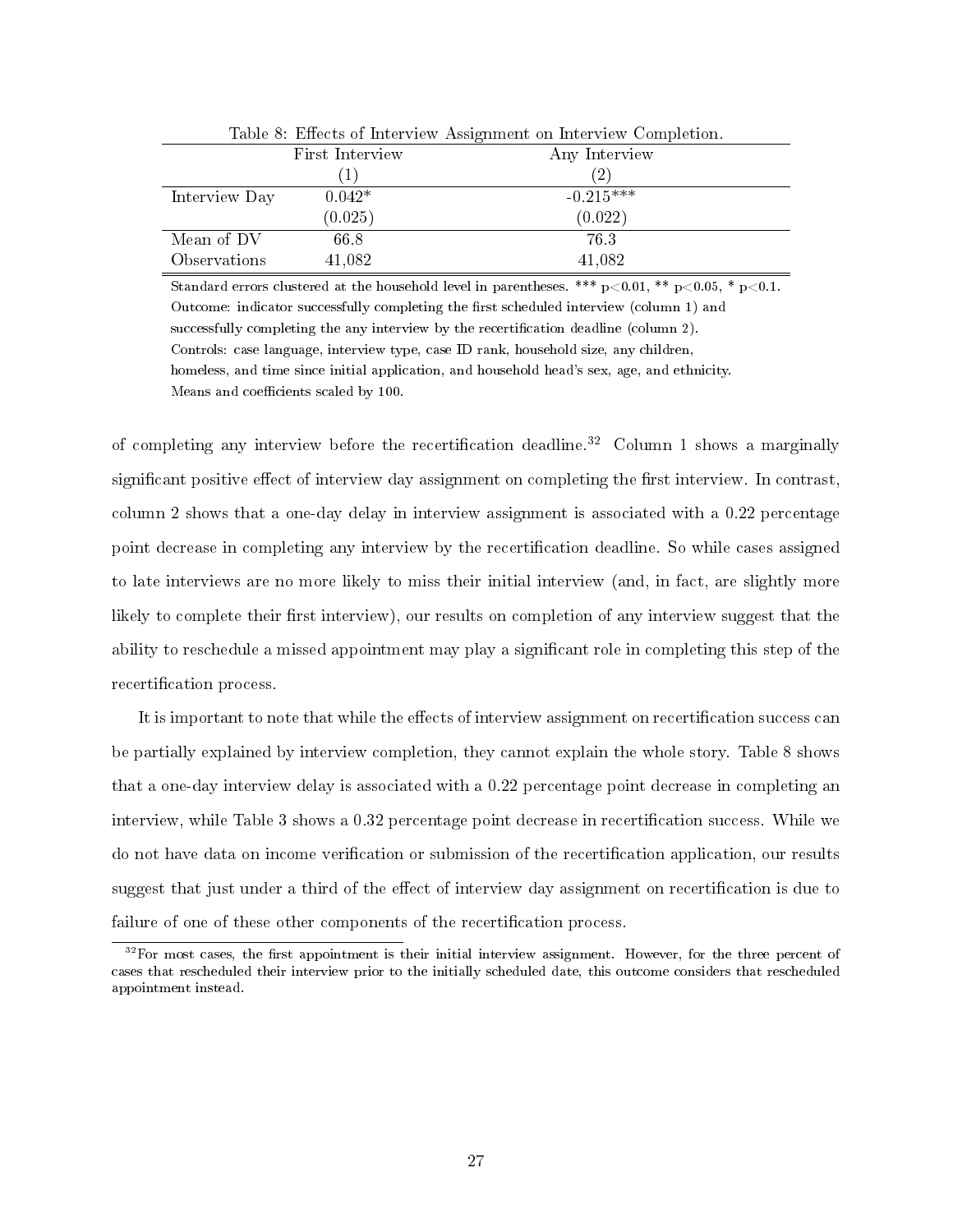|               | Table 8: Effects of Interview Assignment on Interview Completion. |                   |  |  |  |
|---------------|-------------------------------------------------------------------|-------------------|--|--|--|
|               | First Interview                                                   | Any Interview     |  |  |  |
|               |                                                                   | $\left( 2\right)$ |  |  |  |
| Interview Day | $0.042*$                                                          | $-0.215***$       |  |  |  |
|               | (0.025)                                                           | (0.022)           |  |  |  |
| Mean of DV    | 66.8                                                              | 76.3              |  |  |  |
| Observations  | 41,082                                                            | 41,082            |  |  |  |

Table 8: Effects of Interview Assignment on Interview Completion.

Standard errors clustered at the household level in parentheses. \*\*\*  $p<0.01$ , \*\*  $p<0.05$ , \*  $p<0.1$ . Outcome: indicator successfully completing the first scheduled interview (column 1) and successfully completing the any interview by the recertification deadline (column 2). Controls: case language, interview type, case ID rank, household size, any children, homeless, and time since initial application, and household head's sex, age, and ethnicity. Means and coefficients scaled by 100.

of completing any interview before the recertification deadline.<sup>32</sup> Column 1 shows a marginally significant positive effect of interview day assignment on completing the first interview. In contrast, column 2 shows that a one-day delay in interview assignment is associated with a 0.22 percentage point decrease in completing any interview by the recertification deadline. So while cases assigned to late interviews are no more likely to miss their initial interview (and, in fact, are slightly more likely to complete their first interview), our results on completion of any interview suggest that the ability to reschedule a missed appointment may play a signicant role in completing this step of the recertification process.

It is important to note that while the effects of interview assignment on recertification success can be partially explained by interview completion, they cannot explain the whole story. Table 8 shows that a one-day interview delay is associated with a 0.22 percentage point decrease in completing an interview, while Table 3 shows a 0.32 percentage point decrease in recertification success. While we do not have data on income verification or submission of the recertification application, our results suggest that just under a third of the effect of interview day assignment on recertification is due to failure of one of these other components of the recertification process.

 $32$ For most cases, the first appointment is their initial interview assignment. However, for the three percent of cases that rescheduled their interview prior to the initially scheduled date, this outcome considers that rescheduled appointment instead.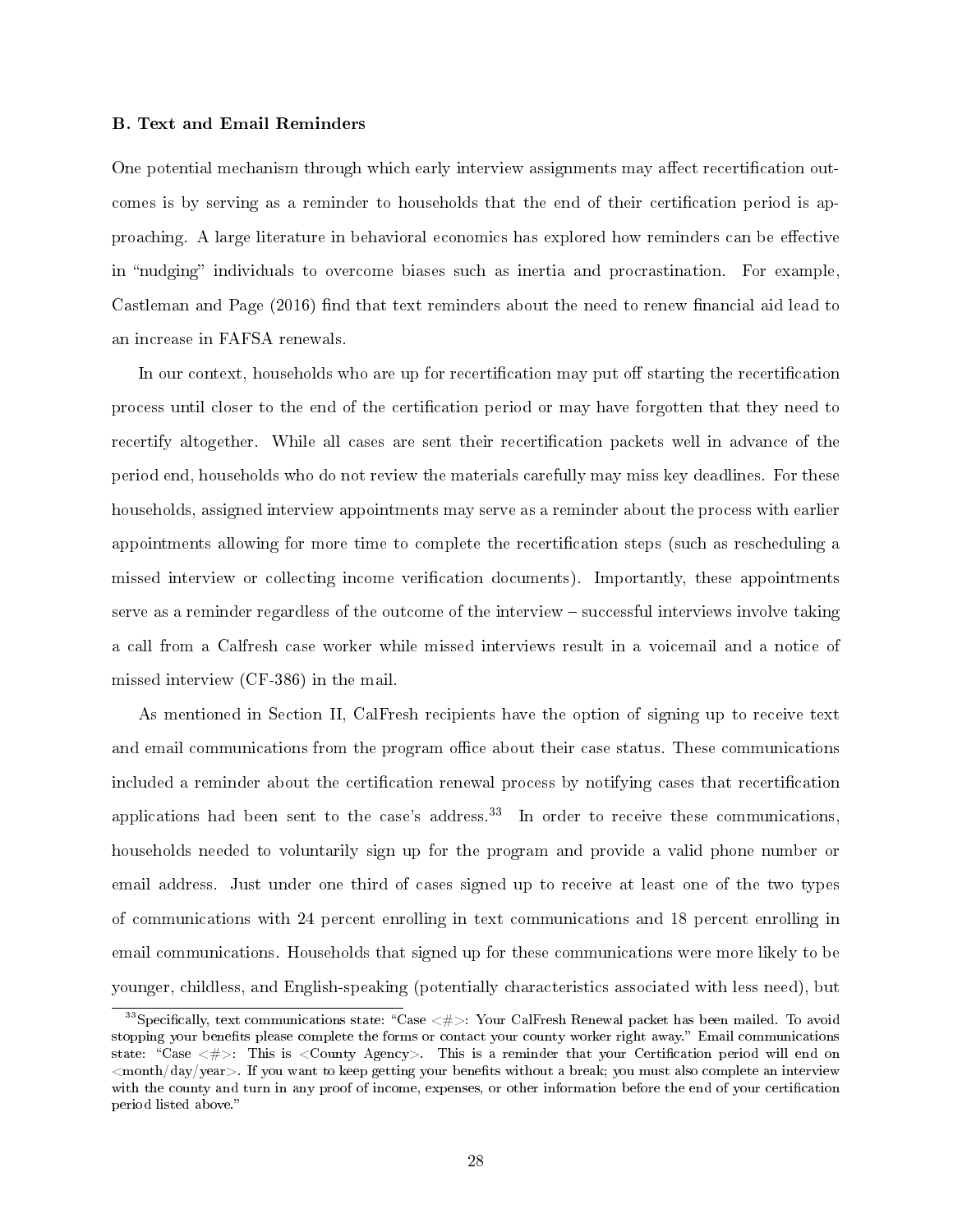#### B. Text and Email Reminders

One potential mechanism through which early interview assignments may affect recertification outcomes is by serving as a reminder to households that the end of their certification period is approaching. A large literature in behavioral economics has explored how reminders can be effective in "nudging" individuals to overcome biases such as inertia and procrastination. For example, Castleman and Page  $(2016)$  find that text reminders about the need to renew financial aid lead to an increase in FAFSA renewals.

In our context, households who are up for recertification may put off starting the recertification process until closer to the end of the certification period or may have forgotten that they need to recertify altogether. While all cases are sent their recertification packets well in advance of the period end, households who do not review the materials carefully may miss key deadlines. For these households, assigned interview appointments may serve as a reminder about the process with earlier appointments allowing for more time to complete the recertication steps (such as rescheduling a missed interview or collecting income verification documents). Importantly, these appointments serve as a reminder regardless of the outcome of the interview – successful interviews involve taking a call from a Calfresh case worker while missed interviews result in a voicemail and a notice of missed interview (CF-386) in the mail.

As mentioned in Section II, CalFresh recipients have the option of signing up to receive text and email communications from the program office about their case status. These communications included a reminder about the certification renewal process by notifying cases that recertification applications had been sent to the case's address.<sup>33</sup> In order to receive these communications, households needed to voluntarily sign up for the program and provide a valid phone number or email address. Just under one third of cases signed up to receive at least one of the two types of communications with 24 percent enrolling in text communications and 18 percent enrolling in email communications. Households that signed up for these communications were more likely to be younger, childless, and English-speaking (potentially characteristics associated with less need), but

<sup>&</sup>lt;sup>33</sup>Specifically, text communications state: "Case  $\lt \#$  >: Your CalFresh Renewal packet has been mailed. To avoid stopping your benefits please complete the forms or contact your county worker right away." Email communications state: "Case  $\lt \#$  >: This is  $lt$ County Agency >. This is a reminder that your Certification period will end on  $\langle$ month/day/year $>$ . If you want to keep getting your benefits without a break; you must also complete an interview with the county and turn in any proof of income, expenses, or other information before the end of your certification period listed above.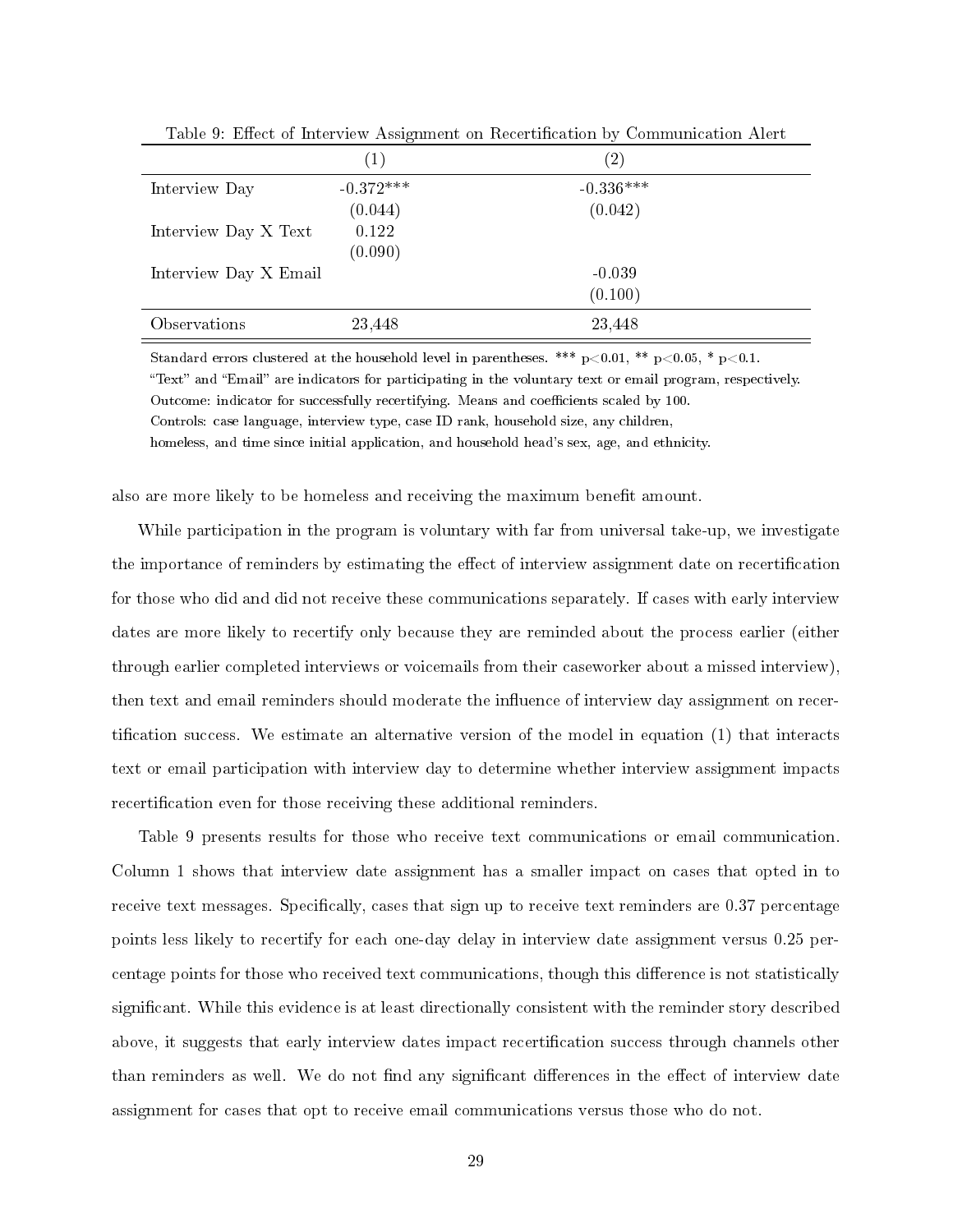|                       | $\left( 1\right)$ | (2)         |
|-----------------------|-------------------|-------------|
| Interview Day         | $-0.372***$       | $-0.336***$ |
|                       | (0.044)           | (0.042)     |
| Interview Day X Text  | 0.122             |             |
|                       | (0.090)           |             |
| Interview Day X Email |                   | $-0.039$    |
|                       |                   | (0.100)     |
| Observations          | 23,448            | 23,448      |

Table 9: Effect of Interview Assignment on Recertification by Communication Alert

Standard errors clustered at the household level in parentheses. \*\*\*  $p<0.01$ , \*\*  $p<0.05$ , \*  $p<0.1$ .

"Text" and "Email" are indicators for participating in the voluntary text or email program, respectively. Outcome: indicator for successfully recertifying. Means and coefficients scaled by 100.

Controls: case language, interview type, case ID rank, household size, any children,

homeless, and time since initial application, and household head's sex, age, and ethnicity.

also are more likely to be homeless and receiving the maximum benefit amount.

While participation in the program is voluntary with far from universal take-up, we investigate the importance of reminders by estimating the effect of interview assignment date on recertification for those who did and did not receive these communications separately. If cases with early interview dates are more likely to recertify only because they are reminded about the process earlier (either through earlier completed interviews or voicemails from their caseworker about a missed interview), then text and email reminders should moderate the influence of interview day assignment on recertification success. We estimate an alternative version of the model in equation  $(1)$  that interacts text or email participation with interview day to determine whether interview assignment impacts recertification even for those receiving these additional reminders.

Table 9 presents results for those who receive text communications or email communication. Column 1 shows that interview date assignment has a smaller impact on cases that opted in to receive text messages. Specifically, cases that sign up to receive text reminders are 0.37 percentage points less likely to recertify for each one-day delay in interview date assignment versus 0.25 percentage points for those who received text communications, though this difference is not statistically significant. While this evidence is at least directionally consistent with the reminder story described above, it suggests that early interview dates impact recertification success through channels other than reminders as well. We do not find any significant differences in the effect of interview date assignment for cases that opt to receive email communications versus those who do not.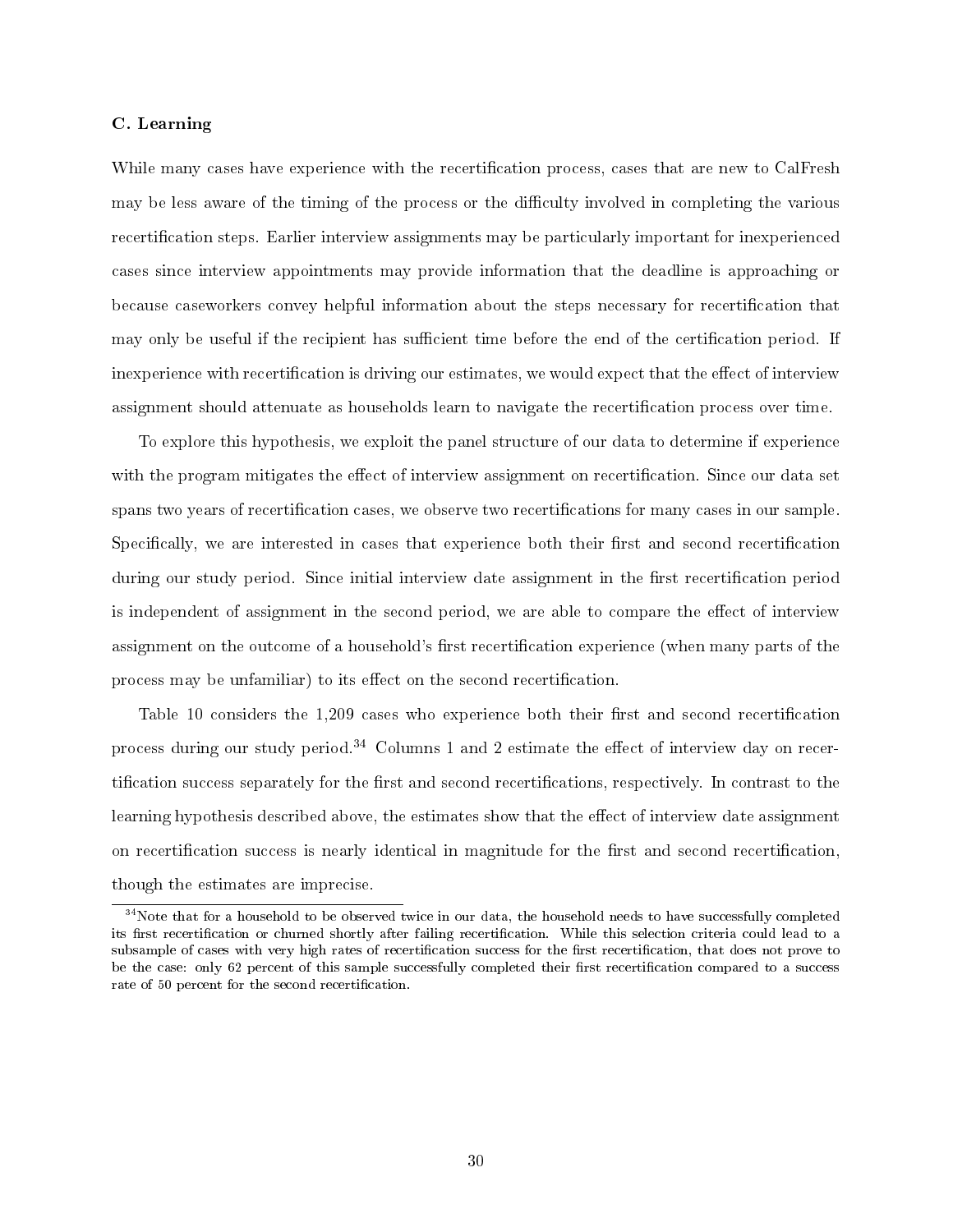#### C. Learning

While many cases have experience with the recertification process, cases that are new to CalFresh may be less aware of the timing of the process or the difficulty involved in completing the various recertification steps. Earlier interview assignments may be particularly important for inexperienced cases since interview appointments may provide information that the deadline is approaching or because caseworkers convey helpful information about the steps necessary for recertification that may only be useful if the recipient has sufficient time before the end of the certification period. If inexperience with recertification is driving our estimates, we would expect that the effect of interview assignment should attenuate as households learn to navigate the recertication process over time.

To explore this hypothesis, we exploit the panel structure of our data to determine if experience with the program mitigates the effect of interview assignment on recertification. Since our data set spans two years of recertification cases, we observe two recertifications for many cases in our sample. Specifically, we are interested in cases that experience both their first and second recertification during our study period. Since initial interview date assignment in the first recertification period is independent of assignment in the second period, we are able to compare the effect of interview assignment on the outcome of a household's first recertification experience (when many parts of the process may be unfamiliar) to its effect on the second recertification.

Table 10 considers the  $1,209$  cases who experience both their first and second recertification process during our study period.<sup>34</sup> Columns 1 and 2 estimate the effect of interview day on recertification success separately for the first and second recertifications, respectively. In contrast to the learning hypothesis described above, the estimates show that the effect of interview date assignment on recertification success is nearly identical in magnitude for the first and second recertification, though the estimates are imprecise.

 $34$ Note that for a household to be observed twice in our data, the household needs to have successfully completed its first recertification or churned shortly after failing recertification. While this selection criteria could lead to a subsample of cases with very high rates of recertification success for the first recertification, that does not prove to be the case: only 62 percent of this sample successfully completed their first recertification compared to a success rate of 50 percent for the second recertification.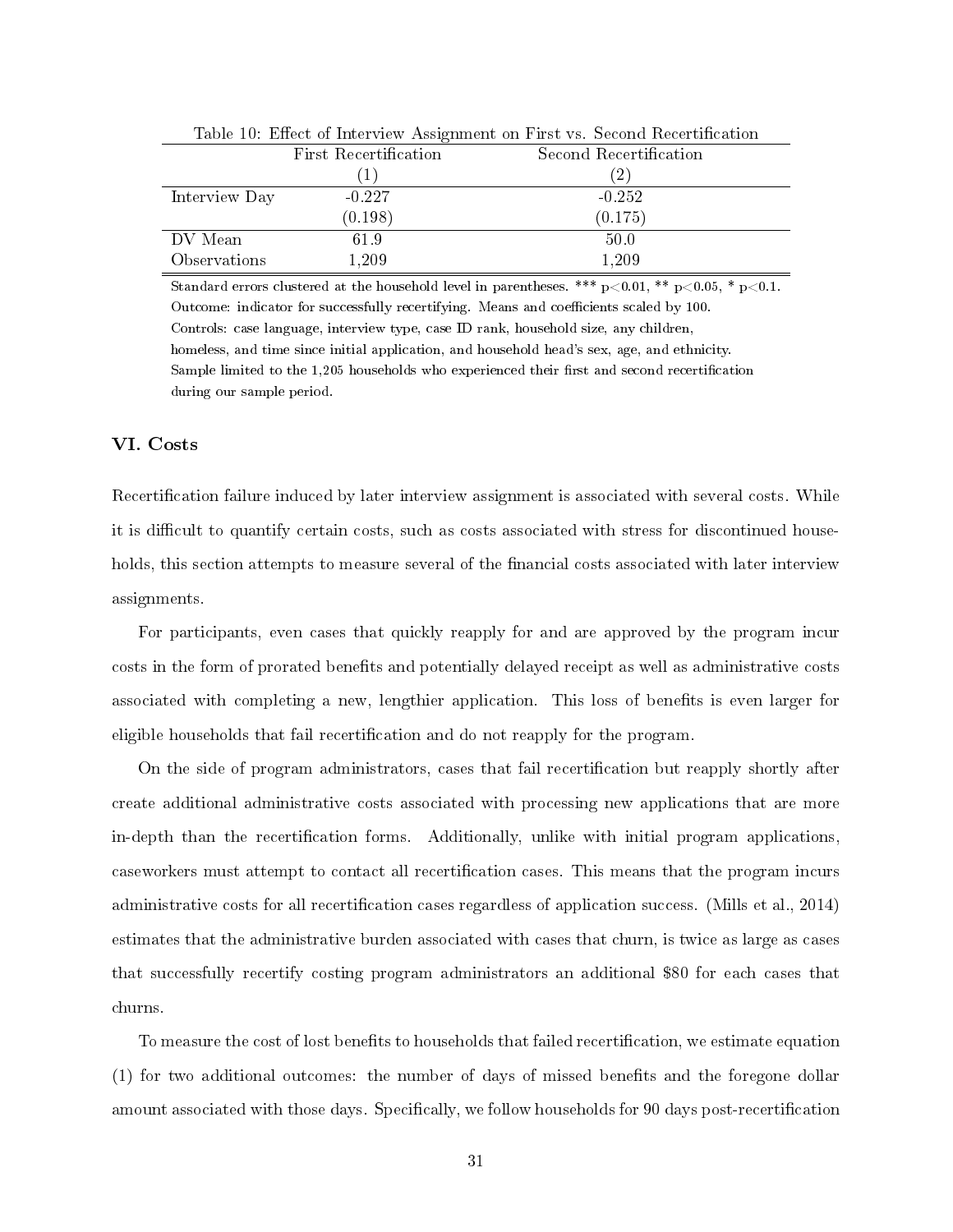|               | TWOIC TO PHROOD OF THOSE (TO A TROIGHINGHO OIL I HOO TO A SOCCIAN TOCOCLOHIC WILL |                        |  |  |  |
|---------------|-----------------------------------------------------------------------------------|------------------------|--|--|--|
|               | First Recertification                                                             | Second Recertification |  |  |  |
|               | $\perp$                                                                           | (2)                    |  |  |  |
| Interview Day | $-0.227$                                                                          | $-0.252$               |  |  |  |
|               | (0.198)                                                                           | (0.175)                |  |  |  |
| DV Mean       | 61.9                                                                              | 50.0                   |  |  |  |
| Observations  | 1,209                                                                             | 1,209                  |  |  |  |

Table 10: Effect of Interview Assignment on First vs. Second Recertification

Standard errors clustered at the household level in parentheses. \*\*\*  $p<0.01$ , \*\*  $p<0.05$ , \*  $p<0.1$ . Outcome: indicator for successfully recertifying. Means and coefficients scaled by 100. Controls: case language, interview type, case ID rank, household size, any children, homeless, and time since initial application, and household head's sex, age, and ethnicity. Sample limited to the 1,205 households who experienced their first and second recertification during our sample period.

## VI. Costs

Recertification failure induced by later interview assignment is associated with several costs. While it is difficult to quantify certain costs, such as costs associated with stress for discontinued households, this section attempts to measure several of the financial costs associated with later interview assignments.

For participants, even cases that quickly reapply for and are approved by the program incur costs in the form of prorated benefits and potentially delayed receipt as well as administrative costs associated with completing a new, lengthier application. This loss of benefits is even larger for eligible households that fail recertification and do not reapply for the program.

On the side of program administrators, cases that fail recertification but reapply shortly after create additional administrative costs associated with processing new applications that are more in-depth than the recertication forms. Additionally, unlike with initial program applications, caseworkers must attempt to contact all recertification cases. This means that the program incurs administrative costs for all recertification cases regardless of application success. (Mills et al., 2014) estimates that the administrative burden associated with cases that churn, is twice as large as cases that successfully recertify costing program administrators an additional \$80 for each cases that churns.

To measure the cost of lost benefits to households that failed recertification, we estimate equation  $(1)$  for two additional outcomes: the number of days of missed benefits and the foregone dollar amount associated with those days. Specifically, we follow households for 90 days post-recertification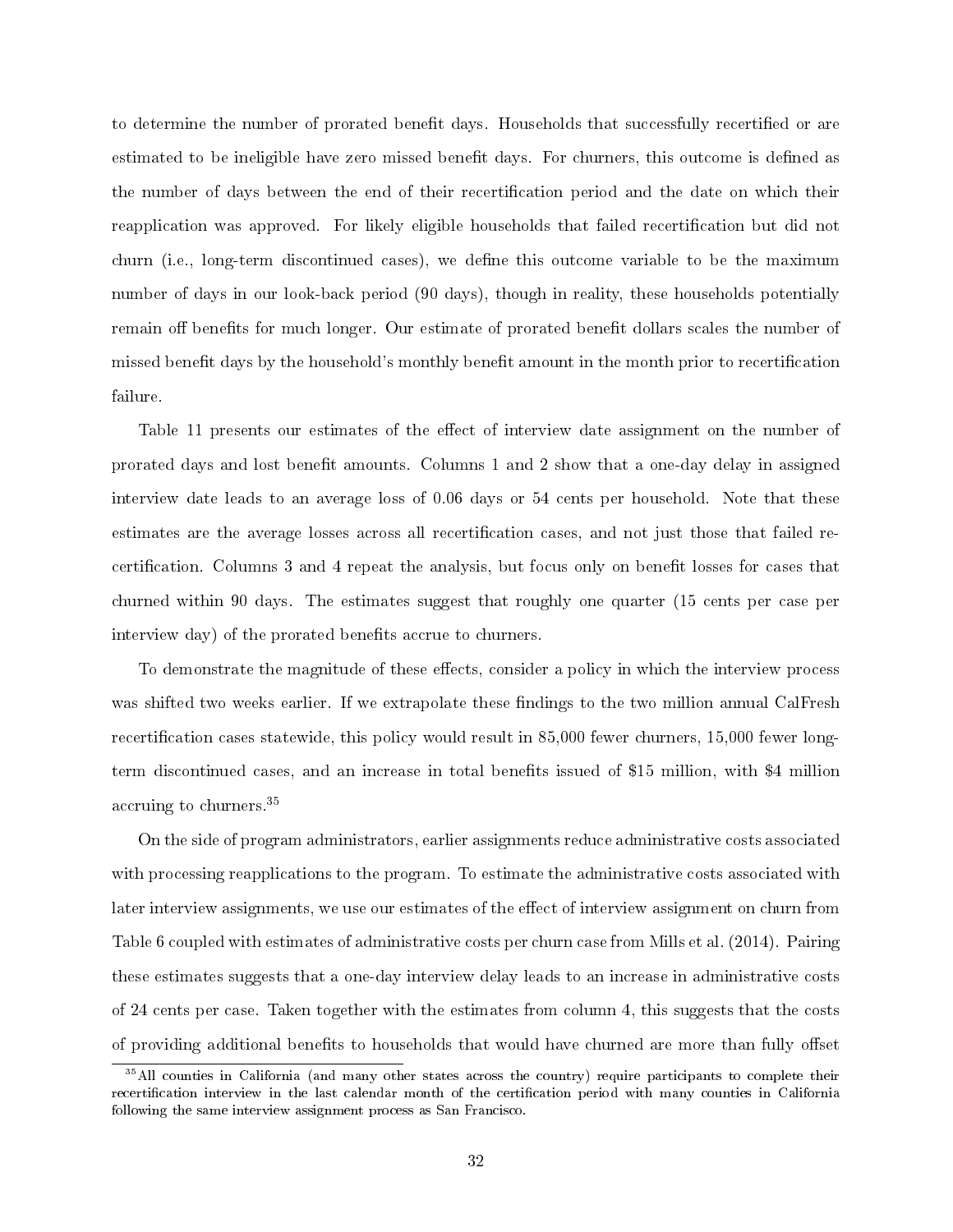to determine the number of prorated benefit days. Households that successfully recertified or are estimated to be ineligible have zero missed benefit days. For churners, this outcome is defined as the number of days between the end of their recertication period and the date on which their reapplication was approved. For likely eligible households that failed recertification but did not churn (i.e., long-term discontinued cases), we define this outcome variable to be the maximum number of days in our look-back period (90 days), though in reality, these households potentially remain off benefits for much longer. Our estimate of prorated benefit dollars scales the number of missed benefit days by the household's monthly benefit amount in the month prior to recertification failure.

Table 11 presents our estimates of the effect of interview date assignment on the number of prorated days and lost benefit amounts. Columns 1 and 2 show that a one-day delay in assigned interview date leads to an average loss of 0.06 days or 54 cents per household. Note that these estimates are the average losses across all recertification cases, and not just those that failed recertification. Columns 3 and 4 repeat the analysis, but focus only on benefit losses for cases that churned within 90 days. The estimates suggest that roughly one quarter (15 cents per case per interview day) of the prorated benefits accrue to churners.

To demonstrate the magnitude of these effects, consider a policy in which the interview process was shifted two weeks earlier. If we extrapolate these findings to the two million annual CalFresh recertification cases statewide, this policy would result in 85,000 fewer churners, 15,000 fewer longterm discontinued cases, and an increase in total benets issued of \$15 million, with \$4 million accruing to churners.<sup>35</sup>

On the side of program administrators, earlier assignments reduce administrative costs associated with processing reapplications to the program. To estimate the administrative costs associated with later interview assignments, we use our estimates of the effect of interview assignment on churn from Table 6 coupled with estimates of administrative costs per churn case from Mills et al. (2014). Pairing these estimates suggests that a one-day interview delay leads to an increase in administrative costs of 24 cents per case. Taken together with the estimates from column 4, this suggests that the costs of providing additional benefits to households that would have churned are more than fully offset

<sup>&</sup>lt;sup>35</sup>All counties in California (and many other states across the country) require participants to complete their recertification interview in the last calendar month of the certification period with many counties in California following the same interview assignment process as San Francisco.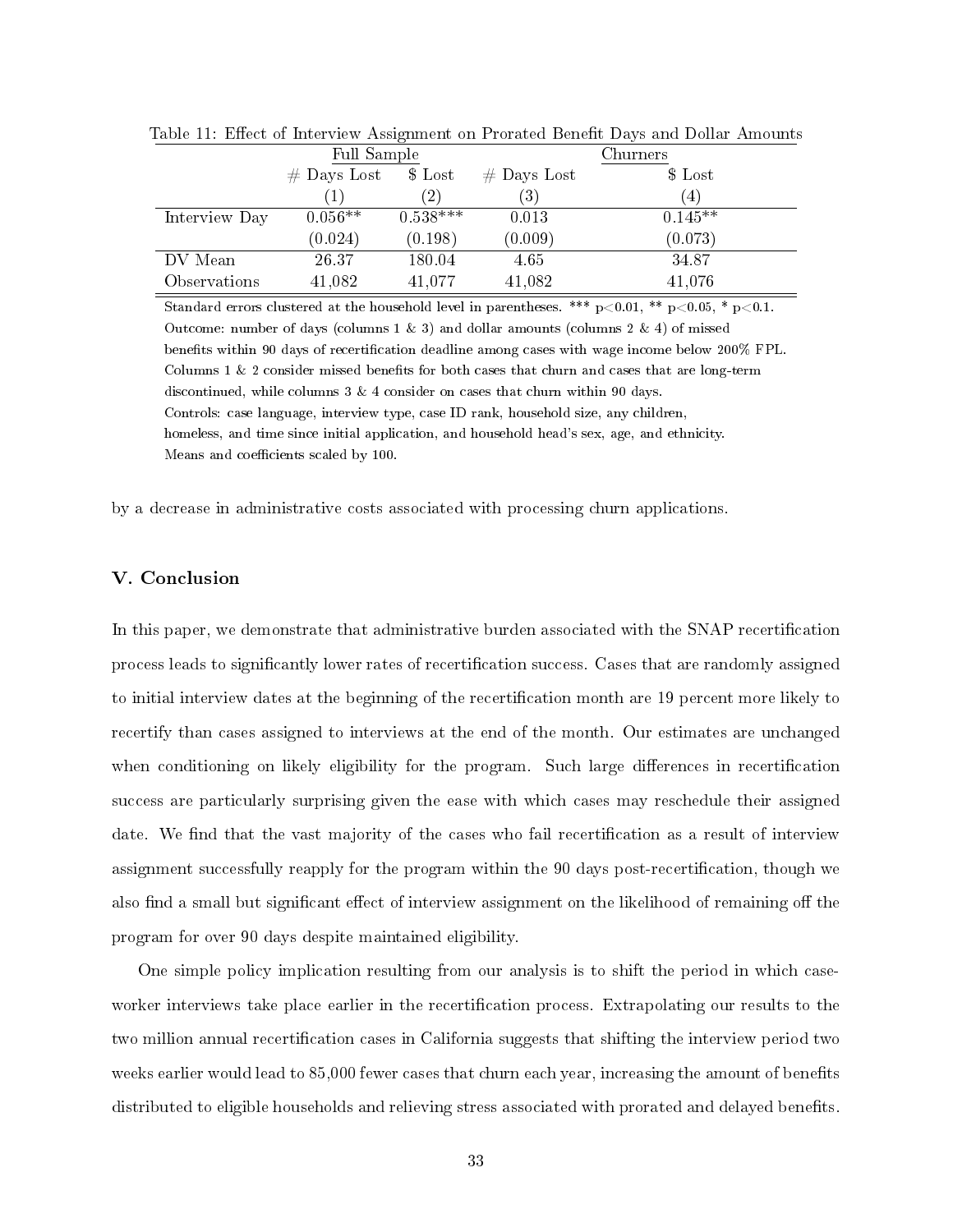|               | Full Sample   |            | Churners          |                   |  |
|---------------|---------------|------------|-------------------|-------------------|--|
|               | $#$ Days Lost | $$$ Lost   | $#$ Days Lost     | \$ Lost           |  |
|               |               | (2)        | $\left( 3\right)$ | $\left( 4\right)$ |  |
| Interview Day | $0.056**$     | $0.538***$ | 0.013             | $0.145**$         |  |
|               | (0.024)       | (0.198)    | (0.009)           | (0.073)           |  |
| DV Mean       | 26.37         | 180.04     | 4.65              | 34.87             |  |
| Observations  | 41,082        | 41,077     | 41,082            | 41,076            |  |

Table 11: Effect of Interview Assignment on Prorated Benefit Days and Dollar Amounts

Standard errors clustered at the household level in parentheses. \*\*\*  $p<0.01$ , \*\*  $p<0.05$ , \*  $p<0.1$ . Outcome: number of days (columns 1  $\&$  3) and dollar amounts (columns 2  $\&$  4) of missed benefits within 90 days of recertification deadline among cases with wage income below 200% FPL. Columns  $1 \& 2$  consider missed benefits for both cases that churn and cases that are long-term discontinued, while columns 3 & 4 consider on cases that churn within 90 days. Controls: case language, interview type, case ID rank, household size, any children, homeless, and time since initial application, and household head's sex, age, and ethnicity. Means and coefficients scaled by 100.

by a decrease in administrative costs associated with processing churn applications.

### V. Conclusion

In this paper, we demonstrate that administrative burden associated with the SNAP recertication process leads to significantly lower rates of recertification success. Cases that are randomly assigned to initial interview dates at the beginning of the recertification month are 19 percent more likely to recertify than cases assigned to interviews at the end of the month. Our estimates are unchanged when conditioning on likely eligibility for the program. Such large differences in recertification success are particularly surprising given the ease with which cases may reschedule their assigned date. We find that the vast majority of the cases who fail recertification as a result of interview assignment successfully reapply for the program within the 90 days post-recertification, though we also find a small but significant effect of interview assignment on the likelihood of remaining off the program for over 90 days despite maintained eligibility.

One simple policy implication resulting from our analysis is to shift the period in which caseworker interviews take place earlier in the recertification process. Extrapolating our results to the two million annual recertification cases in California suggests that shifting the interview period two weeks earlier would lead to 85,000 fewer cases that churn each year, increasing the amount of benefits distributed to eligible households and relieving stress associated with prorated and delayed benefits.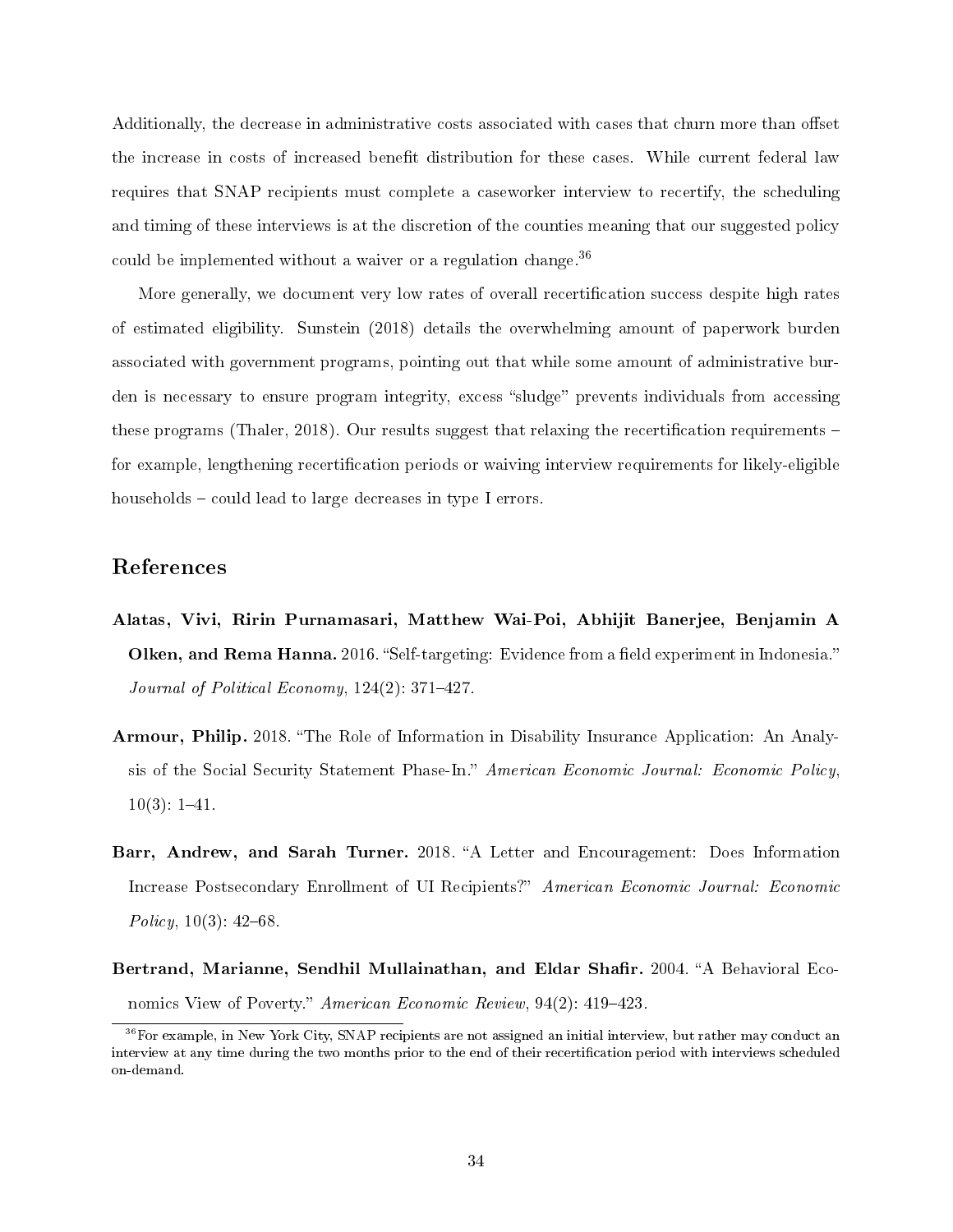Additionally, the decrease in administrative costs associated with cases that churn more than offset the increase in costs of increased benefit distribution for these cases. While current federal law requires that SNAP recipients must complete a caseworker interview to recertify, the scheduling and timing of these interviews is at the discretion of the counties meaning that our suggested policy could be implemented without a waiver or a regulation change.<sup>36</sup>

More generally, we document very low rates of overall recertification success despite high rates of estimated eligibility. Sunstein (2018) details the overwhelming amount of paperwork burden associated with government programs, pointing out that while some amount of administrative burden is necessary to ensure program integrity, excess "sludge" prevents individuals from accessing these programs (Thaler, 2018). Our results suggest that relaxing the recertification requirements  $$ for example, lengthening recertification periods or waiving interview requirements for likely-eligible households  $-\text{could lead to large decreases in type I errors.}$ 

# References

- Alatas, Vivi, Ririn Purnamasari, Matthew Wai-Poi, Abhijit Banerjee, Benjamin A Olken, and Rema Hanna. 2016. "Self-targeting: Evidence from a field experiment in Indonesia." Journal of Political Economy,  $124(2)$ : 371-427.
- Armour, Philip. 2018. "The Role of Information in Disability Insurance Application: An Analysis of the Social Security Statement Phase-In." American Economic Journal: Economic Policy,  $10(3): 1-41.$
- Barr, Andrew, and Sarah Turner. 2018. "A Letter and Encouragement: Does Information Increase Postsecondary Enrollment of UI Recipients?" American Economic Journal: Economic Policy,  $10(3)$ :  $42-68$ .
- Bertrand, Marianne, Sendhil Mullainathan, and Eldar Shafir. 2004. "A Behavioral Economics View of Poverty." American Economic Review,  $94(2)$ : 419-423.

 $36$  For example, in New York City, SNAP recipients are not assigned an initial interview, but rather may conduct an interview at any time during the two months prior to the end of their recertification period with interviews scheduled on-demand.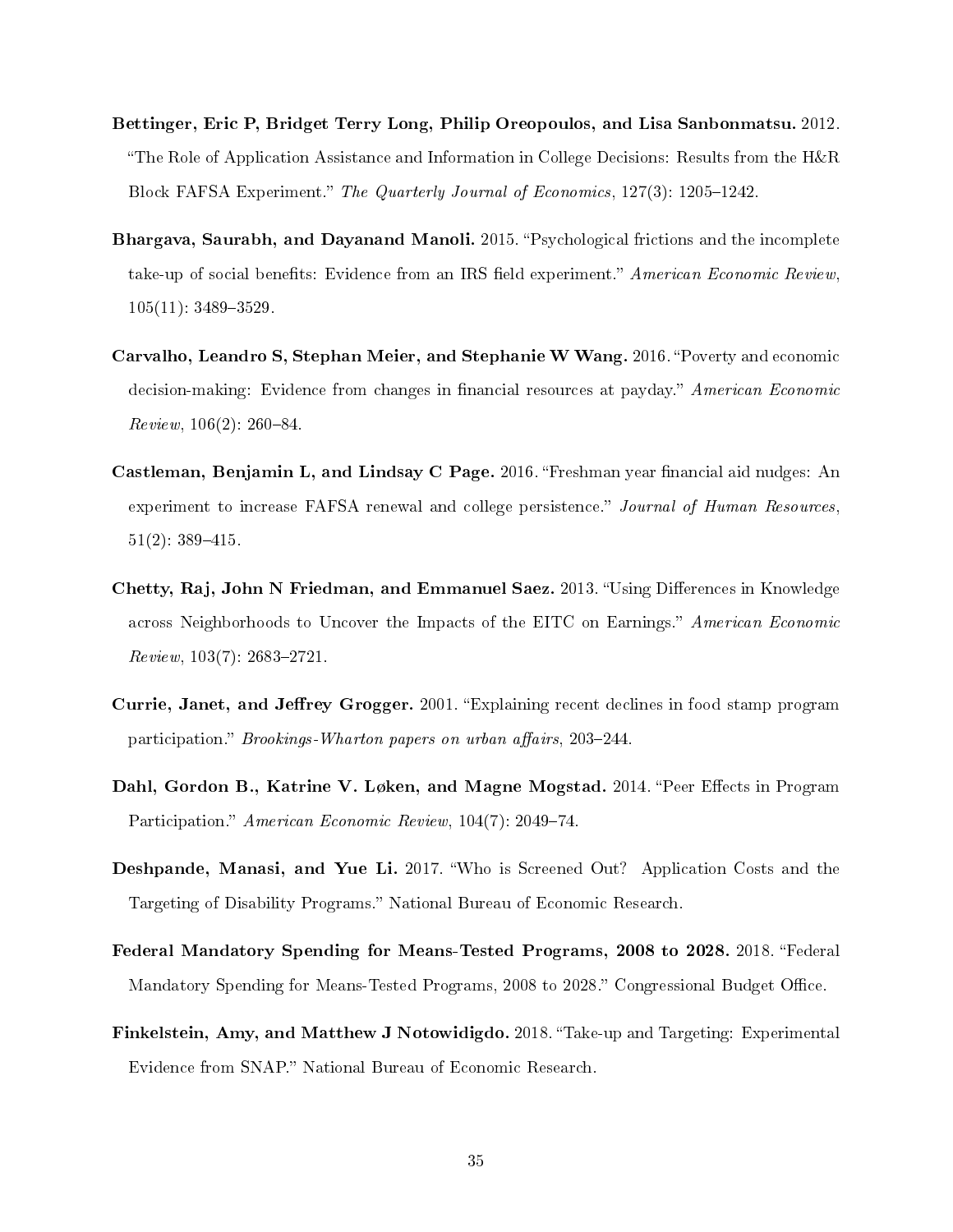- Bettinger, Eric P, Bridget Terry Long, Philip Oreopoulos, and Lisa Sanbonmatsu. 2012. "The Role of Application Assistance and Information in College Decisions: Results from the  $H\&R$ Block FAFSA Experiment." The Quarterly Journal of Economics, 127(3): 1205-1242.
- Bhargava, Saurabh, and Dayanand Manoli. 2015. "Psychological frictions and the incomplete take-up of social benefits: Evidence from an IRS field experiment." American Economic Review,  $105(11): 3489 - 3529.$
- Carvalho, Leandro S, Stephan Meier, and Stephanie W Wang. 2016. "Poverty and economic decision-making: Evidence from changes in financial resources at payday." American Economic  $Review, 106(2): 260-84.$
- Castleman, Benjamin L, and Lindsay C Page. 2016. "Freshman year financial aid nudges: An experiment to increase FAFSA renewal and college persistence." Journal of Human Resources,  $51(2): 389-415.$
- Chetty, Raj, John N Friedman, and Emmanuel Saez. 2013. "Using Differences in Knowledge across Neighborhoods to Uncover the Impacts of the EITC on Earnings." American Economic  $Review, 103(7): 2683-2721.$
- Currie, Janet, and Jeffrey Grogger. 2001. "Explaining recent declines in food stamp program participation." Brookings-Wharton papers on urban affairs, 203-244.
- Dahl, Gordon B., Katrine V. Løken, and Magne Mogstad. 2014. "Peer Effects in Program Participation." American Economic Review, 104(7): 2049-74.
- Deshpande, Manasi, and Yue Li. 2017. Who is Screened Out? Application Costs and the Targeting of Disability Programs." National Bureau of Economic Research.
- Federal Mandatory Spending for Means-Tested Programs, 2008 to 2028. 2018. "Federal Mandatory Spending for Means-Tested Programs, 2008 to 2028." Congressional Budget Office.
- Finkelstein, Amy, and Matthew J Notowidigdo. 2018. "Take-up and Targeting: Experimental Evidence from SNAP." National Bureau of Economic Research.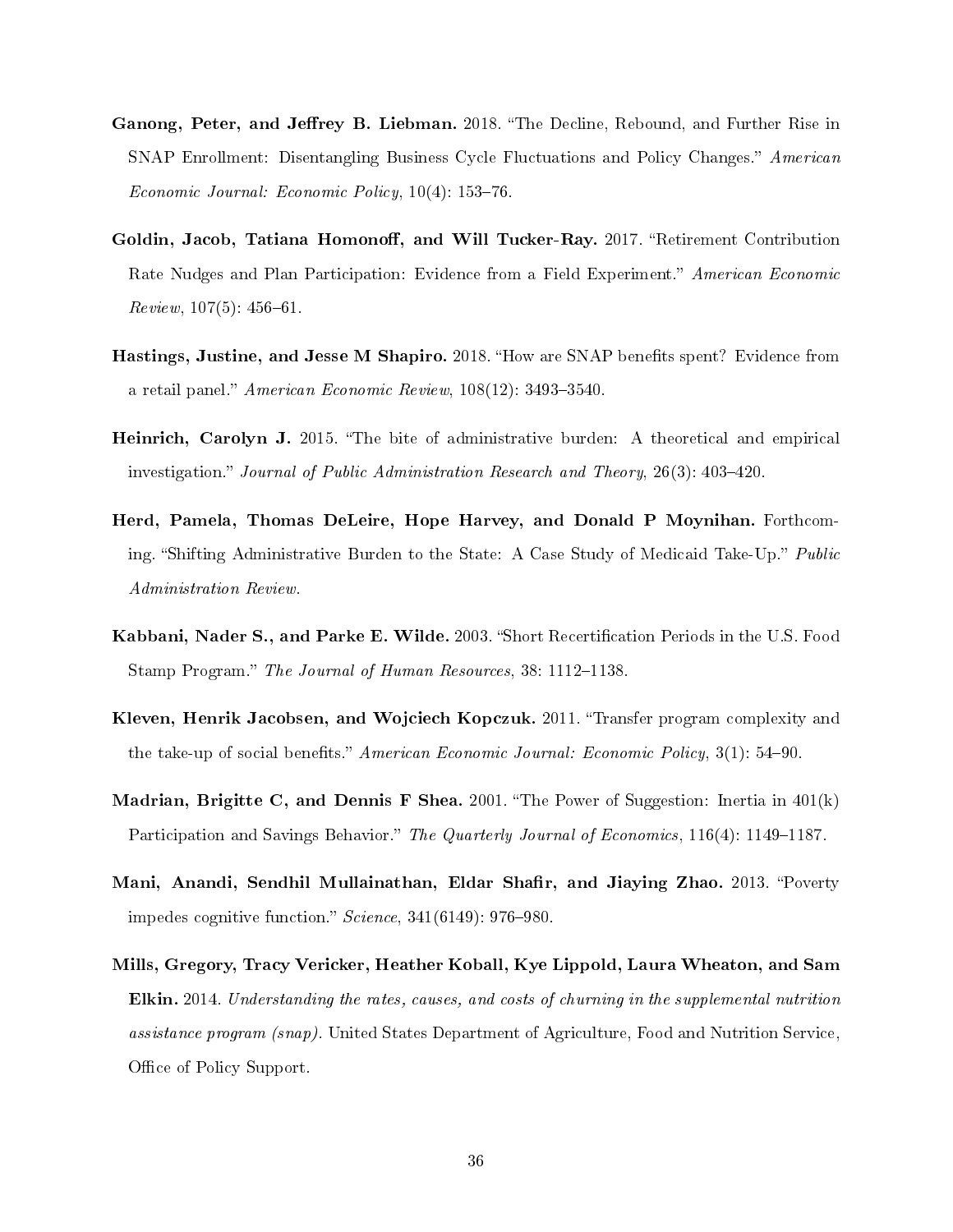- Ganong, Peter, and Jeffrey B. Liebman. 2018. "The Decline, Rebound, and Further Rise in SNAP Enrollment: Disentangling Business Cycle Fluctuations and Policy Changes." American Economic Journal: Economic Policy,  $10(4)$ : 153-76.
- Goldin, Jacob, Tatiana Homonoff, and Will Tucker-Ray. 2017. "Retirement Contribution Rate Nudges and Plan Participation: Evidence from a Field Experiment." American Economic  $Review, 107(5): 456-61.$
- Hastings, Justine, and Jesse M Shapiro. 2018. "How are SNAP benefits spent? Evidence from a retail panel." American Economic Review,  $108(12)$ : 3493-3540.
- Heinrich, Carolyn J. 2015. "The bite of administrative burden: A theoretical and empirical investigation." Journal of Public Administration Research and Theory,  $26(3)$ :  $403-420$ .
- Herd, Pamela, Thomas DeLeire, Hope Harvey, and Donald P Moynihan. Forthcoming. "Shifting Administrative Burden to the State: A Case Study of Medicaid Take-Up." Public Administration Review.
- Kabbani, Nader S., and Parke E. Wilde. 2003. "Short Recertification Periods in the U.S. Food Stamp Program." The Journal of Human Resources, 38: 1112-1138.
- Kleven, Henrik Jacobsen, and Wojciech Kopczuk. 2011. "Transfer program complexity and the take-up of social benefits." American Economic Journal: Economic Policy,  $3(1)$ : 54–90.
- **Madrian, Brigitte C, and Dennis F Shea.** 2001. "The Power of Suggestion: Inertia in  $401(k)$ Participation and Savings Behavior." The Quarterly Journal of Economics,  $116(4)$ : 1149–1187.
- Mani, Anandi, Sendhil Mullainathan, Eldar Shafir, and Jiaying Zhao. 2013. "Poverty impedes cognitive function."  $Science$ ,  $341(6149)$ :  $976-980$ .
- Mills, Gregory, Tracy Vericker, Heather Koball, Kye Lippold, Laura Wheaton, and Sam Elkin. 2014. Understanding the rates, causes, and costs of churning in the supplemental nutrition assistance program (snap). United States Department of Agriculture, Food and Nutrition Service, Office of Policy Support.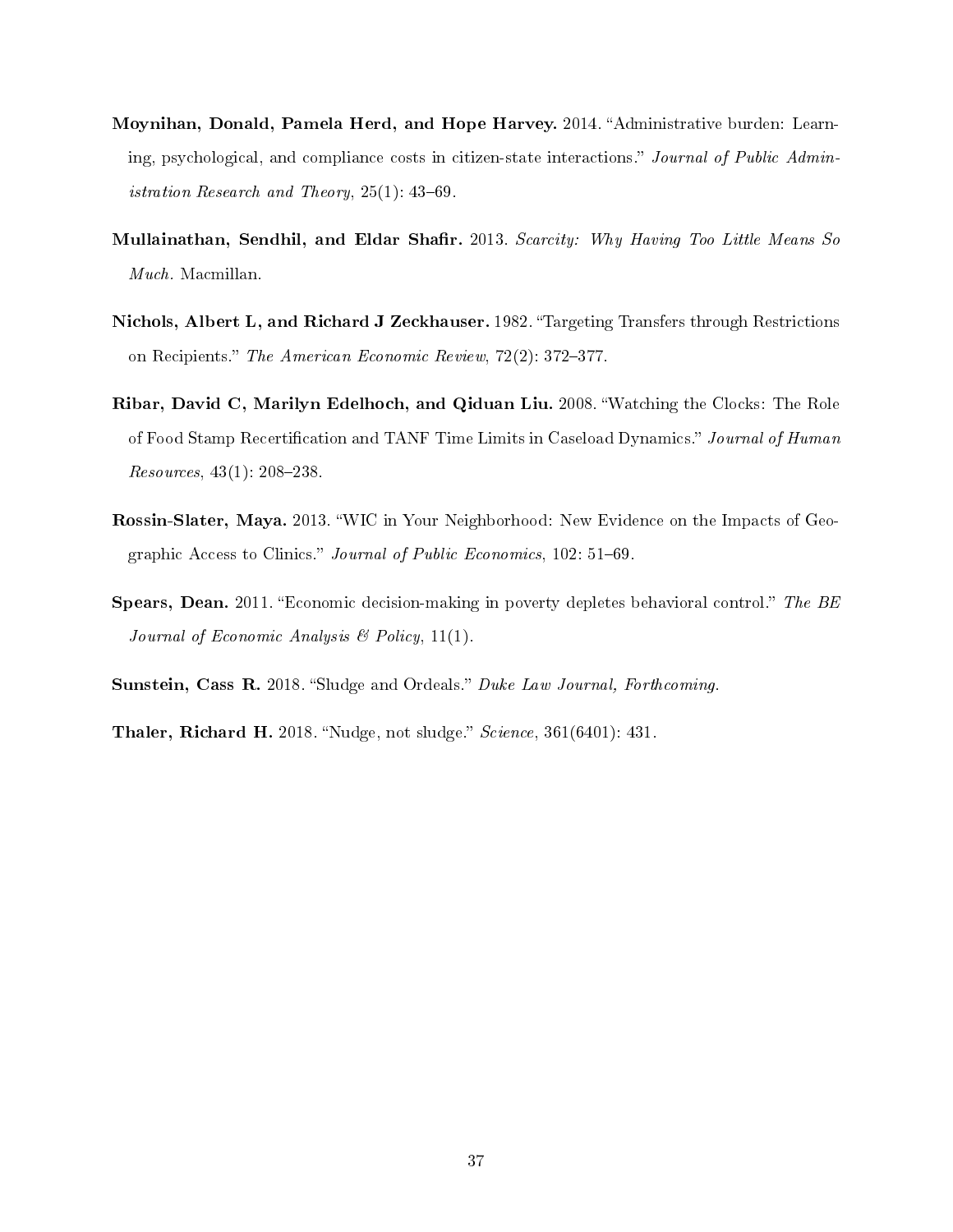- Moynihan, Donald, Pamela Herd, and Hope Harvey. 2014. "Administrative burden: Learning, psychological, and compliance costs in citizen-state interactions." Journal of Public Administration Research and Theory,  $25(1)$ :  $43-69$ .
- Mullainathan, Sendhil, and Eldar Shafir. 2013. Scarcity: Why Having Too Little Means So Much. Macmillan.
- Nichols, Albert L, and Richard J Zeckhauser. 1982. Targeting Transfers through Restrictions on Recipients." The American Economic Review,  $72(2)$ : 372-377.
- Ribar, David C, Marilyn Edelhoch, and Qiduan Liu. 2008. Watching the Clocks: The Role of Food Stamp Recertification and TANF Time Limits in Caseload Dynamics." Journal of Human Resources,  $43(1)$ :  $208-238$ .
- Rossin-Slater, Maya. 2013. WIC in Your Neighborhood: New Evidence on the Impacts of Geographic Access to Clinics." Journal of Public Economics, 102: 51-69.
- **Spears, Dean.** 2011. "Economic decision-making in poverty depletes behavioral control." The BE Journal of Economic Analysis  $\mathcal B$  Policy, 11(1).
- Sunstein, Cass R. 2018. "Sludge and Ordeals." Duke Law Journal, Forthcoming.
- **Thaler, Richard H.** 2018. "Nudge, not sludge."  $Science$ ,  $361(6401)$ : 431.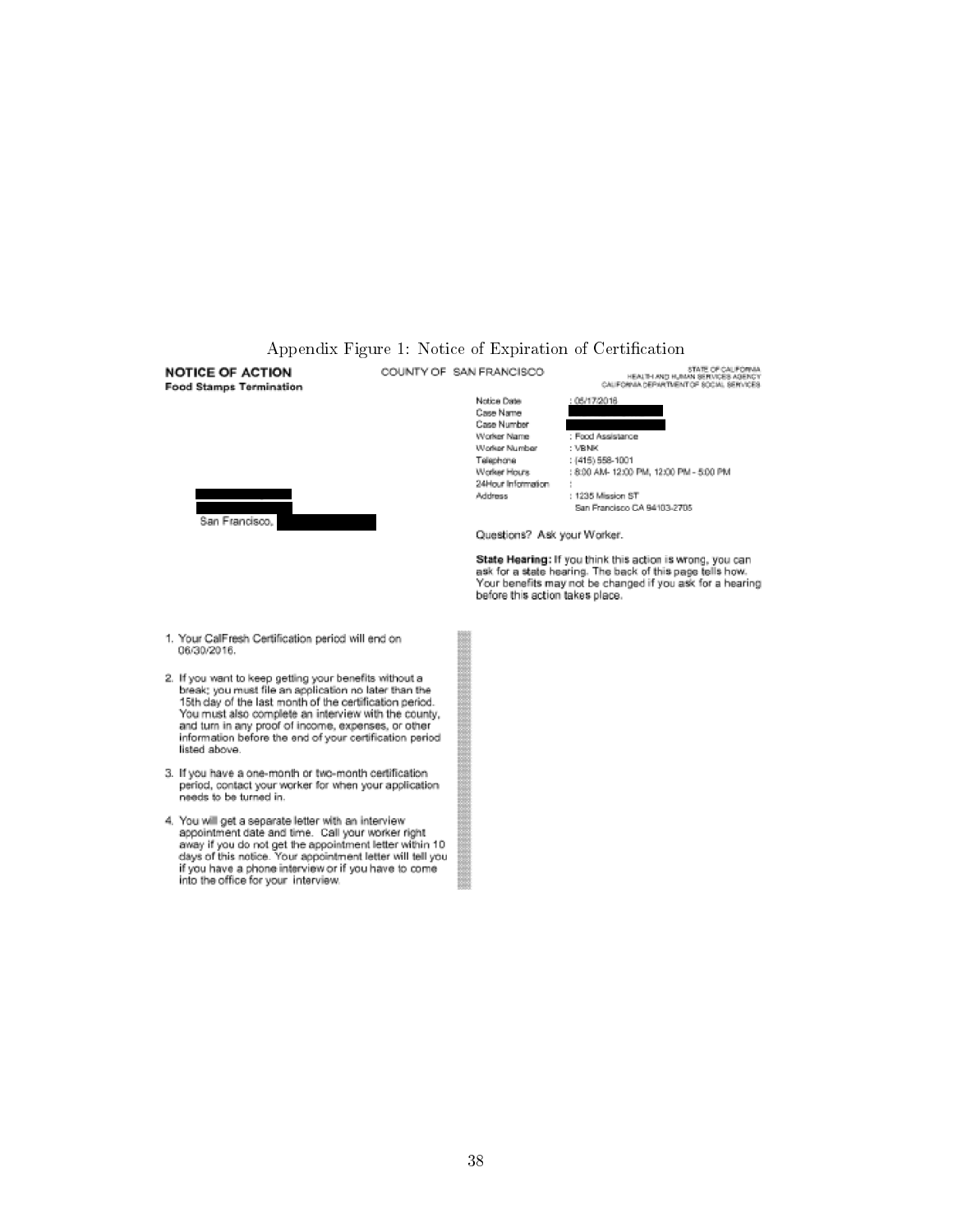#### Appendix Figure 1: Notice of Expiration of Certification STATE OF CALIFORNIA<br>HEALTH AND HUMAN SERVICES AGENCY<br>CALIFORNIA DEPARTMENT OF SOCIAL SERVICES COUNTY OF SAN FRANCISCO **NOTICE OF ACTION Food Stamps Termination** Notice Date 05/17/2016 Case Name Case Number Worker Name : Food Assistance Worker Number : VBNK Telephone  $:(415) 558 - 1001$ Worker Hours 8:00 AM- 12:00 PM, 12:00 PM - 5:00 PM 24Hour Information Address : 1235 Mission ST San Francisco CA 94103-2705 San Francisco, Questions? Ask your Worker. State Hearing: If you think this action is wrong, you can<br>ask for a state hearing. The back of this page tells how. Your benefits may not be changed if you ask for a hearing before this action takes place. 1. Your CalFresh Certification period will end on 06/30/2016. 2. If you want to keep getting your benefits without a<br>break; you must file an application no later than the 15th day of the last month of the certification period. You must also complete an interview with the county, and turn in any proof of income, expenses, or other information before the end of your certification period listed above. 3. If you have a one-month or two-month certification if you have a one-month or two-month certification<br>period, contact your worker for when your application<br>needs to be turned in. 4. You will get a separate letter with an interview appointment date and time. Call your worker right away if you do not get the appointment letter within 10 days of this notice. Your appointment letter will tell you if you have a phone interview or if you have to come<br>into the office for your interview.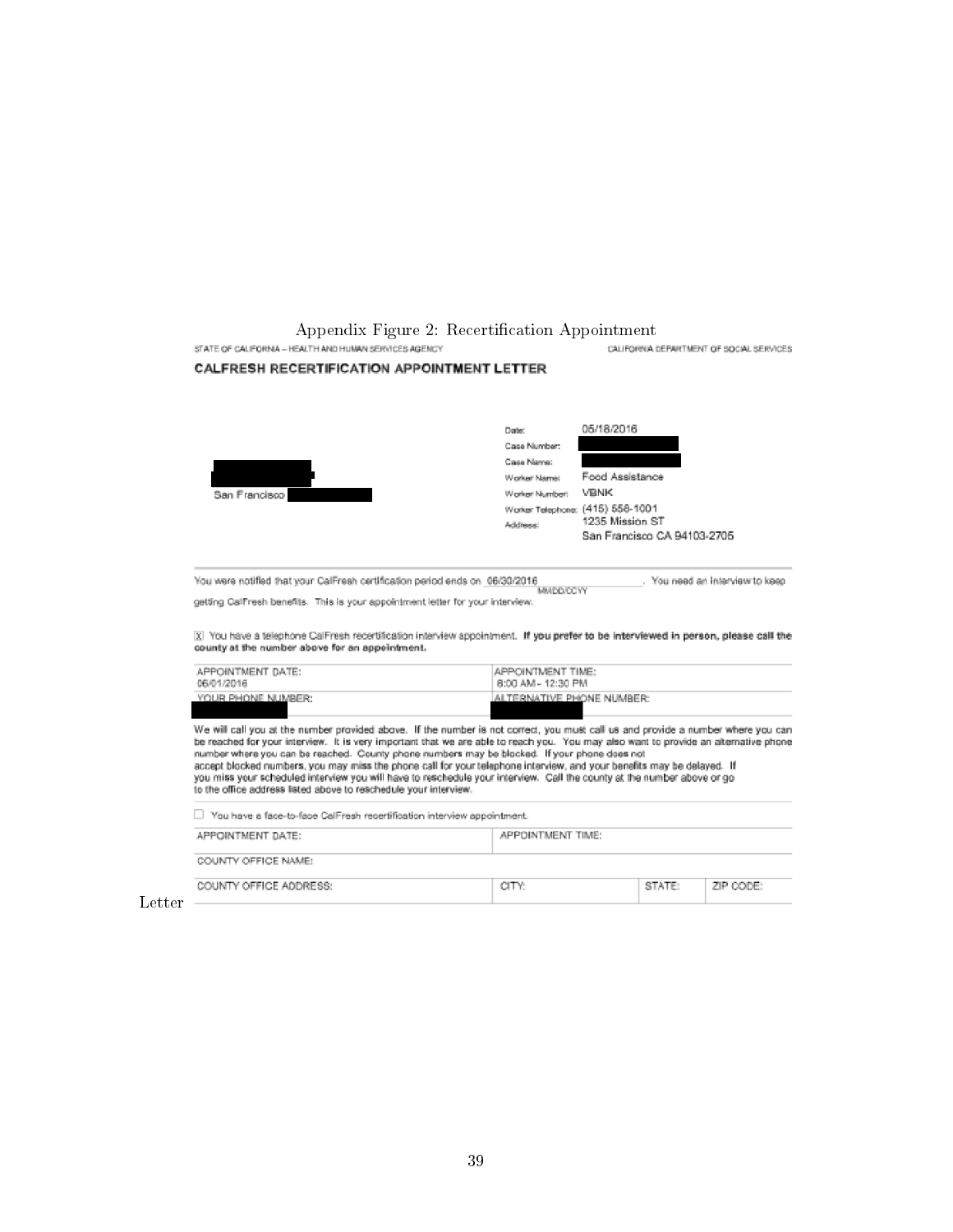Appendix Figure 2: Recertification Appointment

CALIFORNIA DEPARTMENT OF SOCIAL SERVICES

STATE OF CALIFORNIA - HEALTH AND HUMAN SERVICES AGENCY

#### CALFRESH RECERTIFICATION APPOINTMENT LETTER



You were notified that your CaliFresh certification period ends on 06/30/2016 . You need an interview to keep

getting CalFresh benefits. This is your appointment letter for your interview.

X You have a telephone CalFresh recertification interview appointment. If you prefer to be interviewed in person, please call the county at the number above for an appointment.

| APPOINTMENT DATE: | APPOINTMENT TIME:          |
|-------------------|----------------------------|
| 06/01/2016        | 8:00 AM - 12:30 PM         |
| YOUR PHONE NUMBER | IALTERNATIVE PHONE NUMBER: |

We will call you at the number provided above. If the number is not correct, you must call us and provide a number where you can the reached for your interview. It is very important that we are able to reach you. You may also want to provide an alternative phone<br>number where you can be reached. County phone numbers may be blocked. If your phone does to the office address listed above to reschedule your interview.

| You have a face-to-face CalFresh recertification interview appointment. |                   |        |           |  |
|-------------------------------------------------------------------------|-------------------|--------|-----------|--|
| APPOINTMENT DATE:                                                       | APPOINTMENT TIME: |        |           |  |
| COUNTY OFFICE NAME:                                                     |                   |        |           |  |
| COUNTY OFFICE ADDRESS:                                                  | CITY:             | STATE: | ZIP CODE: |  |

Letter